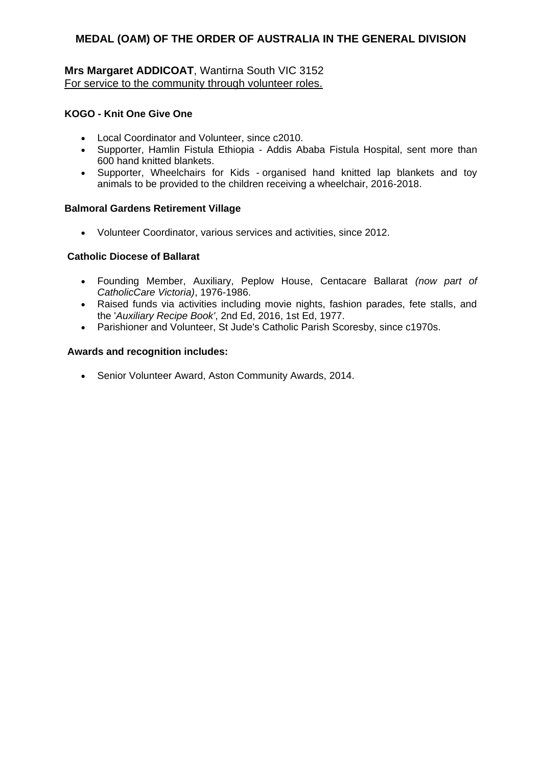### **Mrs Margaret ADDICOAT**, Wantirna South VIC 3152 For service to the community through volunteer roles.

### **KOGO - Knit One Give One**

- Local Coordinator and Volunteer, since c2010.
- Supporter, Hamlin Fistula Ethiopia Addis Ababa Fistula Hospital, sent more than 600 hand knitted blankets.
- Supporter, Wheelchairs for Kids organised hand knitted lap blankets and toy animals to be provided to the children receiving a wheelchair, 2016-2018.

#### **Balmoral Gardens Retirement Village**

Volunteer Coordinator, various services and activities, since 2012.

#### **Catholic Diocese of Ballarat**

- Founding Member, Auxiliary, Peplow House, Centacare Ballarat *(now part of CatholicCare Victoria)*, 1976-1986.
- Raised funds via activities including movie nights, fashion parades, fete stalls, and the '*Auxiliary Recipe Book'*, 2nd Ed, 2016, 1st Ed, 1977.
- Parishioner and Volunteer, St Jude's Catholic Parish Scoresby, since c1970s.

#### **Awards and recognition includes:**

Senior Volunteer Award, Aston Community Awards, 2014.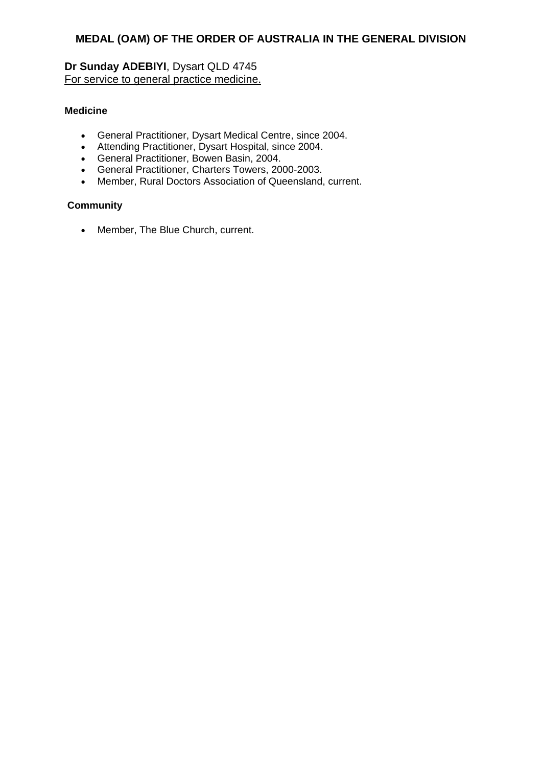# **Dr Sunday ADEBIYI**, Dysart QLD 4745 For service to general practice medicine.

### **Medicine**

- General Practitioner, Dysart Medical Centre, since 2004.
- Attending Practitioner, Dysart Hospital, since 2004.
- General Practitioner, Bowen Basin, 2004.
- General Practitioner, Charters Towers, 2000-2003.
- Member, Rural Doctors Association of Queensland, current.

### **Community**

Member, The Blue Church, current.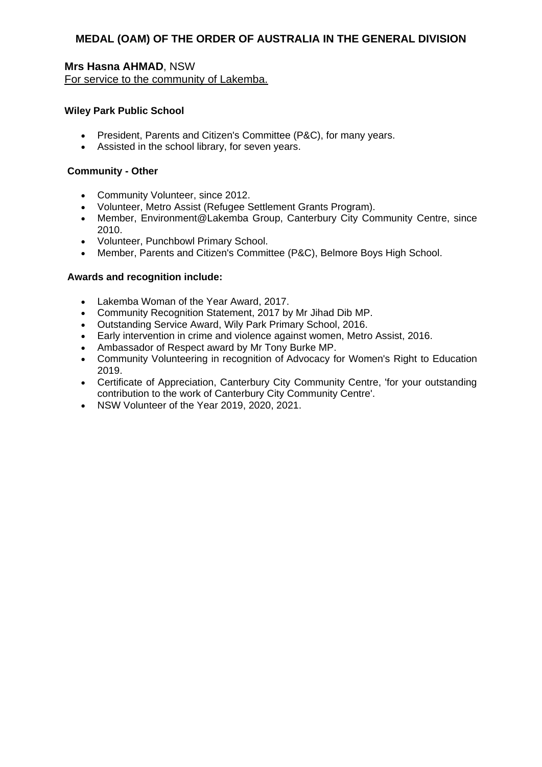**Mrs Hasna AHMAD**, NSW For service to the community of Lakemba.

#### **Wiley Park Public School**

- President, Parents and Citizen's Committee (P&C), for many years.
- Assisted in the school library, for seven years.

#### **Community - Other**

- Community Volunteer, since 2012.
- Volunteer, Metro Assist (Refugee Settlement Grants Program).
- Member, Environment@Lakemba Group, Canterbury City Community Centre, since 2010.
- Volunteer, Punchbowl Primary School.
- Member, Parents and Citizen's Committee (P&C), Belmore Boys High School.

- Lakemba Woman of the Year Award, 2017.
- Community Recognition Statement, 2017 by Mr Jihad Dib MP.
- Outstanding Service Award, Wily Park Primary School, 2016.
- Early intervention in crime and violence against women, Metro Assist, 2016.
- Ambassador of Respect award by Mr Tony Burke MP.
- Community Volunteering in recognition of Advocacy for Women's Right to Education 2019.
- Certificate of Appreciation, Canterbury City Community Centre, 'for your outstanding contribution to the work of Canterbury City Community Centre'.
- NSW Volunteer of the Year 2019, 2020, 2021.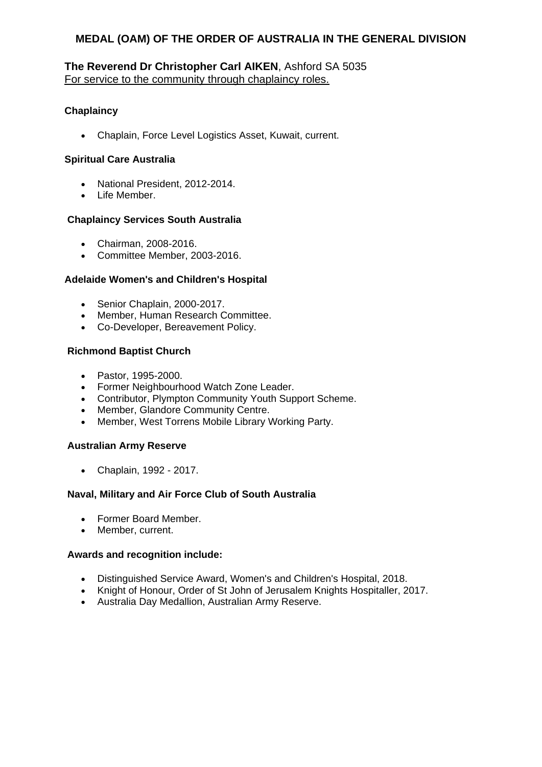### **The Reverend Dr Christopher Carl AIKEN**, Ashford SA 5035 For service to the community through chaplaincy roles.

### **Chaplaincy**

Chaplain, Force Level Logistics Asset, Kuwait, current.

#### **Spiritual Care Australia**

- National President, 2012-2014.
- Life Member.

#### **Chaplaincy Services South Australia**

- Chairman, 2008-2016.
- Committee Member, 2003-2016.

#### **Adelaide Women's and Children's Hospital**

- Senior Chaplain, 2000-2017.
- Member, Human Research Committee.
- Co-Developer, Bereavement Policy.

#### **Richmond Baptist Church**

- Pastor, 1995-2000.
- Former Neighbourhood Watch Zone Leader.
- Contributor, Plympton Community Youth Support Scheme.
- Member, Glandore Community Centre.
- Member, West Torrens Mobile Library Working Party.

#### **Australian Army Reserve**

Chaplain, 1992 - 2017.

#### **Naval, Military and Air Force Club of South Australia**

- Former Board Member.
- Member, current.

- Distinguished Service Award, Women's and Children's Hospital, 2018.
- Knight of Honour, Order of St John of Jerusalem Knights Hospitaller, 2017.
- Australia Day Medallion, Australian Army Reserve.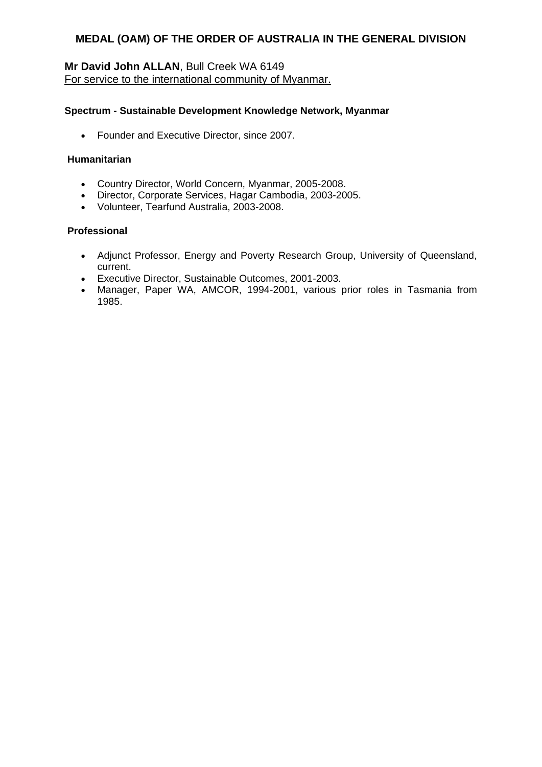### **Mr David John ALLAN**, Bull Creek WA 6149 For service to the international community of Myanmar.

#### **Spectrum - Sustainable Development Knowledge Network, Myanmar**

• Founder and Executive Director, since 2007.

#### **Humanitarian**

- Country Director, World Concern, Myanmar, 2005-2008.
- Director, Corporate Services, Hagar Cambodia, 2003-2005.
- Volunteer, Tearfund Australia, 2003-2008.

#### **Professional**

- Adjunct Professor, Energy and Poverty Research Group, University of Queensland, current.
- Executive Director, Sustainable Outcomes, 2001-2003.
- Manager, Paper WA, AMCOR, 1994-2001, various prior roles in Tasmania from 1985.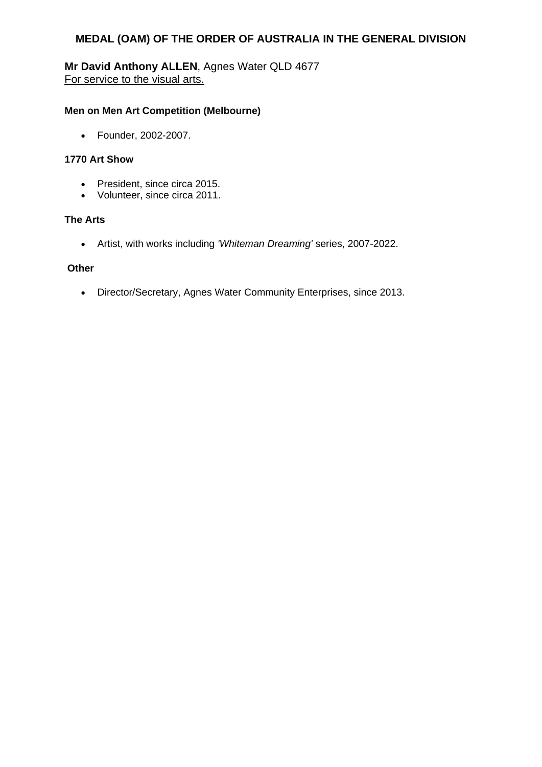# **Mr David Anthony ALLEN**, Agnes Water QLD 4677 For service to the visual arts.

### **Men on Men Art Competition (Melbourne)**

Founder, 2002-2007.

#### **1770 Art Show**

- President, since circa 2015.
- Volunteer, since circa 2011.

#### **The Arts**

Artist, with works including *'Whiteman Dreaming'* series, 2007-2022.

### **Other**

Director/Secretary, Agnes Water Community Enterprises, since 2013.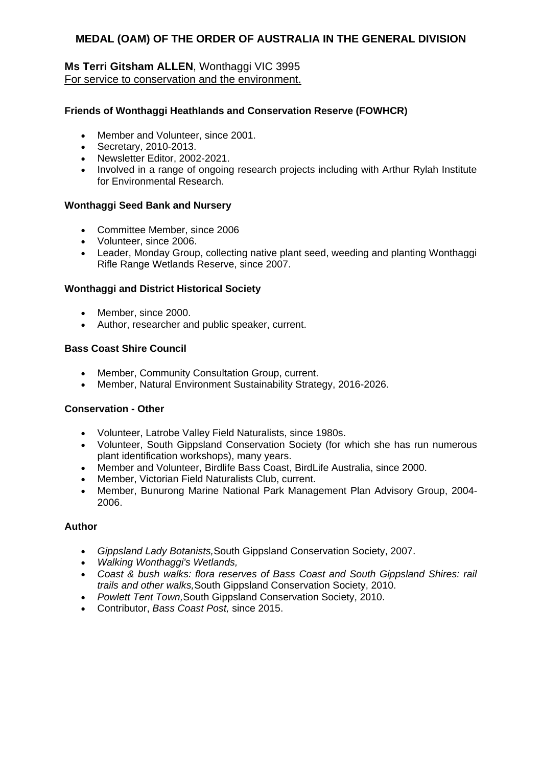### **Ms Terri Gitsham ALLEN**, Wonthaggi VIC 3995 For service to conservation and the environment.

### **Friends of Wonthaggi Heathlands and Conservation Reserve (FOWHCR)**

- Member and Volunteer, since 2001.
- Secretary, 2010-2013.
- Newsletter Editor, 2002-2021.
- Involved in a range of ongoing research projects including with Arthur Rylah Institute for Environmental Research.

#### **Wonthaggi Seed Bank and Nursery**

- Committee Member, since 2006
- Volunteer, since 2006.
- Leader, Monday Group, collecting native plant seed, weeding and planting Wonthaggi Rifle Range Wetlands Reserve, since 2007.

### **Wonthaggi and District Historical Society**

- Member, since 2000.
- Author, researcher and public speaker, current.

### **Bass Coast Shire Council**

- Member, Community Consultation Group, current.
- Member, Natural Environment Sustainability Strategy, 2016-2026.

#### **Conservation - Other**

- Volunteer, Latrobe Valley Field Naturalists, since 1980s.
- Volunteer, South Gippsland Conservation Society (for which she has run numerous plant identification workshops), many years.
- Member and Volunteer, Birdlife Bass Coast, BirdLife Australia, since 2000.
- Member, Victorian Field Naturalists Club, current.
- Member, Bunurong Marine National Park Management Plan Advisory Group, 2004- 2006.

#### **Author**

- *Gippsland Lady Botanists,*South Gippsland Conservation Society, 2007.
- *Walking Wonthaggi's Wetlands,*
- *Coast & bush walks: flora reserves of Bass Coast and South Gippsland Shires: rail trails and other walks,*South Gippsland Conservation Society, 2010.
- *Powlett Tent Town,*South Gippsland Conservation Society, 2010.
- Contributor, *Bass Coast Post,* since 2015.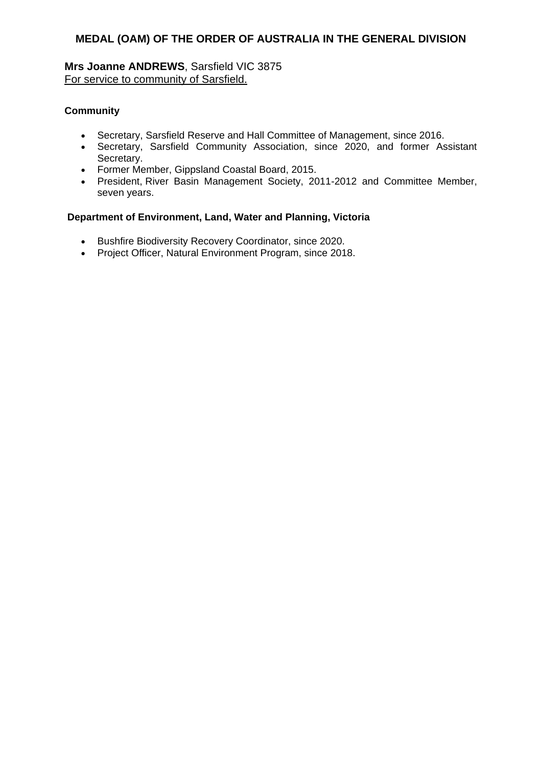**Mrs Joanne ANDREWS**, Sarsfield VIC 3875 For service to community of Sarsfield.

### **Community**

- Secretary, Sarsfield Reserve and Hall Committee of Management, since 2016.
- Secretary, Sarsfield Community Association, since 2020, and former Assistant Secretary.
- Former Member, Gippsland Coastal Board, 2015.
- President, River Basin Management Society, 2011-2012 and Committee Member, seven years.

### **Department of Environment, Land, Water and Planning, Victoria**

- **•** Bushfire Biodiversity Recovery Coordinator, since 2020.
- Project Officer, Natural Environment Program, since 2018.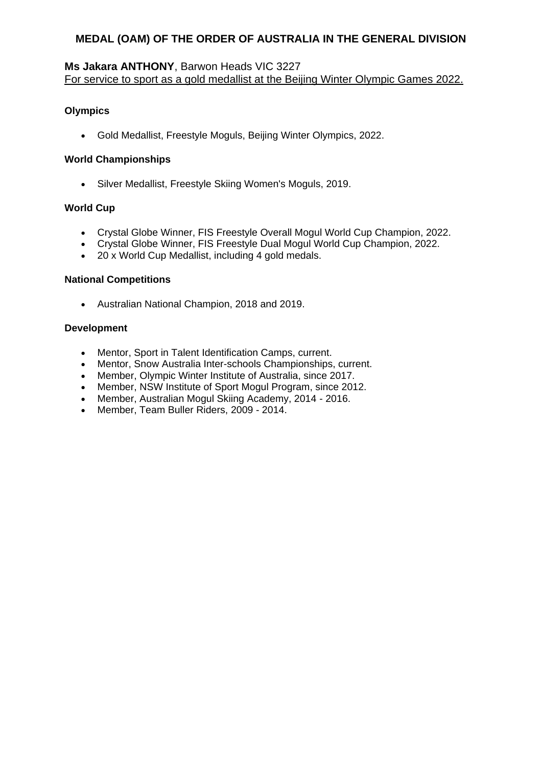### **Ms Jakara ANTHONY**, Barwon Heads VIC 3227 For service to sport as a gold medallist at the Beijing Winter Olympic Games 2022.

### **Olympics**

Gold Medallist, Freestyle Moguls, Beijing Winter Olympics, 2022.

#### **World Championships**

Silver Medallist, Freestyle Skiing Women's Moguls, 2019.

### **World Cup**

- Crystal Globe Winner, FIS Freestyle Overall Mogul World Cup Champion, 2022.
- Crystal Globe Winner, FIS Freestyle Dual Mogul World Cup Champion, 2022.
- 20 x World Cup Medallist, including 4 gold medals.

### **National Competitions**

Australian National Champion, 2018 and 2019.

### **Development**

- Mentor, Sport in Talent Identification Camps, current.
- Mentor, Snow Australia Inter-schools Championships, current.
- Member, Olympic Winter Institute of Australia, since 2017.
- Member, NSW Institute of Sport Mogul Program, since 2012.
- Member, Australian Mogul Skiing Academy, 2014 2016.
- Member, Team Buller Riders, 2009 2014.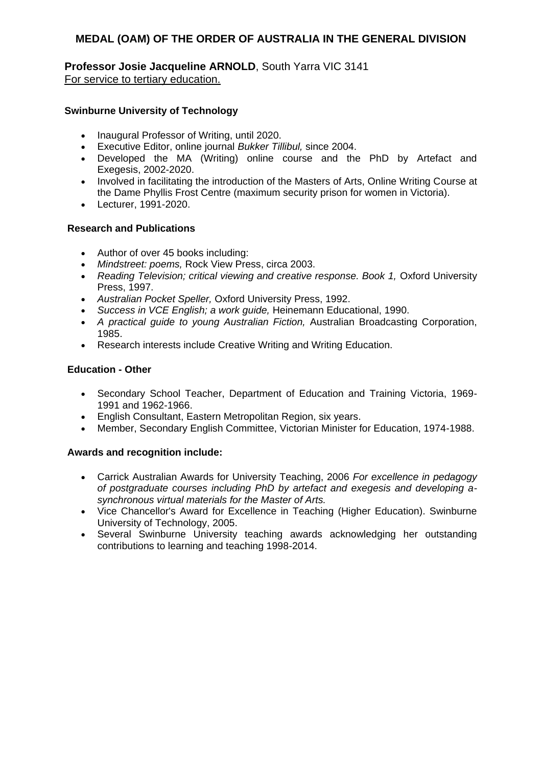**Professor Josie Jacqueline ARNOLD**, South Yarra VIC 3141 For service to tertiary education.

### **Swinburne University of Technology**

- Inaugural Professor of Writing, until 2020.
- Executive Editor, online journal *Bukker Tillibul,* since 2004.
- Developed the MA (Writing) online course and the PhD by Artefact and Exegesis, 2002-2020.
- Involved in facilitating the introduction of the Masters of Arts, Online Writing Course at the Dame Phyllis Frost Centre (maximum security prison for women in Victoria).
- Lecturer, 1991-2020.

### **Research and Publications**

- Author of over 45 books including:
- *Mindstreet: poems,* Rock View Press, circa 2003.
- Reading Television; critical viewing and creative response. Book 1, Oxford University Press, 1997.
- *Australian Pocket Speller,* Oxford University Press, 1992.
- *Success in VCE English; a work guide,* Heinemann Educational, 1990.
- *A practical guide to young Australian Fiction,* Australian Broadcasting Corporation, 1985.
- Research interests include Creative Writing and Writing Education.

### **Education - Other**

- Secondary School Teacher, Department of Education and Training Victoria, 1969- 1991 and 1962-1966.
- English Consultant, Eastern Metropolitan Region, six years.
- Member, Secondary English Committee, Victorian Minister for Education, 1974-1988.

- Carrick Australian Awards for University Teaching, 2006 *For excellence in pedagogy of postgraduate courses including PhD by artefact and exegesis and developing asynchronous virtual materials for the Master of Arts.*
- Vice Chancellor's Award for Excellence in Teaching (Higher Education). Swinburne University of Technology, 2005.
- Several Swinburne University teaching awards acknowledging her outstanding contributions to learning and teaching 1998-2014.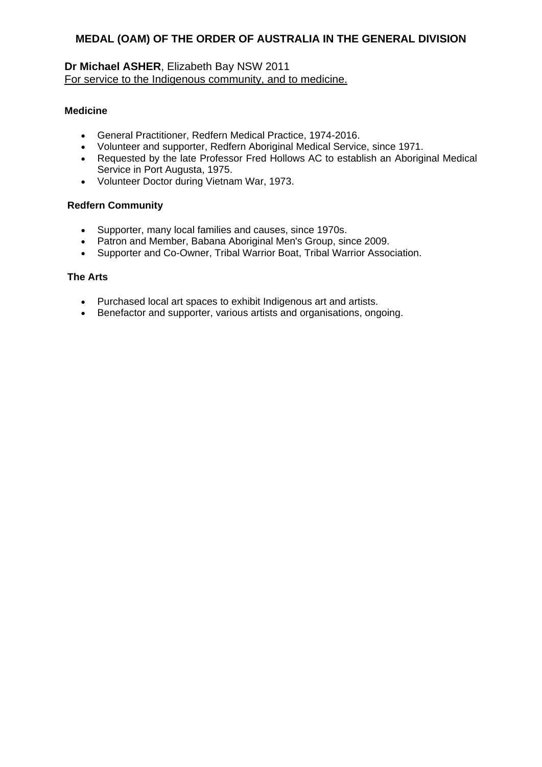### **Dr Michael ASHER**, Elizabeth Bay NSW 2011 For service to the Indigenous community, and to medicine.

#### **Medicine**

- General Practitioner, Redfern Medical Practice, 1974-2016.
- Volunteer and supporter, Redfern Aboriginal Medical Service, since 1971.
- Requested by the late Professor Fred Hollows AC to establish an Aboriginal Medical Service in Port Augusta, 1975.
- Volunteer Doctor during Vietnam War, 1973.

#### **Redfern Community**

- Supporter, many local families and causes, since 1970s.
- Patron and Member, Babana Aboriginal Men's Group, since 2009.
- Supporter and Co-Owner, Tribal Warrior Boat, Tribal Warrior Association.

#### **The Arts**

- Purchased local art spaces to exhibit Indigenous art and artists.
- Benefactor and supporter, various artists and organisations, ongoing.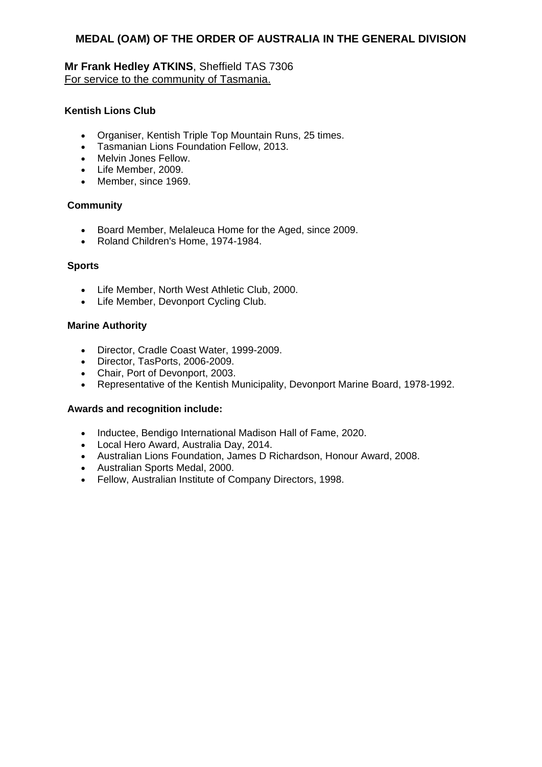### **Mr Frank Hedley ATKINS**, Sheffield TAS 7306 For service to the community of Tasmania.

### **Kentish Lions Club**

- Organiser, Kentish Triple Top Mountain Runs, 25 times.
- Tasmanian Lions Foundation Fellow, 2013.
- Melvin Jones Fellow.
- Life Member, 2009.
- Member, since 1969.

#### **Community**

- Board Member, Melaleuca Home for the Aged, since 2009.
- Roland Children's Home, 1974-1984.

#### **Sports**

- Life Member, North West Athletic Club, 2000.
- Life Member, Devonport Cycling Club.

#### **Marine Authority**

- Director, Cradle Coast Water, 1999-2009.
- Director, TasPorts, 2006-2009.
- Chair, Port of Devonport, 2003.
- Representative of the Kentish Municipality, Devonport Marine Board, 1978-1992.

- Inductee, Bendigo International Madison Hall of Fame, 2020.
- Local Hero Award, Australia Day, 2014.
- Australian Lions Foundation, James D Richardson, Honour Award, 2008.
- Australian Sports Medal, 2000.
- Fellow, Australian Institute of Company Directors, 1998.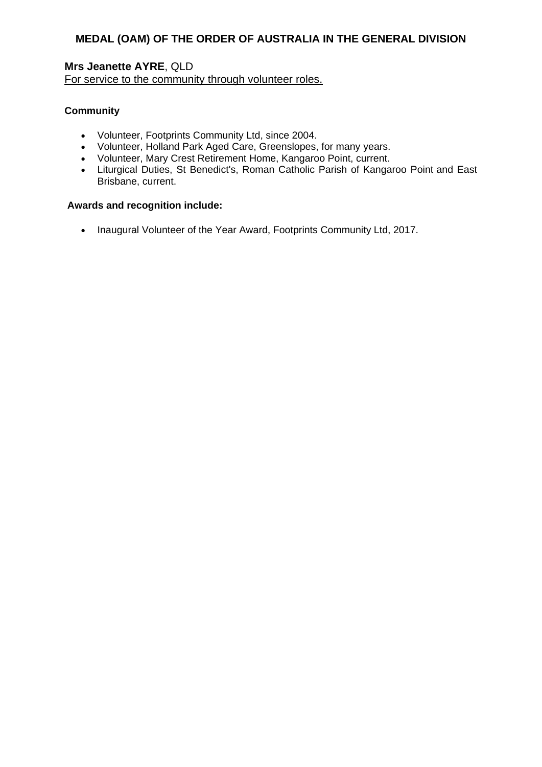### **Mrs Jeanette AYRE**, QLD For service to the community through volunteer roles.

### **Community**

- Volunteer, Footprints Community Ltd, since 2004.
- Volunteer, Holland Park Aged Care, Greenslopes, for many years.
- Volunteer, Mary Crest Retirement Home, Kangaroo Point, current.
- Liturgical Duties, St Benedict's, Roman Catholic Parish of Kangaroo Point and East Brisbane, current.

#### **Awards and recognition include:**

• Inaugural Volunteer of the Year Award, Footprints Community Ltd, 2017.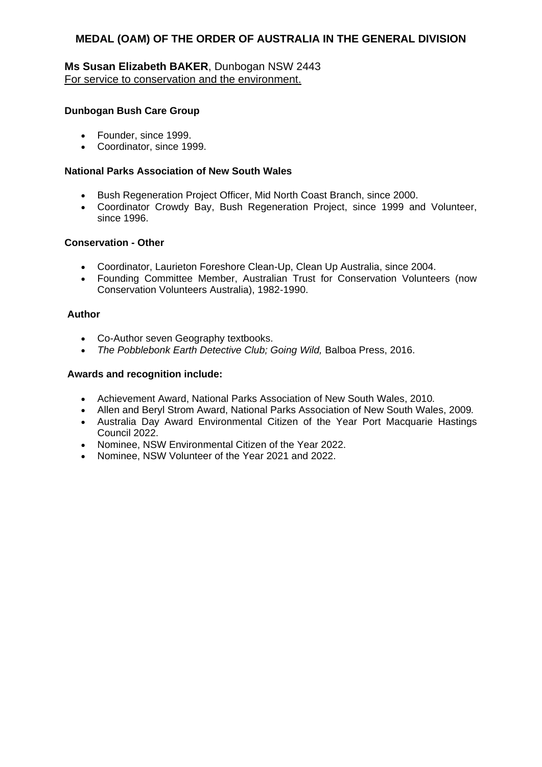### **Ms Susan Elizabeth BAKER**, Dunbogan NSW 2443 For service to conservation and the environment.

#### **Dunbogan Bush Care Group**

- Founder, since 1999.
- Coordinator, since 1999.

#### **National Parks Association of New South Wales**

- Bush Regeneration Project Officer, Mid North Coast Branch, since 2000.
- Coordinator Crowdy Bay, Bush Regeneration Project, since 1999 and Volunteer, since 1996.

#### **Conservation - Other**

- Coordinator, Laurieton Foreshore Clean-Up, Clean Up Australia, since 2004.
- Founding Committee Member, Australian Trust for Conservation Volunteers (now Conservation Volunteers Australia), 1982-1990.

#### **Author**

- Co-Author seven Geography textbooks.
- *The Pobblebonk Earth Detective Club; Going Wild,* Balboa Press, 2016.

- Achievement Award, National Parks Association of New South Wales, 2010*.*
- Allen and Beryl Strom Award, National Parks Association of New South Wales, 2009*.*
- Australia Day Award Environmental Citizen of the Year Port Macquarie Hastings Council 2022.
- Nominee, NSW Environmental Citizen of the Year 2022.
- Nominee, NSW Volunteer of the Year 2021 and 2022.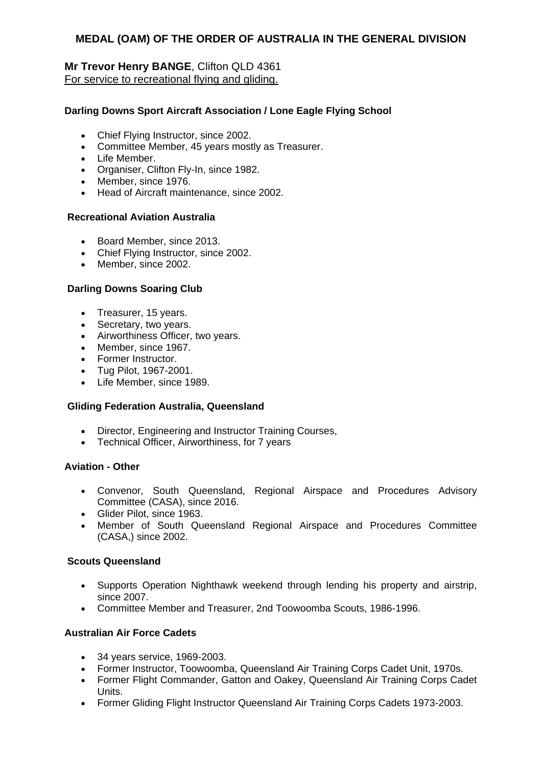### **Mr Trevor Henry BANGE**, Clifton QLD 4361 For service to recreational flying and gliding.

### **Darling Downs Sport Aircraft Association / Lone Eagle Flying School**

- Chief Flying Instructor, since 2002.
- Committee Member, 45 years mostly as Treasurer.
- Life Member.
- Organiser, Clifton Fly-In, since 1982.
- Member, since 1976.
- Head of Aircraft maintenance, since 2002.

### **Recreational Aviation Australia**

- Board Member, since 2013.
- Chief Flying Instructor, since 2002.
- Member, since 2002.

#### **Darling Downs Soaring Club**

- Treasurer, 15 years.
- Secretary, two years.
- Airworthiness Officer, two years.
- Member, since 1967.
- Former Instructor.
- Tug Pilot, 1967-2001.
- Life Member, since 1989.

#### **Gliding Federation Australia, Queensland**

- Director, Engineering and Instructor Training Courses,
- Technical Officer, Airworthiness, for 7 years

#### **Aviation - Other**

- Convenor, South Queensland, Regional Airspace and Procedures Advisory Committee (CASA), since 2016.
- Glider Pilot, since 1963.
- Member of South Queensland Regional Airspace and Procedures Committee (CASA,) since 2002.

#### **Scouts Queensland**

- Supports Operation Nighthawk weekend through lending his property and airstrip, since 2007.
- Committee Member and Treasurer, 2nd Toowoomba Scouts, 1986-1996.

#### **Australian Air Force Cadets**

- 34 years service, 1969-2003.
- Former Instructor, Toowoomba, Queensland Air Training Corps Cadet Unit, 1970s*.*
- Former Flight Commander, Gatton and Oakey, Queensland Air Training Corps Cadet Units.
- Former Gliding Flight Instructor Queensland Air Training Corps Cadets 1973-2003.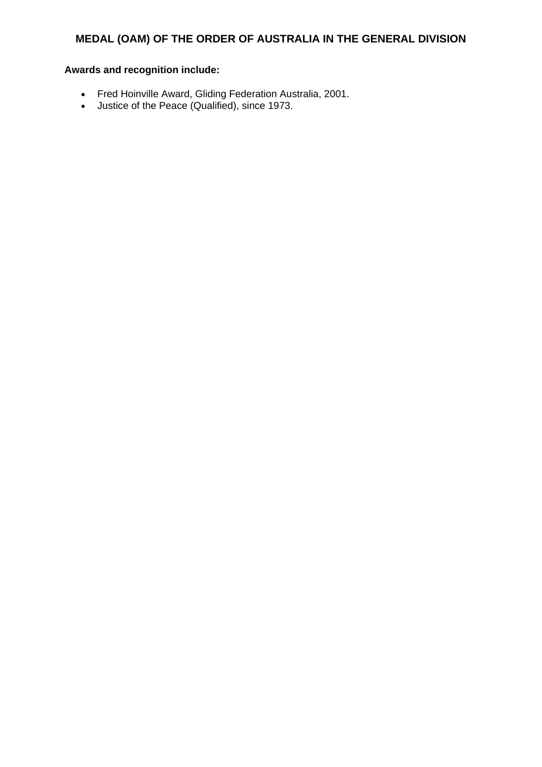- Fred Hoinville Award, Gliding Federation Australia, 2001.
- Justice of the Peace (Qualified), since 1973.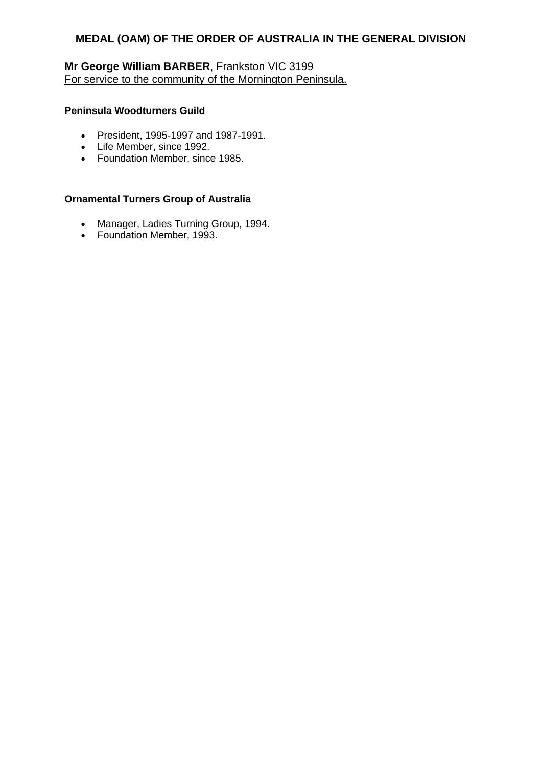# **Mr George William BARBER**, Frankston VIC 3199 For service to the community of the Mornington Peninsula.

### **Peninsula Woodturners Guild**

- President, 1995-1997 and 1987-1991.
- Life Member, since 1992.
- Foundation Member, since 1985.

#### **Ornamental Turners Group of Australia**

- Manager, Ladies Turning Group, 1994.
- Foundation Member, 1993.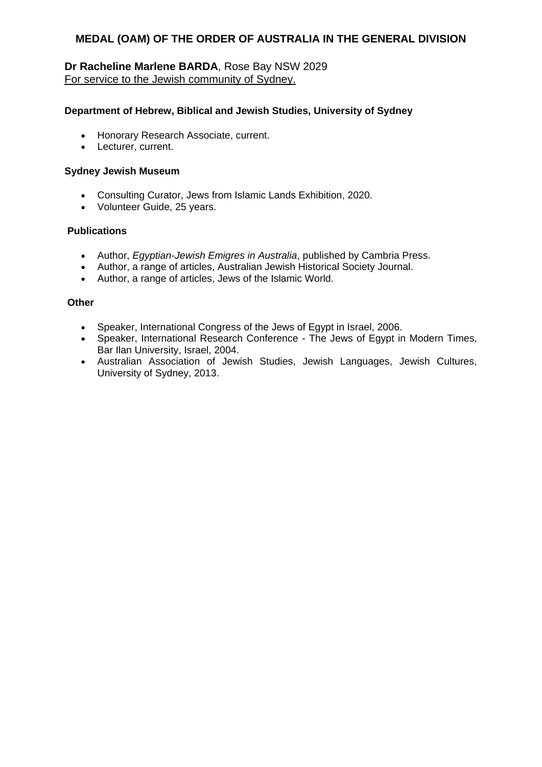### **Dr Racheline Marlene BARDA**, Rose Bay NSW 2029 For service to the Jewish community of Sydney.

#### **Department of Hebrew, Biblical and Jewish Studies, University of Sydney**

- Honorary Research Associate, current.
- Lecturer, current.

#### **Sydney Jewish Museum**

- Consulting Curator, Jews from Islamic Lands Exhibition, 2020.
- Volunteer Guide, 25 years.

#### **Publications**

- Author, *Egyptian-Jewish Emigres in Australia*, published by Cambria Press.
- Author, a range of articles, Australian Jewish Historical Society Journal.
- Author, a range of articles, Jews of the Islamic World.

#### **Other**

- Speaker, International Congress of the Jews of Egypt in Israel, 2006.
- Speaker, International Research Conference The Jews of Egypt in Modern Times, Bar Ilan University, Israel, 2004.
- Australian Association of Jewish Studies, Jewish Languages, Jewish Cultures, University of Sydney, 2013.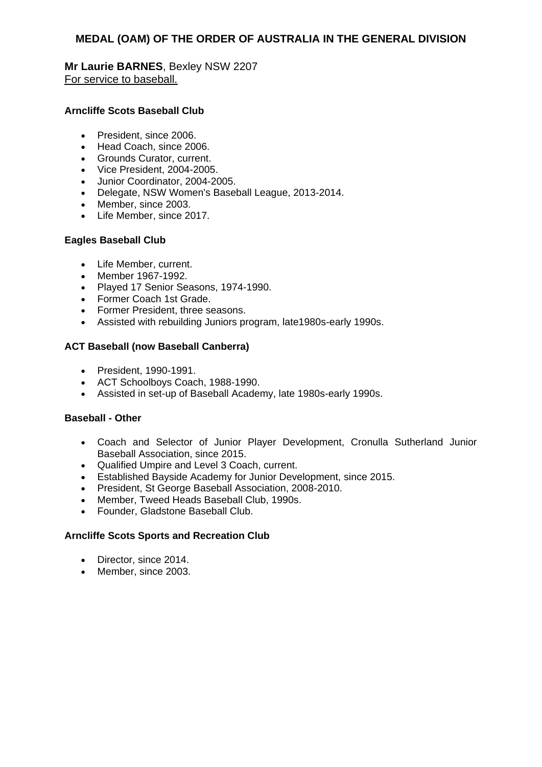### **Mr Laurie BARNES**, Bexley NSW 2207 For service to baseball.

### **Arncliffe Scots Baseball Club**

- President, since 2006.
- Head Coach, since 2006.
- Grounds Curator, current.
- Vice President, 2004-2005.
- Junior Coordinator, 2004-2005.
- Delegate, NSW Women's Baseball League, 2013-2014.
- Member, since 2003.
- Life Member, since 2017.

#### **Eagles Baseball Club**

- Life Member, current.
- Member 1967-1992.
- Played 17 Senior Seasons, 1974-1990.
- Former Coach 1st Grade.
- Former President, three seasons.
- Assisted with rebuilding Juniors program, late1980s-early 1990s.

### **ACT Baseball (now Baseball Canberra)**

- President, 1990-1991.
- ACT Schoolboys Coach, 1988-1990.
- Assisted in set-up of Baseball Academy, late 1980s-early 1990s.

#### **Baseball - Other**

- Coach and Selector of Junior Player Development, Cronulla Sutherland Junior Baseball Association, since 2015.
- Qualified Umpire and Level 3 Coach, current.
- Established Bayside Academy for Junior Development, since 2015.
- President, St George Baseball Association, 2008-2010.
- Member, Tweed Heads Baseball Club, 1990s.
- Founder, Gladstone Baseball Club.

#### **Arncliffe Scots Sports and Recreation Club**

- Director, since 2014.
- Member, since 2003.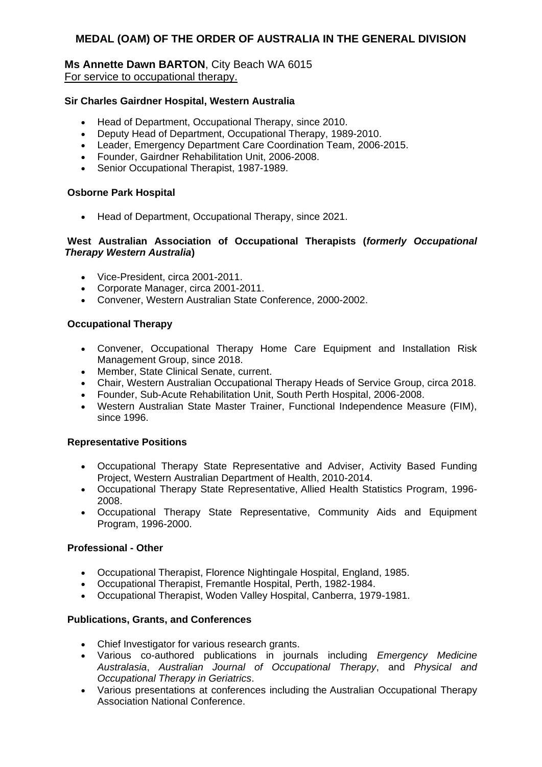#### **Ms Annette Dawn BARTON**, City Beach WA 6015 For service to occupational therapy.

#### **Sir Charles Gairdner Hospital, Western Australia**

- Head of Department, Occupational Therapy, since 2010.
- Deputy Head of Department, Occupational Therapy, 1989-2010.
- Leader, Emergency Department Care Coordination Team, 2006-2015.
- Founder, Gairdner Rehabilitation Unit, 2006-2008.
- Senior Occupational Therapist, 1987-1989.

#### **Osborne Park Hospital**

• Head of Department, Occupational Therapy, since 2021.

#### **West Australian Association of Occupational Therapists (***formerly Occupational Therapy Western Australia***)**

- Vice-President, circa 2001-2011.
- Corporate Manager, circa 2001-2011.
- Convener, Western Australian State Conference, 2000-2002.

#### **Occupational Therapy**

- Convener, Occupational Therapy Home Care Equipment and Installation Risk Management Group, since 2018.
- Member, State Clinical Senate, current.
- Chair, Western Australian Occupational Therapy Heads of Service Group, circa 2018.
- Founder, Sub-Acute Rehabilitation Unit, South Perth Hospital, 2006-2008.
- Western Australian State Master Trainer, Functional Independence Measure (FIM), since 1996.

#### **Representative Positions**

- Occupational Therapy State Representative and Adviser, Activity Based Funding Project, Western Australian Department of Health, 2010-2014.
- Occupational Therapy State Representative, Allied Health Statistics Program, 1996- 2008.
- Occupational Therapy State Representative, Community Aids and Equipment Program, 1996-2000.

#### **Professional - Other**

- Occupational Therapist, Florence Nightingale Hospital, England, 1985.
- Occupational Therapist, Fremantle Hospital, Perth, 1982-1984.
- Occupational Therapist, Woden Valley Hospital, Canberra, 1979-1981.

#### **Publications, Grants, and Conferences**

- Chief Investigator for various research grants.
- Various co-authored publications in journals including *Emergency Medicine Australasia*, *Australian Journal of Occupational Therapy*, and *Physical and Occupational Therapy in Geriatrics*.
- Various presentations at conferences including the Australian Occupational Therapy Association National Conference.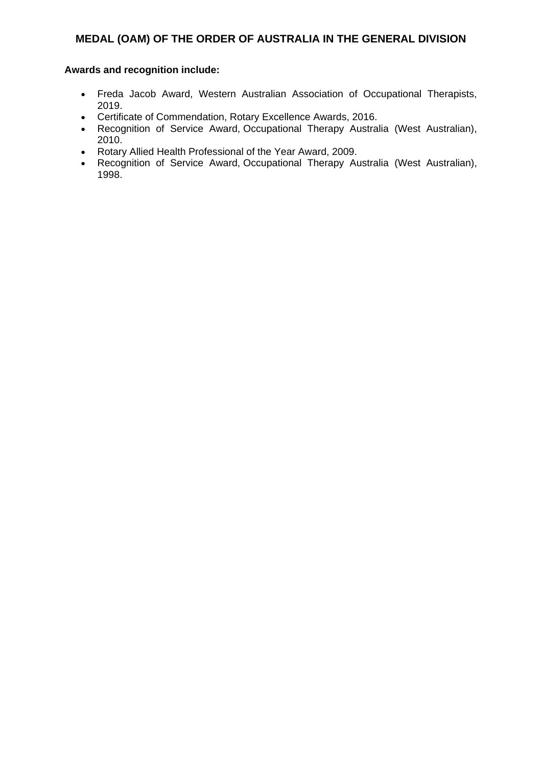- Freda Jacob Award, Western Australian Association of Occupational Therapists, 2019.
- Certificate of Commendation, Rotary Excellence Awards, 2016.
- Recognition of Service Award, Occupational Therapy Australia (West Australian), 2010.
- Rotary Allied Health Professional of the Year Award, 2009.
- Recognition of Service Award, Occupational Therapy Australia (West Australian), 1998.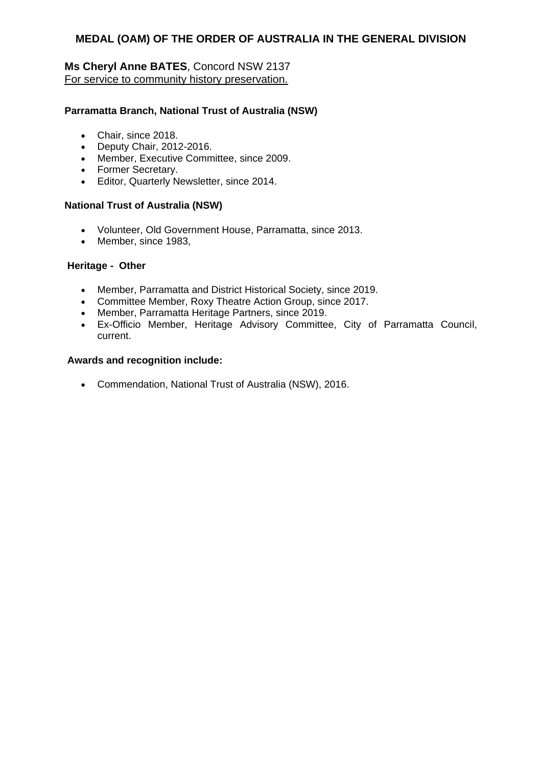## **Ms Cheryl Anne BATES**, Concord NSW 2137 For service to community history preservation.

### **Parramatta Branch, National Trust of Australia (NSW)**

- Chair, since 2018.
- Deputy Chair, 2012-2016.
- Member, Executive Committee, since 2009.
- Former Secretary.
- Editor, Quarterly Newsletter, since 2014.

#### **National Trust of Australia (NSW)**

- Volunteer, Old Government House, Parramatta, since 2013.
- Member, since 1983,

#### **Heritage - Other**

- Member, Parramatta and District Historical Society, since 2019.
- Committee Member, Roxy Theatre Action Group, since 2017.
- Member, Parramatta Heritage Partners, since 2019.
- Ex-Officio Member, Heritage Advisory Committee, City of Parramatta Council, current.

#### **Awards and recognition include:**

Commendation, National Trust of Australia (NSW), 2016.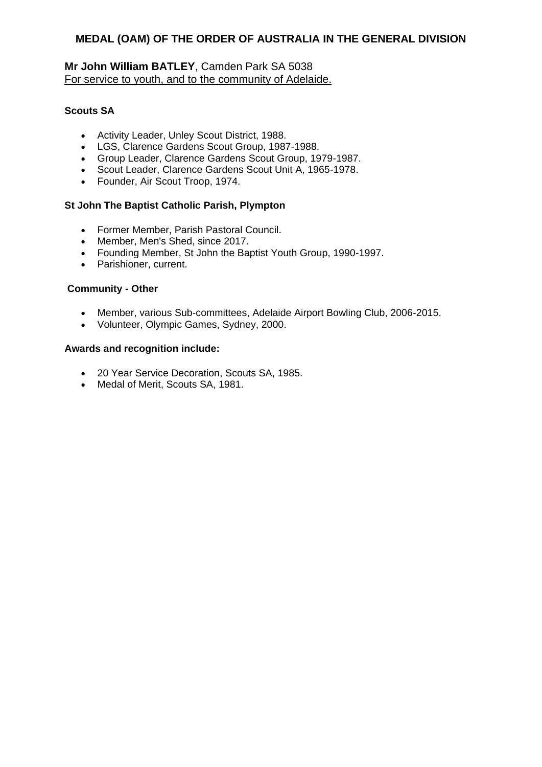### **Mr John William BATLEY**, Camden Park SA 5038 For service to youth, and to the community of Adelaide.

### **Scouts SA**

- Activity Leader, Unley Scout District, 1988.
- LGS, Clarence Gardens Scout Group, 1987-1988.
- Group Leader, Clarence Gardens Scout Group, 1979-1987.
- Scout Leader, Clarence Gardens Scout Unit A, 1965-1978.
- Founder, Air Scout Troop, 1974.

### **St John The Baptist Catholic Parish, Plympton**

- Former Member, Parish Pastoral Council.
- Member, Men's Shed, since 2017.
- Founding Member, St John the Baptist Youth Group, 1990-1997.
- Parishioner, current.

#### **Community - Other**

- Member, various Sub-committees, Adelaide Airport Bowling Club, 2006-2015.
- Volunteer, Olympic Games, Sydney, 2000.

- 20 Year Service Decoration, Scouts SA, 1985.
- Medal of Merit, Scouts SA, 1981.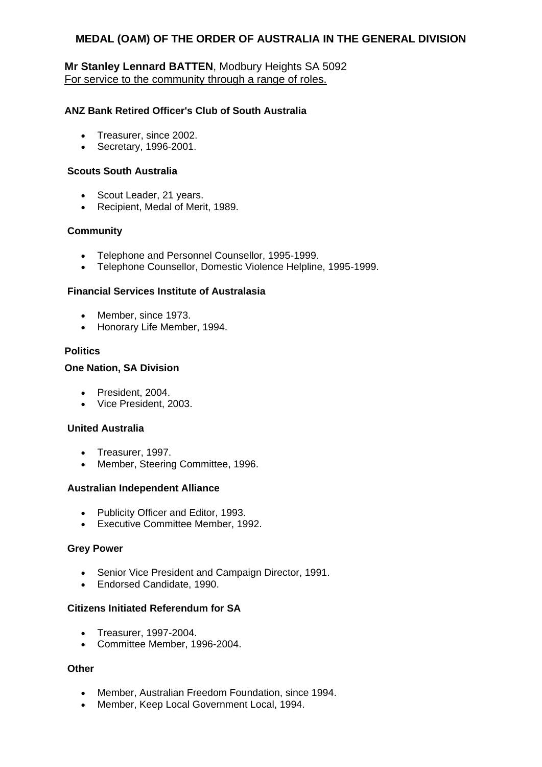### **Mr Stanley Lennard BATTEN**, Modbury Heights SA 5092 For service to the community through a range of roles.

### **ANZ Bank Retired Officer's Club of South Australia**

- Treasurer, since 2002.
- Secretary, 1996-2001.

#### **Scouts South Australia**

- Scout Leader, 21 years.
- Recipient, Medal of Merit, 1989.

#### **Community**

- Telephone and Personnel Counsellor, 1995-1999.
- Telephone Counsellor, Domestic Violence Helpline, 1995-1999.

#### **Financial Services Institute of Australasia**

- Member, since 1973.
- Honorary Life Member, 1994.

#### **Politics**

#### **One Nation, SA Division**

- President, 2004.
- Vice President, 2003.

#### **United Australia**

- Treasurer, 1997.
- Member, Steering Committee, 1996.

#### **Australian Independent Alliance**

- Publicity Officer and Editor, 1993.
- Executive Committee Member, 1992.

#### **Grey Power**

- Senior Vice President and Campaign Director, 1991.
- Endorsed Candidate, 1990.

#### **Citizens Initiated Referendum for SA**

- Treasurer, 1997-2004.
- Committee Member, 1996-2004.

#### **Other**

- Member, Australian Freedom Foundation, since 1994.
- Member, Keep Local Government Local, 1994.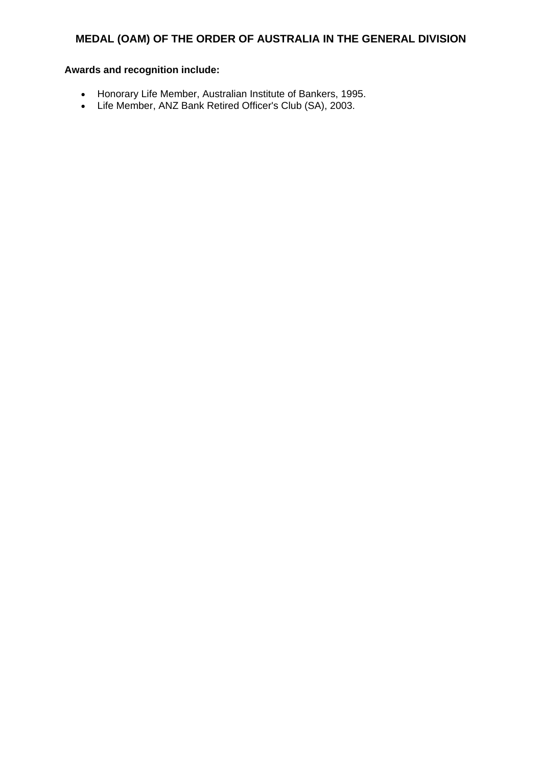- Honorary Life Member, Australian Institute of Bankers, 1995.
- Life Member, ANZ Bank Retired Officer's Club (SA), 2003.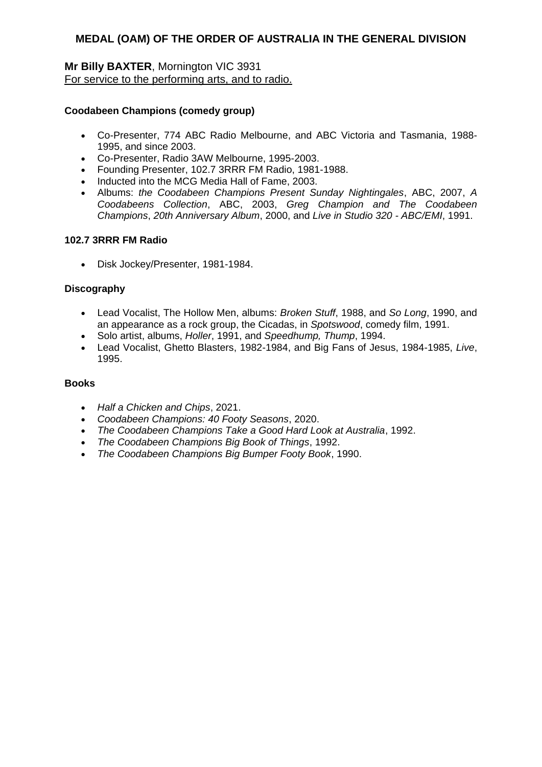### **Mr Billy BAXTER**, Mornington VIC 3931 For service to the performing arts, and to radio.

#### **Coodabeen Champions (comedy group)**

- Co-Presenter, 774 ABC Radio Melbourne, and ABC Victoria and Tasmania, 1988- 1995, and since 2003.
- Co-Presenter, Radio 3AW Melbourne, 1995-2003.
- Founding Presenter, 102.7 3RRR FM Radio, 1981-1988.
- Inducted into the MCG Media Hall of Fame, 2003.
- Albums: *the Coodabeen Champions Present Sunday Nightingales*, ABC, 2007, *A Coodabeens Collection*, ABC, 2003, *Greg Champion and The Coodabeen Champions*, *20th Anniversary Album*, 2000, and *Live in Studio 320 - ABC/EMI*, 1991.

#### **102.7 3RRR FM Radio**

Disk Jockey/Presenter, 1981-1984.

#### **Discography**

- Lead Vocalist, The Hollow Men, albums: *Broken Stuff*, 1988, and *So Long*, 1990, and an appearance as a rock group, the Cicadas, in *Spotswood*, comedy film, 1991.
- Solo artist, albums, *Holler*, 1991, and *Speedhump, Thump*, 1994.
- Lead Vocalist, Ghetto Blasters, 1982-1984, and Big Fans of Jesus, 1984-1985, *Live*, 1995.

#### **Books**

- *Half a Chicken and Chips*, 2021.
- *Coodabeen Champions: 40 Footy Seasons*, 2020.
- *The Coodabeen Champions Take a Good Hard Look at Australia*, 1992.
- *The Coodabeen Champions Big Book of Things*, 1992.
- *The Coodabeen Champions Big Bumper Footy Book*, 1990.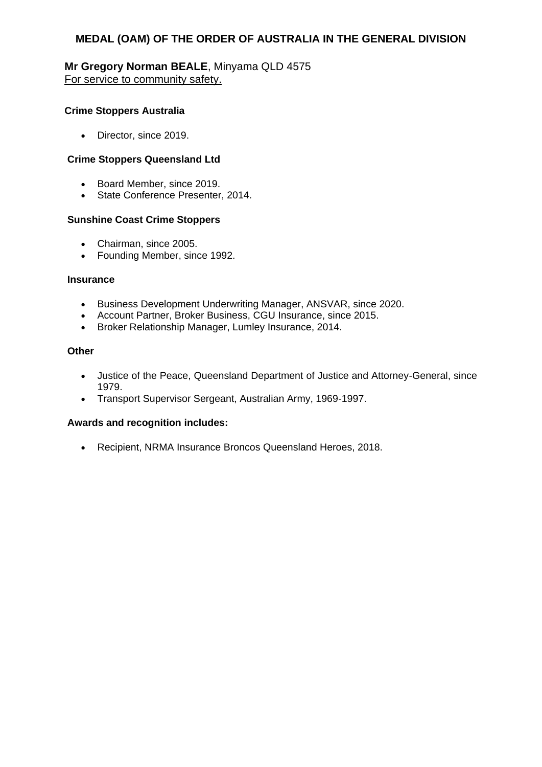### **Mr Gregory Norman BEALE**, Minyama QLD 4575 For service to community safety.

#### **Crime Stoppers Australia**

• Director, since 2019.

#### **Crime Stoppers Queensland Ltd**

- Board Member, since 2019.
- State Conference Presenter, 2014.

#### **Sunshine Coast Crime Stoppers**

- Chairman, since 2005.
- Founding Member, since 1992.

#### **Insurance**

- **•** Business Development Underwriting Manager, ANSVAR, since 2020.
- Account Partner, Broker Business, CGU Insurance, since 2015.
- Broker Relationship Manager, Lumley Insurance, 2014.

#### **Other**

- Justice of the Peace, Queensland Department of Justice and Attorney-General, since 1979.
- Transport Supervisor Sergeant, Australian Army, 1969-1997.

#### **Awards and recognition includes:**

Recipient, NRMA Insurance Broncos Queensland Heroes, 2018.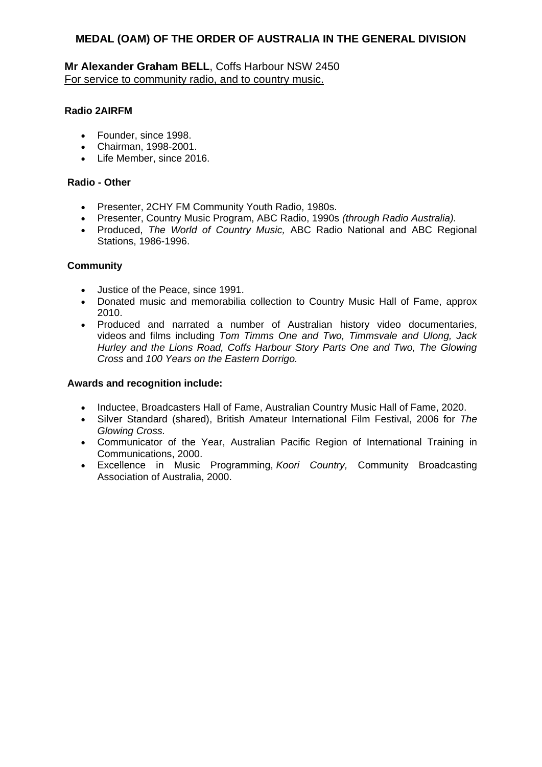**Mr Alexander Graham BELL**, Coffs Harbour NSW 2450 For service to community radio, and to country music.

### **Radio 2AIRFM**

- Founder, since 1998.
- Chairman, 1998-2001.
- Life Member, since 2016.

#### **Radio - Other**

- Presenter, 2CHY FM Community Youth Radio, 1980s.
- Presenter, Country Music Program, ABC Radio, 1990s *(through Radio Australia).*
- Produced, *The World of Country Music,* ABC Radio National and ABC Regional Stations, 1986-1996.

### **Community**

- Justice of the Peace, since 1991.
- Donated music and memorabilia collection to Country Music Hall of Fame, approx 2010.
- Produced and narrated a number of Australian history video documentaries, videos and films including *Tom Timms One and Two, Timmsvale and Ulong, Jack Hurley and the Lions Road, Coffs Harbour Story Parts One and Two, The Glowing Cross* and *100 Years on the Eastern Dorrigo.*

- Inductee, Broadcasters Hall of Fame, Australian Country Music Hall of Fame, 2020.
- Silver Standard (shared), British Amateur International Film Festival, 2006 for *The Glowing Cross.*
- Communicator of the Year, Australian Pacific Region of International Training in Communications, 2000.
- Excellence in Music Programming, *Koori Country,* Community Broadcasting Association of Australia, 2000.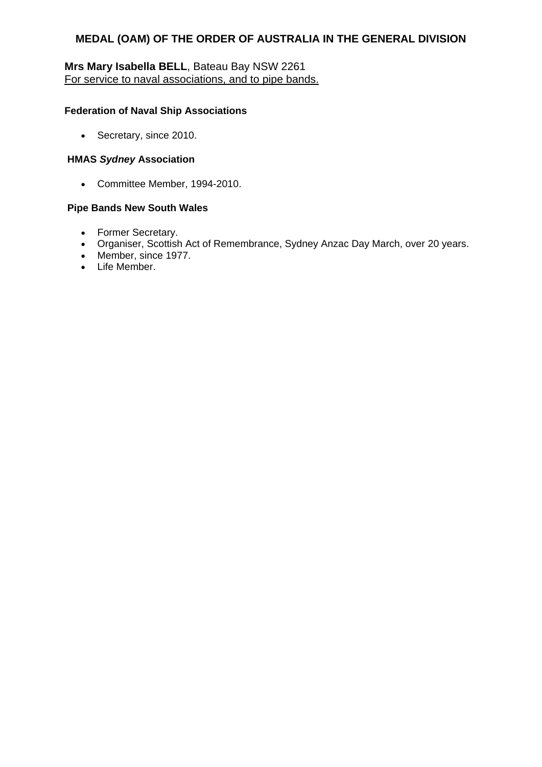# **Mrs Mary Isabella BELL**, Bateau Bay NSW 2261 For service to naval associations, and to pipe bands.

#### **Federation of Naval Ship Associations**

• Secretary, since 2010.

#### **HMAS** *Sydney* **Association**

Committee Member, 1994-2010.

#### **Pipe Bands New South Wales**

- Former Secretary.
- Organiser, Scottish Act of Remembrance, Sydney Anzac Day March, over 20 years.
- Member, since 1977.
- Life Member.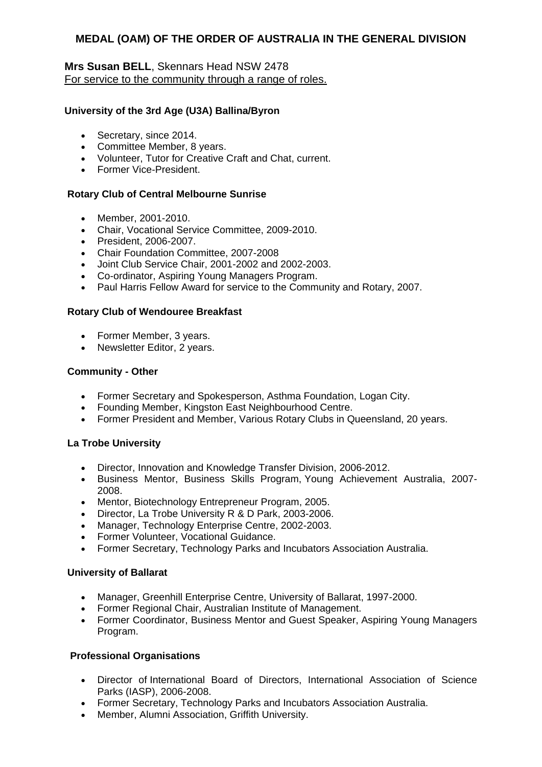### **Mrs Susan BELL**, Skennars Head NSW 2478 For service to the community through a range of roles.

#### **University of the 3rd Age (U3A) Ballina/Byron**

- Secretary, since 2014.
- Committee Member, 8 years.
- Volunteer, Tutor for Creative Craft and Chat, current.
- Former Vice-President.

#### **Rotary Club of Central Melbourne Sunrise**

- Member, 2001-2010.
- Chair, Vocational Service Committee, 2009-2010.
- President, 2006-2007.
- Chair Foundation Committee, 2007-2008
- Joint Club Service Chair, 2001-2002 and 2002-2003.
- Co-ordinator, Aspiring Young Managers Program.
- Paul Harris Fellow Award for service to the Community and Rotary, 2007.

#### **Rotary Club of Wendouree Breakfast**

- Former Member, 3 years.
- Newsletter Editor, 2 years.

#### **Community - Other**

- Former Secretary and Spokesperson, Asthma Foundation, Logan City.
- Founding Member, Kingston East Neighbourhood Centre.
- Former President and Member, Various Rotary Clubs in Queensland, 20 years.

#### **La Trobe University**

- Director, Innovation and Knowledge Transfer Division, 2006-2012.
- Business Mentor, Business Skills Program, Young Achievement Australia, 2007- 2008.
- Mentor, Biotechnology Entrepreneur Program, 2005.
- Director, La Trobe University R & D Park, 2003-2006.
- Manager, Technology Enterprise Centre, 2002-2003.
- Former Volunteer, Vocational Guidance.
- Former Secretary, Technology Parks and Incubators Association Australia.

#### **University of Ballarat**

- Manager, Greenhill Enterprise Centre, University of Ballarat, 1997-2000.
- Former Regional Chair, Australian Institute of Management.
- Former Coordinator, Business Mentor and Guest Speaker, Aspiring Young Managers Program.

#### **Professional Organisations**

- Director of International Board of Directors, International Association of Science Parks (IASP), 2006-2008.
- Former Secretary, Technology Parks and Incubators Association Australia.
- Member, Alumni Association, Griffith University.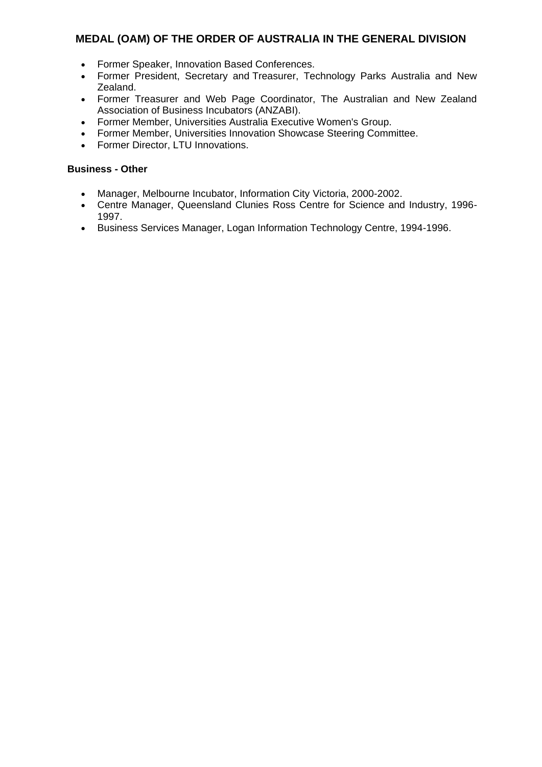- Former Speaker, Innovation Based Conferences.
- Former President, Secretary and Treasurer, Technology Parks Australia and New Zealand.
- Former Treasurer and Web Page Coordinator, The Australian and New Zealand Association of Business Incubators (ANZABI).
- Former Member, Universities Australia Executive Women's Group.
- Former Member, Universities Innovation Showcase Steering Committee.
- Former Director, LTU Innovations.

#### **Business - Other**

- Manager, Melbourne Incubator, Information City Victoria, 2000-2002.
- Centre Manager, Queensland Clunies Ross Centre for Science and Industry, 1996- 1997.
- Business Services Manager, Logan Information Technology Centre, 1994-1996.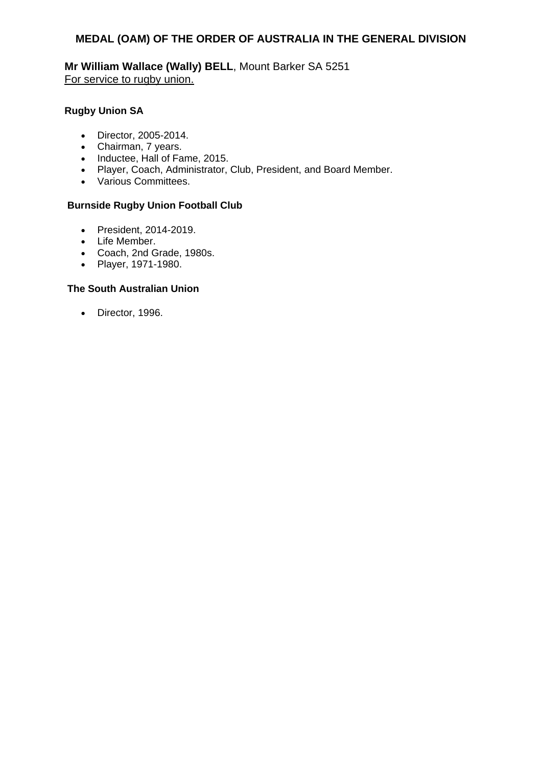**Mr William Wallace (Wally) BELL**, Mount Barker SA 5251 For service to rugby union.

### **Rugby Union SA**

- Director, 2005-2014.
- Chairman, 7 years.
- Inductee, Hall of Fame, 2015.
- Player, Coach, Administrator, Club, President, and Board Member.
- Various Committees.

#### **Burnside Rugby Union Football Club**

- President, 2014-2019.
- Life Member.
- Coach, 2nd Grade, 1980s.
- Player, 1971-1980.

#### **The South Australian Union**

• Director, 1996.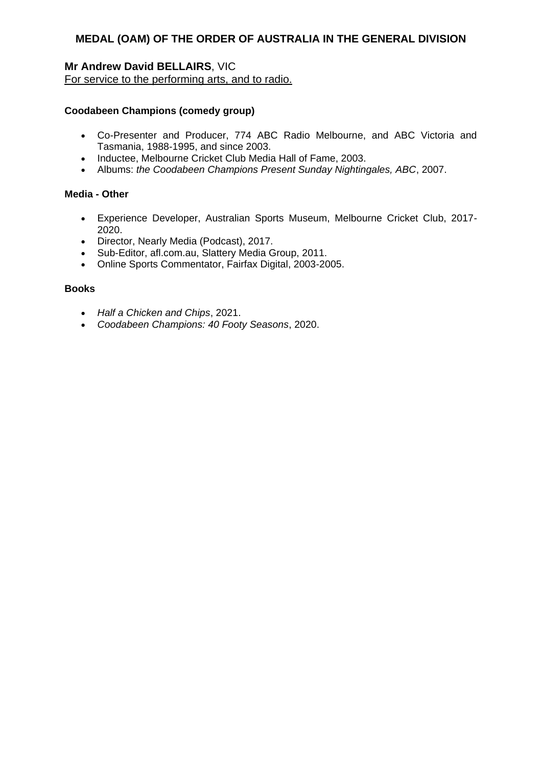# **Mr Andrew David BELLAIRS**, VIC

For service to the performing arts, and to radio.

### **Coodabeen Champions (comedy group)**

- Co-Presenter and Producer, 774 ABC Radio Melbourne, and ABC Victoria and Tasmania, 1988-1995, and since 2003.
- Inductee, Melbourne Cricket Club Media Hall of Fame, 2003.
- Albums: *the Coodabeen Champions Present Sunday Nightingales, ABC*, 2007.

#### **Media - Other**

- Experience Developer, Australian Sports Museum, Melbourne Cricket Club, 2017- 2020.
- Director, Nearly Media (Podcast), 2017.
- Sub-Editor, afl.com.au, Slattery Media Group, 2011.
- Online Sports Commentator, Fairfax Digital, 2003-2005.

#### **Books**

- *Half a Chicken and Chips*, 2021.
- *Coodabeen Champions: 40 Footy Seasons*, 2020.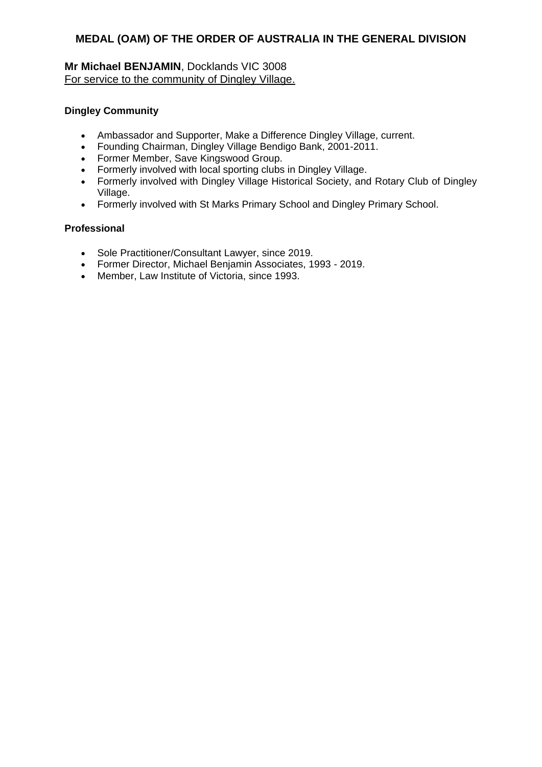## **Mr Michael BENJAMIN**, Docklands VIC 3008 For service to the community of Dingley Village.

#### **Dingley Community**

- Ambassador and Supporter, Make a Difference Dingley Village, current.
- Founding Chairman, Dingley Village Bendigo Bank, 2001-2011.
- Former Member, Save Kingswood Group.
- Formerly involved with local sporting clubs in Dingley Village.
- Formerly involved with Dingley Village Historical Society, and Rotary Club of Dingley Village.
- Formerly involved with St Marks Primary School and Dingley Primary School.

#### **Professional**

- Sole Practitioner/Consultant Lawyer, since 2019.
- Former Director, Michael Benjamin Associates, 1993 2019.
- Member, Law Institute of Victoria, since 1993.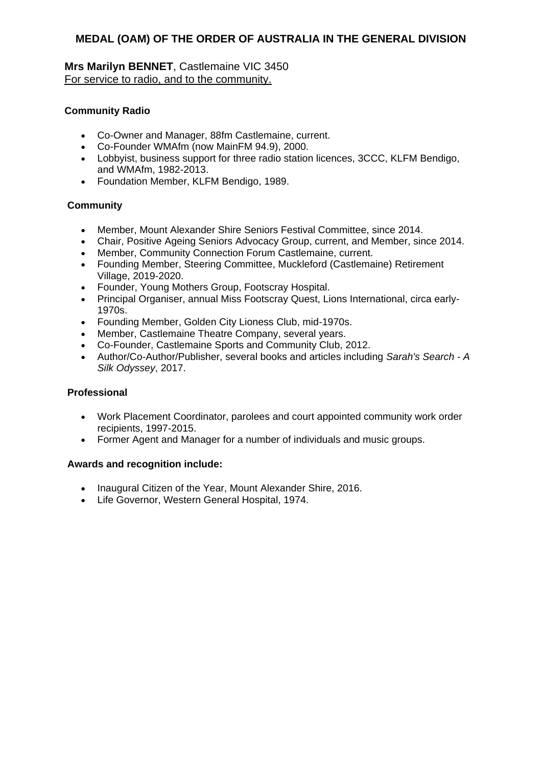**Mrs Marilyn BENNET**, Castlemaine VIC 3450 For service to radio, and to the community.

# **Community Radio**

- Co-Owner and Manager, 88fm Castlemaine, current.
- Co-Founder WMAfm (now MainFM 94.9), 2000.
- Lobbyist, business support for three radio station licences, 3CCC, KLFM Bendigo, and WMAfm, 1982-2013.
- Foundation Member, KLFM Bendigo, 1989.

# **Community**

- Member, Mount Alexander Shire Seniors Festival Committee, since 2014.
- Chair, Positive Ageing Seniors Advocacy Group, current, and Member, since 2014.
- Member, Community Connection Forum Castlemaine, current.
- Founding Member, Steering Committee, Muckleford (Castlemaine) Retirement Village, 2019-2020.
- Founder, Young Mothers Group, Footscray Hospital.
- Principal Organiser, annual Miss Footscray Quest, Lions International, circa early-1970s.
- Founding Member, Golden City Lioness Club, mid-1970s.
- Member, Castlemaine Theatre Company, several years.
- Co-Founder, Castlemaine Sports and Community Club, 2012.
- Author/Co-Author/Publisher, several books and articles including *Sarah's Search - A Silk Odyssey*, 2017.

### **Professional**

- Work Placement Coordinator, parolees and court appointed community work order recipients, 1997-2015.
- Former Agent and Manager for a number of individuals and music groups.

- Inaugural Citizen of the Year, Mount Alexander Shire, 2016.
- Life Governor, Western General Hospital, 1974.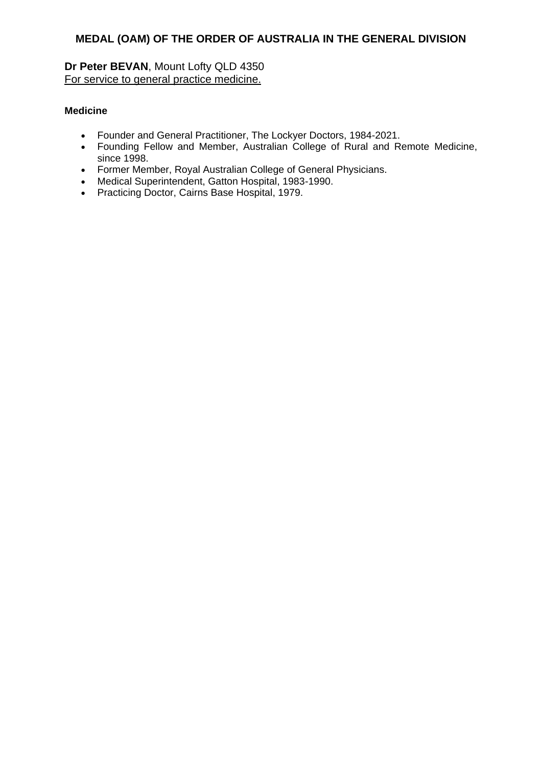**Dr Peter BEVAN**, Mount Lofty QLD 4350 For service to general practice medicine.

### **Medicine**

- Founder and General Practitioner, The Lockyer Doctors, 1984-2021.
- Founding Fellow and Member, Australian College of Rural and Remote Medicine, since 1998.
- Former Member, Royal Australian College of General Physicians.
- Medical Superintendent, Gatton Hospital, 1983-1990.
- Practicing Doctor, Cairns Base Hospital, 1979.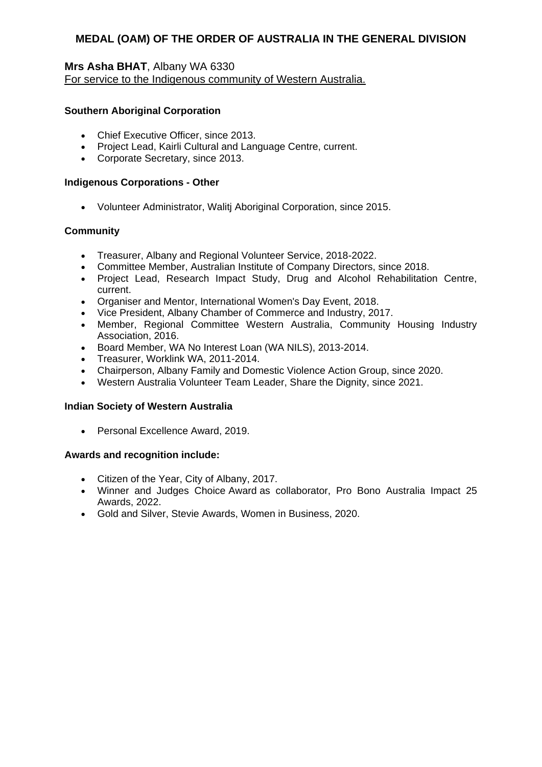### **Mrs Asha BHAT**, Albany WA 6330 For service to the Indigenous community of Western Australia.

#### **Southern Aboriginal Corporation**

- Chief Executive Officer, since 2013.
- Project Lead, Kairli Cultural and Language Centre, current.
- Corporate Secretary, since 2013.

#### **Indigenous Corporations - Other**

Volunteer Administrator, Walitj Aboriginal Corporation, since 2015.

### **Community**

- Treasurer, Albany and Regional Volunteer Service, 2018-2022.
- Committee Member, Australian Institute of Company Directors, since 2018.
- Project Lead, Research Impact Study, Drug and Alcohol Rehabilitation Centre, current.
- Organiser and Mentor, International Women's Day Event, 2018.
- Vice President, Albany Chamber of Commerce and Industry, 2017.
- Member, Regional Committee Western Australia, Community Housing Industry Association, 2016.
- Board Member, WA No Interest Loan (WA NILS), 2013-2014.
- Treasurer, Worklink WA, 2011-2014.
- Chairperson, Albany Family and Domestic Violence Action Group, since 2020.
- Western Australia Volunteer Team Leader, Share the Dignity, since 2021.

#### **Indian Society of Western Australia**

• Personal Excellence Award, 2019.

- Citizen of the Year, City of Albany, 2017.
- Winner and Judges Choice Award as collaborator, Pro Bono Australia Impact 25 Awards, 2022.
- Gold and Silver, Stevie Awards, Women in Business, 2020.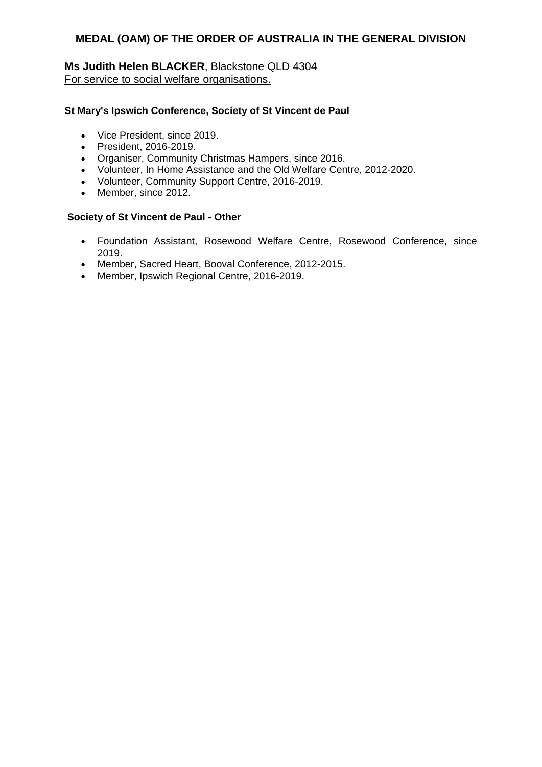### **Ms Judith Helen BLACKER**, Blackstone QLD 4304 For service to social welfare organisations.

#### **St Mary's Ipswich Conference, Society of St Vincent de Paul**

- Vice President, since 2019.
- President, 2016-2019.
- Organiser, Community Christmas Hampers, since 2016.
- Volunteer, In Home Assistance and the Old Welfare Centre, 2012-2020.
- Volunteer, Community Support Centre, 2016-2019.
- Member, since 2012.

#### **Society of St Vincent de Paul - Other**

- Foundation Assistant, Rosewood Welfare Centre, Rosewood Conference, since 2019.
- Member, Sacred Heart, Booval Conference, 2012-2015.
- Member, Ipswich Regional Centre, 2016-2019.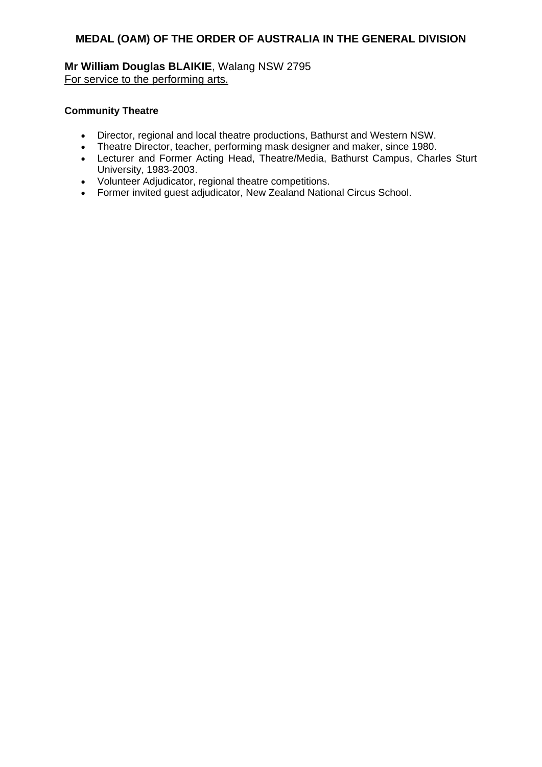**Mr William Douglas BLAIKIE**, Walang NSW 2795 For service to the performing arts.

#### **Community Theatre**

- Director, regional and local theatre productions, Bathurst and Western NSW.
- Theatre Director, teacher, performing mask designer and maker, since 1980.
- Lecturer and Former Acting Head, Theatre/Media, Bathurst Campus, Charles Sturt University, 1983-2003.
- Volunteer Adjudicator, regional theatre competitions.
- Former invited guest adjudicator, New Zealand National Circus School.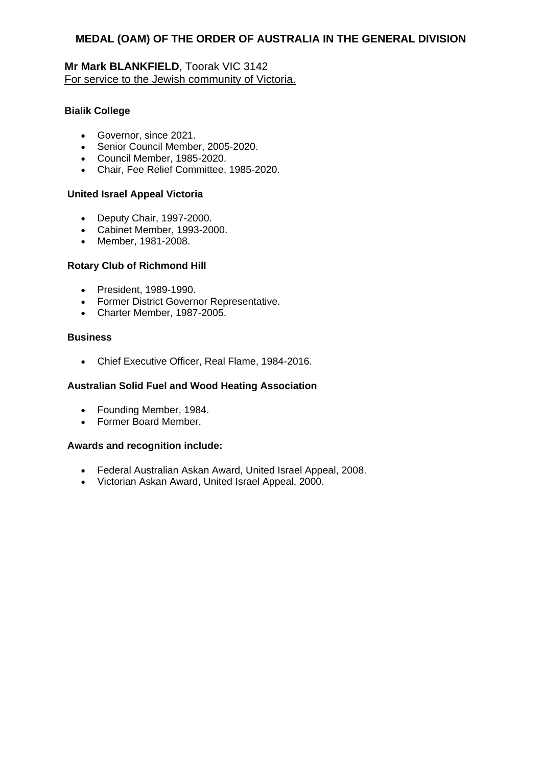### **Mr Mark BLANKFIELD**, Toorak VIC 3142 For service to the Jewish community of Victoria.

### **Bialik College**

- Governor, since 2021.
- Senior Council Member, 2005-2020.
- Council Member, 1985-2020.
- Chair, Fee Relief Committee, 1985-2020.

#### **United Israel Appeal Victoria**

- Deputy Chair, 1997-2000.
- Cabinet Member, 1993-2000.
- Member, 1981-2008.

#### **Rotary Club of Richmond Hill**

- President, 1989-1990.
- Former District Governor Representative.
- Charter Member, 1987-2005.

#### **Business**

Chief Executive Officer, Real Flame, 1984-2016.

#### **Australian Solid Fuel and Wood Heating Association**

- Founding Member, 1984.
- Former Board Member.

- Federal Australian Askan Award, United Israel Appeal, 2008.
- Victorian Askan Award, United Israel Appeal, 2000.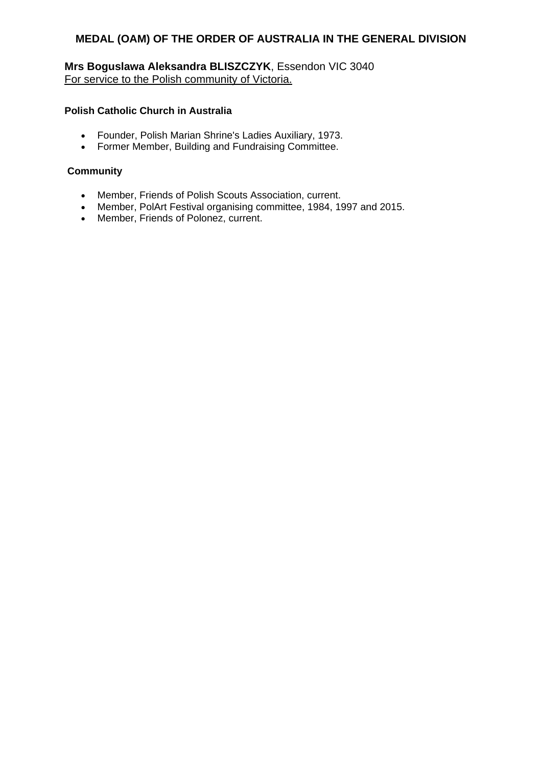**Mrs Boguslawa Aleksandra BLISZCZYK**, Essendon VIC 3040 For service to the Polish community of Victoria.

#### **Polish Catholic Church in Australia**

- Founder, Polish Marian Shrine's Ladies Auxiliary, 1973.
- Former Member, Building and Fundraising Committee.

### **Community**

- Member, Friends of Polish Scouts Association, current.
- Member, PolArt Festival organising committee, 1984, 1997 and 2015.
- Member, Friends of Polonez, current.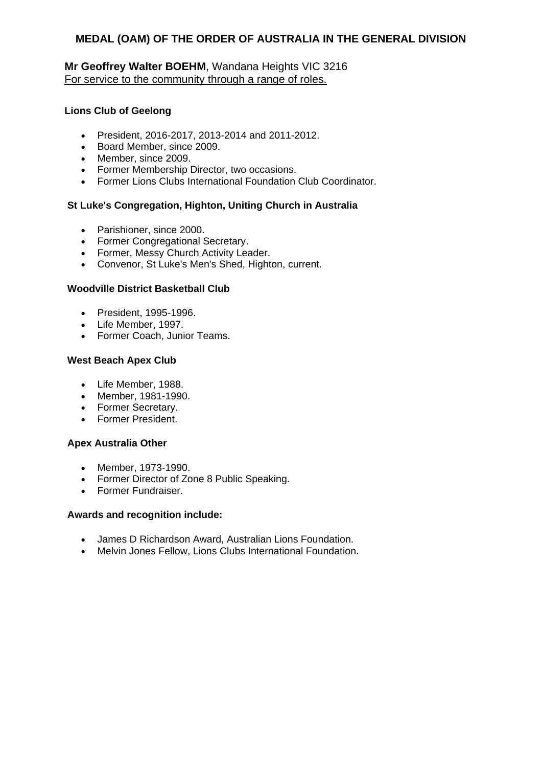### **Mr Geoffrey Walter BOEHM**, Wandana Heights VIC 3216 For service to the community through a range of roles.

#### **Lions Club of Geelong**

- President, 2016-2017, 2013-2014 and 2011-2012.
- Board Member, since 2009.
- Member, since 2009.
- Former Membership Director, two occasions.
- Former Lions Clubs International Foundation Club Coordinator.

### **St Luke's Congregation, Highton, Uniting Church in Australia**

- Parishioner, since 2000.
- Former Congregational Secretary.
- Former, Messy Church Activity Leader.
- Convenor, St Luke's Men's Shed, Highton, current.

### **Woodville District Basketball Club**

- President, 1995-1996.
- Life Member, 1997.
- Former Coach, Junior Teams.

### **West Beach Apex Club**

- Life Member, 1988.
- Member, 1981-1990.
- Former Secretary.
- Former President.

#### **Apex Australia Other**

- Member, 1973-1990.
- Former Director of Zone 8 Public Speaking.
- Former Fundraiser.

- James D Richardson Award, Australian Lions Foundation.
- Melvin Jones Fellow, Lions Clubs International Foundation.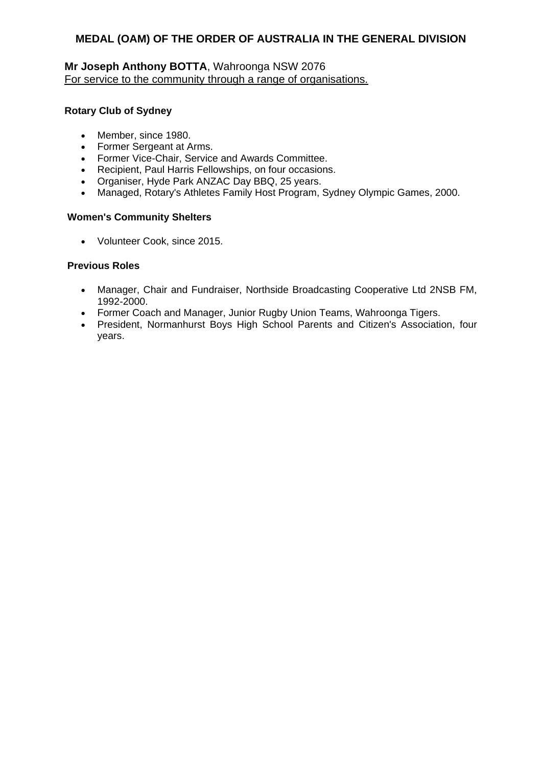### **Mr Joseph Anthony BOTTA**, Wahroonga NSW 2076 For service to the community through a range of organisations.

#### **Rotary Club of Sydney**

- Member, since 1980.
- Former Sergeant at Arms.
- Former Vice-Chair, Service and Awards Committee.
- Recipient, Paul Harris Fellowships, on four occasions.
- Organiser, Hyde Park ANZAC Day BBQ, 25 years.
- Managed, Rotary's Athletes Family Host Program, Sydney Olympic Games, 2000.

#### **Women's Community Shelters**

Volunteer Cook, since 2015.

### **Previous Roles**

- Manager, Chair and Fundraiser, Northside Broadcasting Cooperative Ltd 2NSB FM, 1992-2000.
- Former Coach and Manager, Junior Rugby Union Teams, Wahroonga Tigers.
- President, Normanhurst Boys High School Parents and Citizen's Association, four years.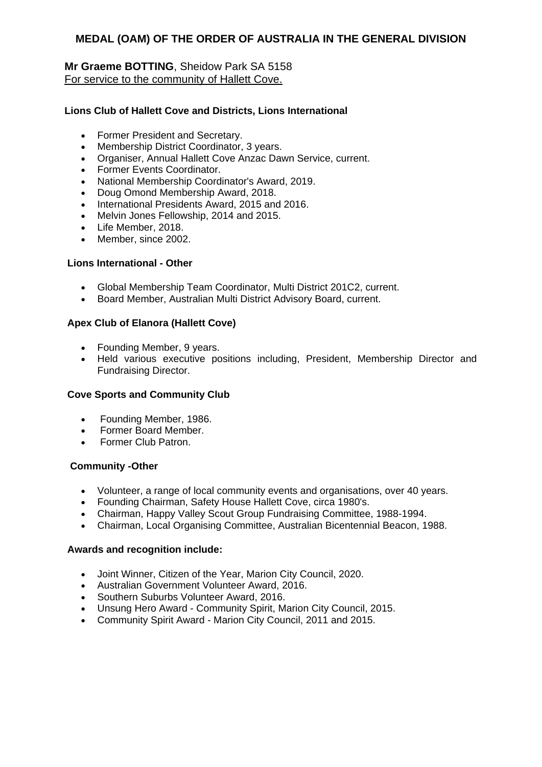### **Mr Graeme BOTTING**, Sheidow Park SA 5158 For service to the community of Hallett Cove.

#### **Lions Club of Hallett Cove and Districts, Lions International**

- Former President and Secretary.
- Membership District Coordinator, 3 years.
- Organiser, Annual Hallett Cove Anzac Dawn Service, current.
- Former Events Coordinator.
- National Membership Coordinator's Award, 2019.
- Doug Omond Membership Award, 2018.
- International Presidents Award, 2015 and 2016.
- Melvin Jones Fellowship, 2014 and 2015.
- Life Member, 2018.
- Member, since 2002.

#### **Lions International - Other**

- Global Membership Team Coordinator, Multi District 201C2, current.
- Board Member, Australian Multi District Advisory Board, current.

#### **Apex Club of Elanora (Hallett Cove)**

- Founding Member, 9 years.
- Held various executive positions including, President, Membership Director and Fundraising Director.

#### **Cove Sports and Community Club**

- Founding Member, 1986.
- Former Board Member.
- Former Club Patron.

#### **Community -Other**

- Volunteer, a range of local community events and organisations, over 40 years.
- Founding Chairman, Safety House Hallett Cove, circa 1980's.
- Chairman, Happy Valley Scout Group Fundraising Committee, 1988-1994.
- Chairman, Local Organising Committee, Australian Bicentennial Beacon, 1988.

- Joint Winner, Citizen of the Year, Marion City Council, 2020.
- Australian Government Volunteer Award, 2016.
- Southern Suburbs Volunteer Award, 2016.
- Unsung Hero Award Community Spirit, Marion City Council, 2015.
- Community Spirit Award Marion City Council, 2011 and 2015.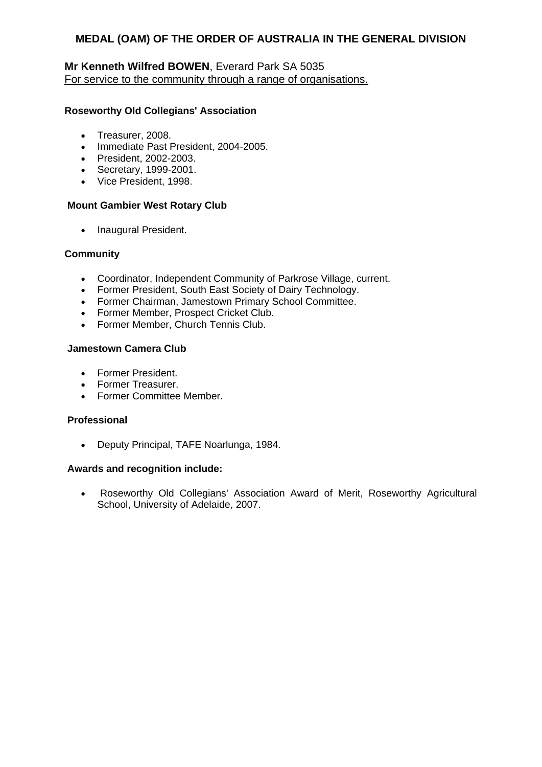### **Mr Kenneth Wilfred BOWEN**, Everard Park SA 5035 For service to the community through a range of organisations.

### **Roseworthy Old Collegians' Association**

- Treasurer, 2008.
- Immediate Past President, 2004-2005.
- President, 2002-2003.
- Secretary, 1999-2001.
- Vice President, 1998.

#### **Mount Gambier West Rotary Club**

• Inaugural President.

### **Community**

- Coordinator, Independent Community of Parkrose Village, current.
- Former President, South East Society of Dairy Technology.
- Former Chairman, Jamestown Primary School Committee.
- Former Member, Prospect Cricket Club.
- Former Member, Church Tennis Club.

#### **Jamestown Camera Club**

- Former President.
- Former Treasurer.
- **•** Former Committee Member.

#### **Professional**

Deputy Principal, TAFE Noarlunga, 1984.

#### **Awards and recognition include:**

 Roseworthy Old Collegians' Association Award of Merit, Roseworthy Agricultural School, University of Adelaide, 2007.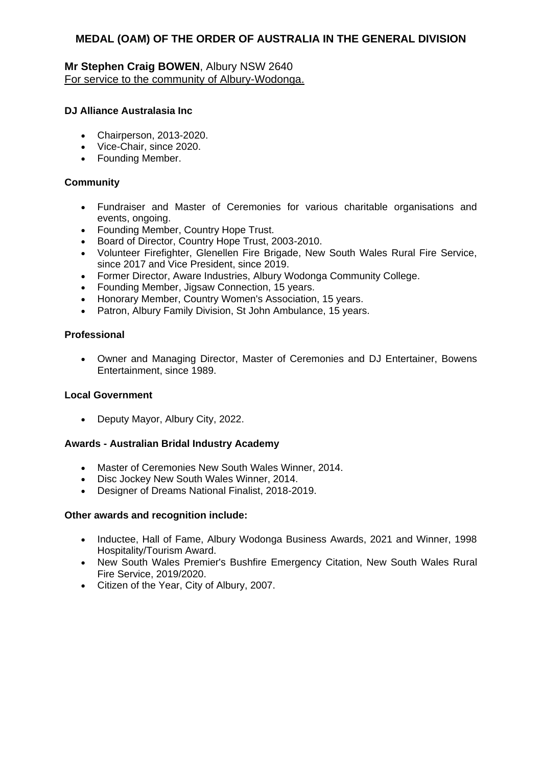### **Mr Stephen Craig BOWEN**, Albury NSW 2640 For service to the community of Albury-Wodonga.

#### **DJ Alliance Australasia Inc**

- Chairperson, 2013-2020.
- Vice-Chair, since 2020.
- Founding Member.

#### **Community**

- Fundraiser and Master of Ceremonies for various charitable organisations and events, ongoing.
- Founding Member, Country Hope Trust.
- Board of Director, Country Hope Trust, 2003-2010.
- Volunteer Firefighter, Glenellen Fire Brigade, New South Wales Rural Fire Service, since 2017 and Vice President, since 2019.
- Former Director, Aware Industries, Albury Wodonga Community College.
- Founding Member, Jigsaw Connection, 15 years.
- Honorary Member, Country Women's Association, 15 years.
- Patron, Albury Family Division, St John Ambulance, 15 years.

### **Professional**

 Owner and Managing Director, Master of Ceremonies and DJ Entertainer, Bowens Entertainment, since 1989.

#### **Local Government**

Deputy Mayor, Albury City, 2022.

#### **Awards - Australian Bridal Industry Academy**

- Master of Ceremonies New South Wales Winner, 2014.
- Disc Jockey New South Wales Winner, 2014.
- Designer of Dreams National Finalist, 2018-2019.

#### **Other awards and recognition include:**

- Inductee, Hall of Fame, Albury Wodonga Business Awards, 2021 and Winner, 1998 Hospitality/Tourism Award.
- New South Wales Premier's Bushfire Emergency Citation, New South Wales Rural Fire Service, 2019/2020.
- Citizen of the Year, City of Albury, 2007.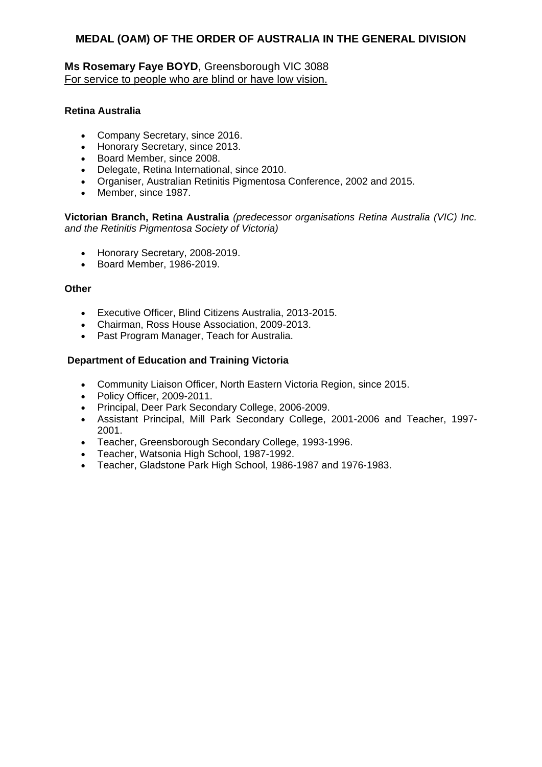### **Ms Rosemary Faye BOYD**, Greensborough VIC 3088 For service to people who are blind or have low vision.

#### **Retina Australia**

- Company Secretary, since 2016.
- Honorary Secretary, since 2013.
- Board Member, since 2008.
- Delegate, Retina International, since 2010.
- Organiser, Australian Retinitis Pigmentosa Conference, 2002 and 2015.
- Member, since 1987.

**Victorian Branch, Retina Australia** *(predecessor organisations Retina Australia (VIC) Inc. and the Retinitis Pigmentosa Society of Victoria)*

- Honorary Secretary, 2008-2019.
- Board Member, 1986-2019.

#### **Other**

- Executive Officer, Blind Citizens Australia, 2013-2015.
- Chairman, Ross House Association, 2009-2013.
- Past Program Manager, Teach for Australia.

#### **Department of Education and Training Victoria**

- Community Liaison Officer, North Eastern Victoria Region, since 2015.
- Policy Officer, 2009-2011.
- Principal, Deer Park Secondary College, 2006-2009.
- Assistant Principal, Mill Park Secondary College, 2001-2006 and Teacher, 1997- 2001.
- Teacher, Greensborough Secondary College, 1993-1996.
- Teacher, Watsonia High School, 1987-1992.
- Teacher, Gladstone Park High School, 1986-1987 and 1976-1983.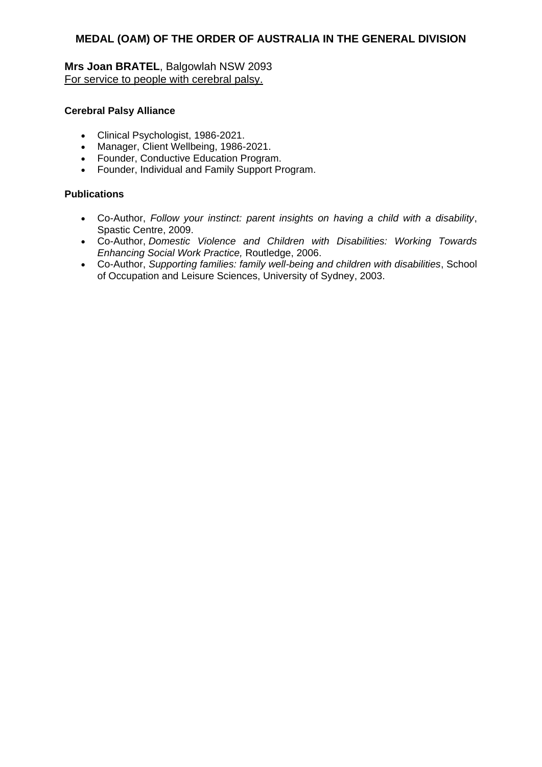**Mrs Joan BRATEL**, Balgowlah NSW 2093 For service to people with cerebral palsy.

#### **Cerebral Palsy Alliance**

- Clinical Psychologist, 1986-2021.
- Manager, Client Wellbeing, 1986-2021.
- Founder, Conductive Education Program.
- Founder, Individual and Family Support Program.

### **Publications**

- Co-Author, *Follow your instinct: parent insights on having a child with a disability*, Spastic Centre, 2009.
- Co-Author, *Domestic Violence and Children with Disabilities: Working Towards Enhancing Social Work Practice,* Routledge, 2006.
- Co-Author, *Supporting families: family well-being and children with disabilities*, School of Occupation and Leisure Sciences, University of Sydney, 2003.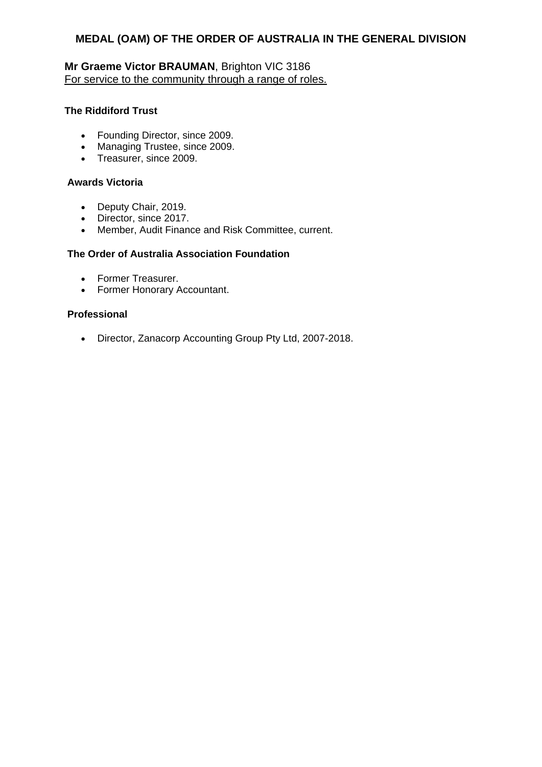# **Mr Graeme Victor BRAUMAN**, Brighton VIC 3186 For service to the community through a range of roles.

#### **The Riddiford Trust**

- Founding Director, since 2009.
- Managing Trustee, since 2009.
- Treasurer, since 2009.

#### **Awards Victoria**

- Deputy Chair, 2019.
- Director, since 2017.
- Member, Audit Finance and Risk Committee, current.

### **The Order of Australia Association Foundation**

- Former Treasurer.
- Former Honorary Accountant.

#### **Professional**

Director, Zanacorp Accounting Group Pty Ltd, 2007-2018.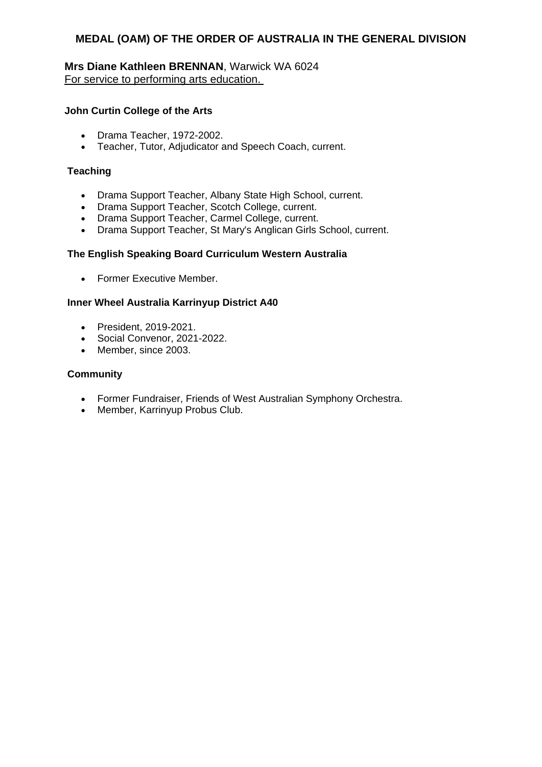### **Mrs Diane Kathleen BRENNAN**, Warwick WA 6024 For service to performing arts education.

#### **John Curtin College of the Arts**

- Drama Teacher, 1972-2002.
- Teacher, Tutor, Adjudicator and Speech Coach, current.

#### **Teaching**

- Drama Support Teacher, Albany State High School, current.
- Drama Support Teacher, Scotch College, current.
- Drama Support Teacher, Carmel College, current.
- Drama Support Teacher, St Mary's Anglican Girls School, current.

#### **The English Speaking Board Curriculum Western Australia**

• Former Executive Member.

#### **Inner Wheel Australia Karrinyup District A40**

- President, 2019-2021.
- Social Convenor, 2021-2022.
- Member, since 2003.

#### **Community**

- Former Fundraiser, Friends of West Australian Symphony Orchestra.
- Member, Karrinyup Probus Club.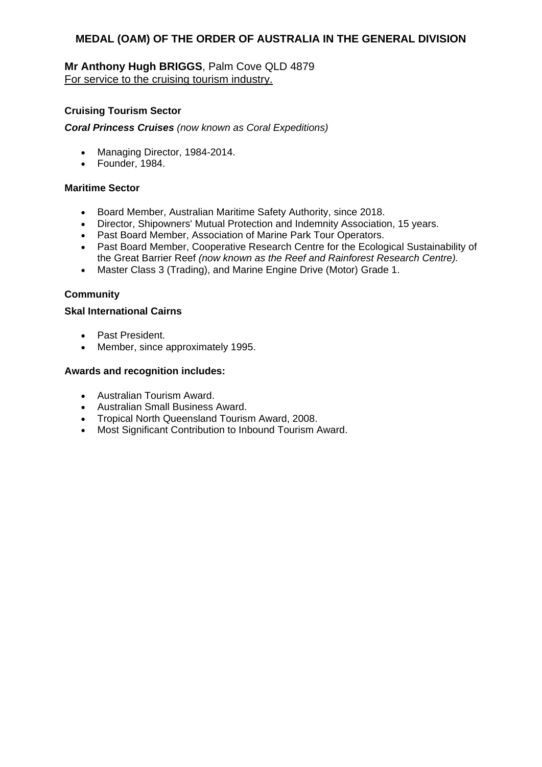### **Mr Anthony Hugh BRIGGS**, Palm Cove QLD 4879 For service to the cruising tourism industry.

### **Cruising Tourism Sector**

*Coral Princess Cruises (now known as Coral Expeditions)*

- Managing Director, 1984-2014.
- Founder, 1984.

### **Maritime Sector**

- Board Member, Australian Maritime Safety Authority, since 2018.
- Director, Shipowners' Mutual Protection and Indemnity Association, 15 years.
- Past Board Member, Association of Marine Park Tour Operators.
- Past Board Member, Cooperative Research Centre for the Ecological Sustainability of the Great Barrier Reef *(now known as the Reef and Rainforest Research Centre).*
- Master Class 3 (Trading), and Marine Engine Drive (Motor) Grade 1.

### **Community**

#### **Skal International Cairns**

- Past President.
- Member, since approximately 1995.

- Australian Tourism Award.
- Australian Small Business Award.
- Tropical North Queensland Tourism Award, 2008.
- Most Significant Contribution to Inbound Tourism Award.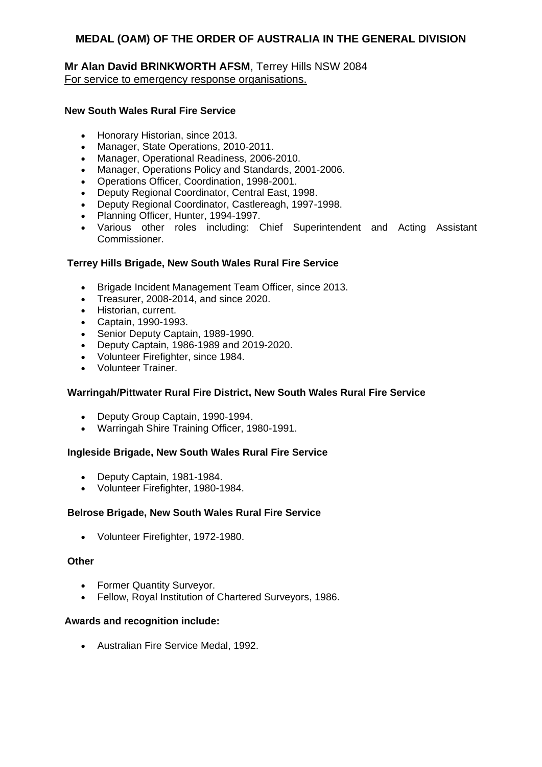### **Mr Alan David BRINKWORTH AFSM**, Terrey Hills NSW 2084 For service to emergency response organisations.

#### **New South Wales Rural Fire Service**

- Honorary Historian, since 2013.
- Manager, State Operations, 2010-2011.
- Manager, Operational Readiness, 2006-2010.
- Manager, Operations Policy and Standards, 2001-2006.
- Operations Officer, Coordination, 1998-2001.
- Deputy Regional Coordinator, Central East, 1998.
- Deputy Regional Coordinator, Castlereagh, 1997-1998.
- Planning Officer, Hunter, 1994-1997.
- Various other roles including: Chief Superintendent and Acting Assistant Commissioner.

### **Terrey Hills Brigade, New South Wales Rural Fire Service**

- Brigade Incident Management Team Officer, since 2013.
- Treasurer, 2008-2014, and since 2020.
- Historian, current.
- Captain, 1990-1993.
- Senior Deputy Captain, 1989-1990.
- Deputy Captain, 1986-1989 and 2019-2020.
- Volunteer Firefighter, since 1984.
- Volunteer Trainer.

#### **Warringah/Pittwater Rural Fire District, New South Wales Rural Fire Service**

- Deputy Group Captain, 1990-1994.
- Warringah Shire Training Officer, 1980-1991.

#### **Ingleside Brigade, New South Wales Rural Fire Service**

- Deputy Captain, 1981-1984.
- Volunteer Firefighter, 1980-1984.

#### **Belrose Brigade, New South Wales Rural Fire Service**

Volunteer Firefighter, 1972-1980.

#### **Other**

- Former Quantity Surveyor.
- Fellow, Royal Institution of Chartered Surveyors, 1986.

#### **Awards and recognition include:**

Australian Fire Service Medal, 1992.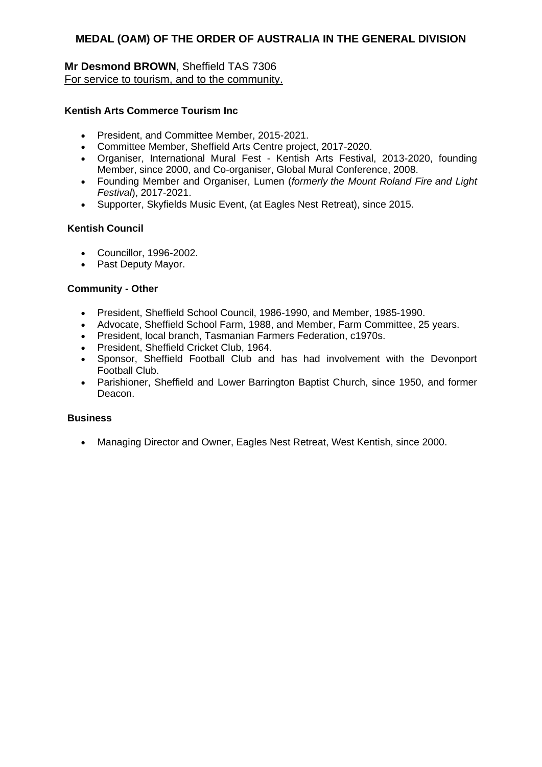### **Mr Desmond BROWN**, Sheffield TAS 7306 For service to tourism, and to the community.

#### **Kentish Arts Commerce Tourism Inc**

- President, and Committee Member, 2015-2021.
- Committee Member, Sheffield Arts Centre project, 2017-2020.
- Organiser, International Mural Fest Kentish Arts Festival, 2013-2020, founding Member, since 2000, and Co-organiser, Global Mural Conference, 2008.
- Founding Member and Organiser, Lumen (*formerly the Mount Roland Fire and Light Festival*), 2017-2021.
- Supporter, Skyfields Music Event, (at Eagles Nest Retreat), since 2015.

#### **Kentish Council**

- Councillor, 1996-2002.
- Past Deputy Mayor.

#### **Community - Other**

- President, Sheffield School Council, 1986-1990, and Member, 1985-1990.
- Advocate, Sheffield School Farm, 1988, and Member, Farm Committee, 25 years.
- President, local branch, Tasmanian Farmers Federation, c1970s.
- President, Sheffield Cricket Club, 1964.
- Sponsor, Sheffield Football Club and has had involvement with the Devonport Football Club.
- Parishioner, Sheffield and Lower Barrington Baptist Church, since 1950, and former Deacon.

#### **Business**

Managing Director and Owner, Eagles Nest Retreat, West Kentish, since 2000.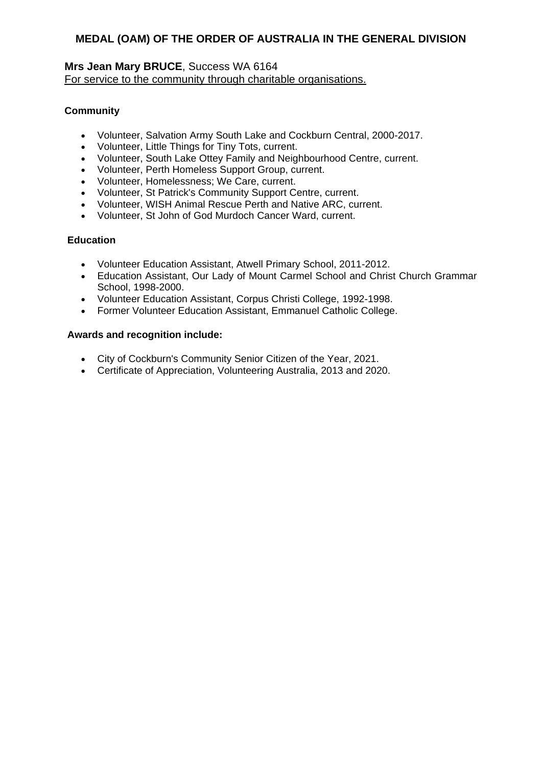### **Mrs Jean Mary BRUCE**, Success WA 6164 For service to the community through charitable organisations.

# **Community**

- Volunteer, Salvation Army South Lake and Cockburn Central, 2000-2017.
- Volunteer, Little Things for Tiny Tots, current.
- Volunteer, South Lake Ottey Family and Neighbourhood Centre, current.
- Volunteer, Perth Homeless Support Group, current.
- Volunteer, Homelessness; We Care, current.
- Volunteer, St Patrick's Community Support Centre, current.
- Volunteer, WISH Animal Rescue Perth and Native ARC, current.
- Volunteer, St John of God Murdoch Cancer Ward, current.

### **Education**

- Volunteer Education Assistant, Atwell Primary School, 2011-2012.
- Education Assistant, Our Lady of Mount Carmel School and Christ Church Grammar School, 1998-2000.
- Volunteer Education Assistant, Corpus Christi College, 1992-1998.
- Former Volunteer Education Assistant, Emmanuel Catholic College.

- City of Cockburn's Community Senior Citizen of the Year, 2021.
- Certificate of Appreciation, Volunteering Australia, 2013 and 2020.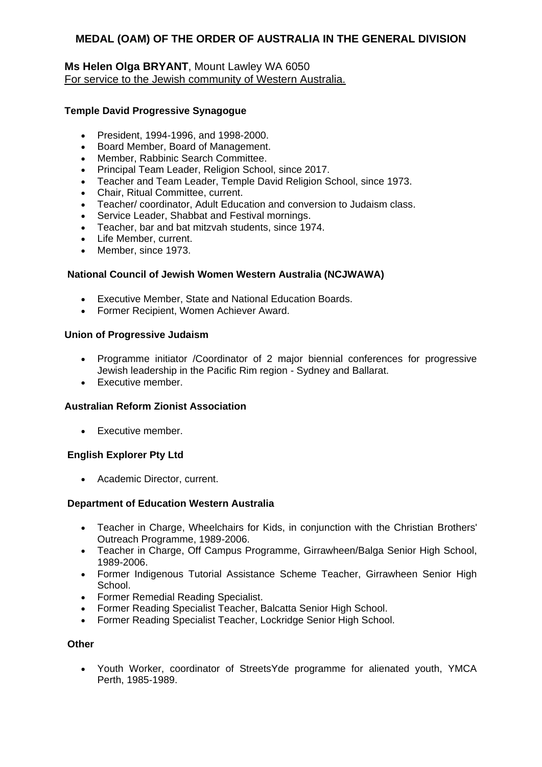### **Ms Helen Olga BRYANT**, Mount Lawley WA 6050 For service to the Jewish community of Western Australia.

### **Temple David Progressive Synagogue**

- President, 1994-1996, and 1998-2000.
- Board Member, Board of Management.
- Member, Rabbinic Search Committee.
- Principal Team Leader, Religion School, since 2017.
- Teacher and Team Leader, Temple David Religion School, since 1973.
- Chair, Ritual Committee, current.
- Teacher/ coordinator, Adult Education and conversion to Judaism class.
- Service Leader, Shabbat and Festival mornings.
- Teacher, bar and bat mitzvah students, since 1974.
- Life Member, current.
- Member, since 1973.

#### **National Council of Jewish Women Western Australia (NCJWAWA)**

- Executive Member, State and National Education Boards.
- Former Recipient, Women Achiever Award.

#### **Union of Progressive Judaism**

- Programme initiator /Coordinator of 2 major biennial conferences for progressive Jewish leadership in the Pacific Rim region - Sydney and Ballarat.
- Executive member.

#### **Australian Reform Zionist Association**

• Executive member.

### **English Explorer Pty Ltd**

Academic Director, current.

#### **Department of Education Western Australia**

- Teacher in Charge, Wheelchairs for Kids, in conjunction with the Christian Brothers' Outreach Programme, 1989-2006.
- Teacher in Charge, Off Campus Programme, Girrawheen/Balga Senior High School, 1989-2006.
- Former Indigenous Tutorial Assistance Scheme Teacher, Girrawheen Senior High School.
- Former Remedial Reading Specialist.
- Former Reading Specialist Teacher, Balcatta Senior High School.
- Former Reading Specialist Teacher, Lockridge Senior High School.

#### **Other**

 Youth Worker, coordinator of StreetsYde programme for alienated youth, YMCA Perth, 1985-1989.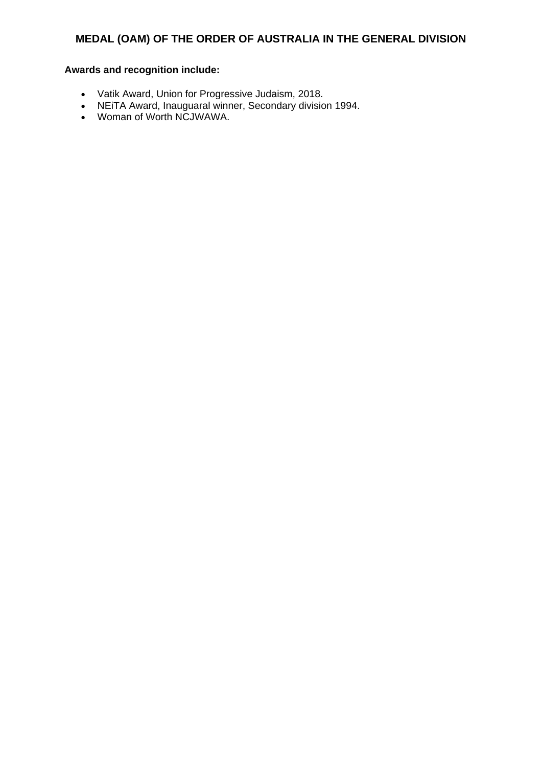- Vatik Award, Union for Progressive Judaism, 2018.
- NEiTA Award, Inauguaral winner, Secondary division 1994.
- Woman of Worth NCJWAWA.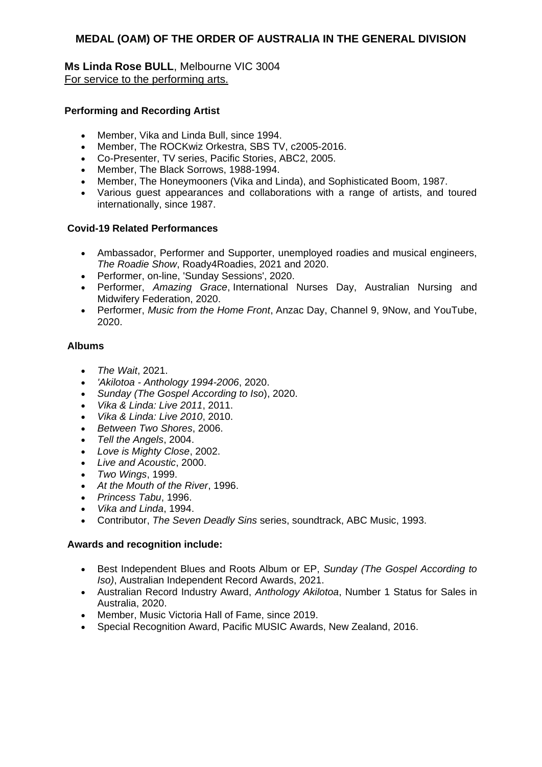**Ms Linda Rose BULL**, Melbourne VIC 3004 For service to the performing arts.

#### **Performing and Recording Artist**

- Member, Vika and Linda Bull, since 1994.
- Member, The ROCKwiz Orkestra, SBS TV, c2005-2016.
- Co-Presenter, TV series, Pacific Stories, ABC2, 2005.
- Member, The Black Sorrows, 1988-1994.
- Member, The Honeymooners (Vika and Linda), and Sophisticated Boom, 1987.
- Various guest appearances and collaborations with a range of artists, and toured internationally, since 1987.

#### **Covid-19 Related Performances**

- Ambassador, Performer and Supporter, unemployed roadies and musical engineers, *The Roadie Show*, Roady4Roadies, 2021 and 2020.
- Performer, on-line, 'Sunday Sessions', 2020.
- Performer, *Amazing Grace*, International Nurses Day, Australian Nursing and Midwifery Federation, 2020.
- Performer, *Music from the Home Front*, Anzac Day, Channel 9, 9Now, and YouTube, 2020.

#### **Albums**

- *The Wait*, 2021.
- *'Akilotoa - Anthology 1994-2006*, 2020.
- *Sunday (The Gospel According to Iso*), 2020.
- *Vika & Linda: Live 2011*, 2011.
- *Vika & Linda: Live 2010*, 2010.
- *Between Two Shores*, 2006.
- *Tell the Angels*, 2004.
- *Love is Mighty Close*, 2002.
- *Live and Acoustic*, 2000.
- *Two Wings*, 1999.
- *At the Mouth of the River*, 1996.
- *Princess Tabu*, 1996.
- *Vika and Linda*, 1994.
- Contributor, *The Seven Deadly Sins* series, soundtrack, ABC Music, 1993.

- Best Independent Blues and Roots Album or EP, *Sunday (The Gospel According to Iso)*, Australian Independent Record Awards, 2021.
- Australian Record Industry Award, *Anthology Akilotoa*, Number 1 Status for Sales in Australia, 2020.
- Member, Music Victoria Hall of Fame, since 2019.
- Special Recognition Award, Pacific MUSIC Awards, New Zealand, 2016.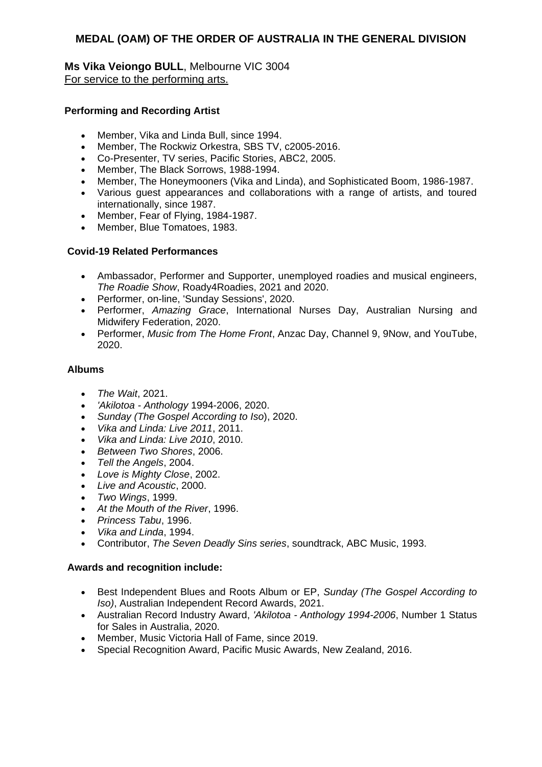**Ms Vika Veiongo BULL**, Melbourne VIC 3004 For service to the performing arts.

#### **Performing and Recording Artist**

- Member, Vika and Linda Bull, since 1994.
- Member, The Rockwiz Orkestra, SBS TV, c2005-2016.
- Co-Presenter, TV series, Pacific Stories, ABC2, 2005.
- Member, The Black Sorrows, 1988-1994.
- Member, The Honeymooners (Vika and Linda), and Sophisticated Boom, 1986-1987.
- Various guest appearances and collaborations with a range of artists, and toured internationally, since 1987.
- Member, Fear of Flying, 1984-1987.
- Member, Blue Tomatoes, 1983.

### **Covid-19 Related Performances**

- Ambassador, Performer and Supporter, unemployed roadies and musical engineers, *The Roadie Show*, Roady4Roadies, 2021 and 2020.
- Performer, on-line, 'Sunday Sessions', 2020.
- Performer, *Amazing Grace*, International Nurses Day, Australian Nursing and Midwifery Federation, 2020.
- Performer, *Music from The Home Front*, Anzac Day, Channel 9, 9Now, and YouTube, 2020.

#### **Albums**

- *The Wait*, 2021.
- *'Akilotoa - Anthology* 1994-2006, 2020.
- *Sunday (The Gospel According to Iso*), 2020.
- *Vika and Linda: Live 2011*, 2011.
- *Vika and Linda: Live 2010*, 2010.
- *Between Two Shores*, 2006.
- *Tell the Angels*, 2004.
- *Love is Mighty Close*, 2002.
- *Live and Acoustic*, 2000.
- *Two Wings*, 1999.
- *At the Mouth of the River*, 1996.
- *Princess Tabu*, 1996.
- *Vika and Linda*, 1994.
- Contributor, *The Seven Deadly Sins series*, soundtrack, ABC Music, 1993.

- Best Independent Blues and Roots Album or EP, *Sunday (The Gospel According to Iso)*, Australian Independent Record Awards, 2021.
- Australian Record Industry Award, *'Akilotoa - Anthology 1994-2006*, Number 1 Status for Sales in Australia, 2020.
- Member, Music Victoria Hall of Fame, since 2019.
- Special Recognition Award, Pacific Music Awards, New Zealand, 2016.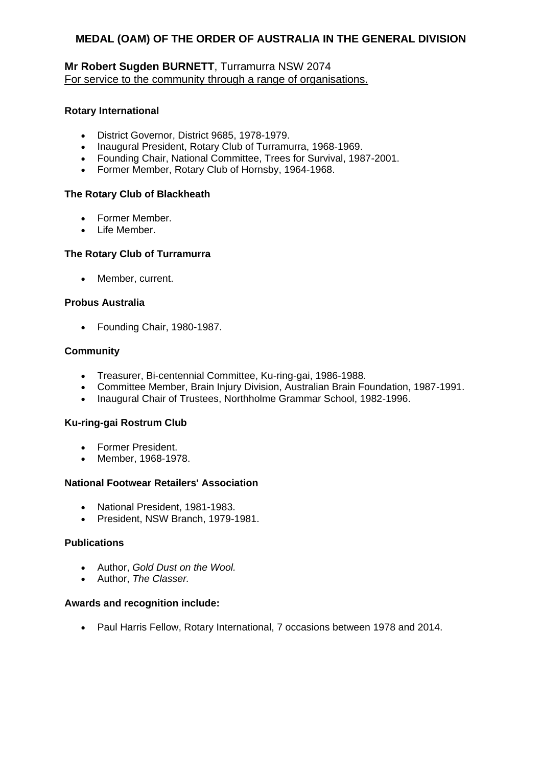### **Mr Robert Sugden BURNETT**, Turramurra NSW 2074 For service to the community through a range of organisations.

#### **Rotary International**

- District Governor, District 9685, 1978-1979.
- Inaugural President, Rotary Club of Turramurra, 1968-1969.
- Founding Chair, National Committee, Trees for Survival, 1987-2001.
- Former Member, Rotary Club of Hornsby, 1964-1968.

### **The Rotary Club of Blackheath**

- Former Member.
- Life Member.

### **The Rotary Club of Turramurra**

• Member, current.

### **Probus Australia**

Founding Chair, 1980-1987.

### **Community**

- Treasurer, Bi-centennial Committee, Ku-ring-gai, 1986-1988.
- Committee Member, Brain Injury Division, Australian Brain Foundation, 1987-1991.
- Inaugural Chair of Trustees, Northholme Grammar School, 1982-1996.

#### **Ku-ring-gai Rostrum Club**

- Former President.
- Member, 1968-1978.

#### **National Footwear Retailers' Association**

- National President, 1981-1983.
- President, NSW Branch, 1979-1981.

#### **Publications**

- Author, *Gold Dust on the Wool.*
- Author, *The Classer.*

#### **Awards and recognition include:**

Paul Harris Fellow, Rotary International, 7 occasions between 1978 and 2014.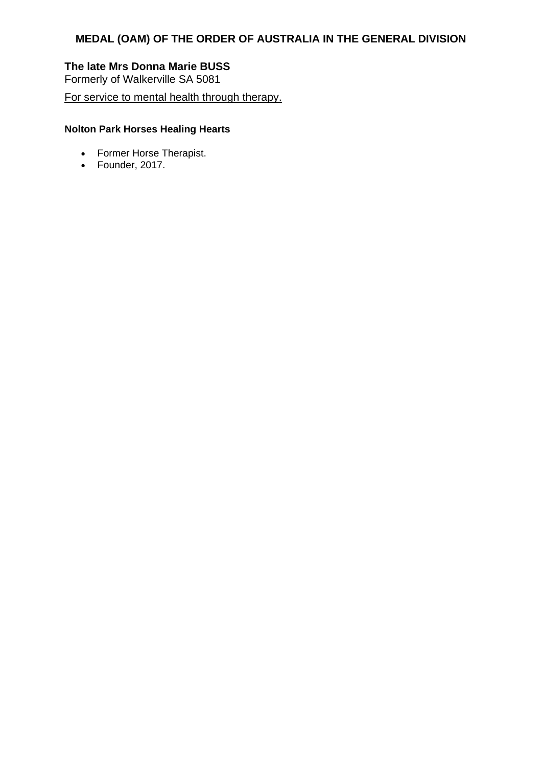# **The late Mrs Donna Marie BUSS**

Formerly of Walkerville SA 5081

For service to mental health through therapy.

## **Nolton Park Horses Healing Hearts**

- Former Horse Therapist.
- Founder, 2017.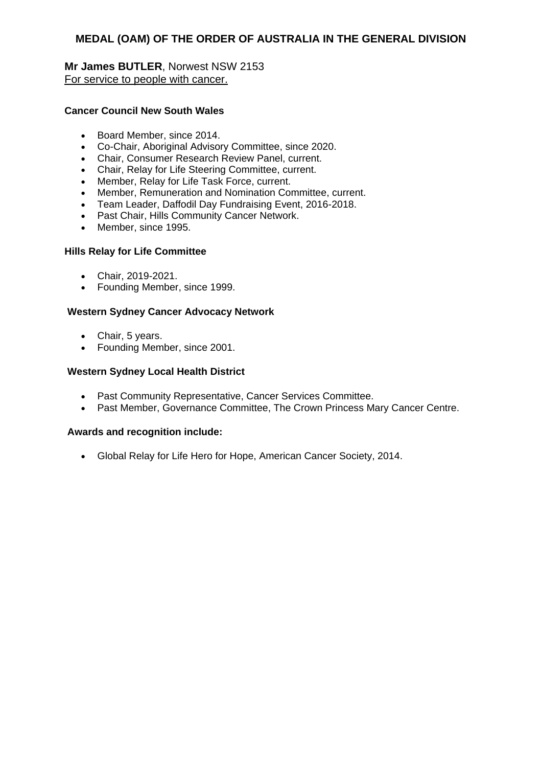**Mr James BUTLER**, Norwest NSW 2153 For service to people with cancer.

#### **Cancer Council New South Wales**

- Board Member, since 2014.
- Co-Chair, Aboriginal Advisory Committee, since 2020.
- Chair, Consumer Research Review Panel, current.
- Chair, Relay for Life Steering Committee, current.
- Member, Relay for Life Task Force, current.
- Member, Remuneration and Nomination Committee, current.
- Team Leader, Daffodil Day Fundraising Event, 2016-2018.
- Past Chair, Hills Community Cancer Network.
- Member, since 1995.

### **Hills Relay for Life Committee**

- Chair, 2019-2021.
- Founding Member, since 1999.

### **Western Sydney Cancer Advocacy Network**

- Chair, 5 years.
- Founding Member, since 2001.

### **Western Sydney Local Health District**

- Past Community Representative, Cancer Services Committee.
- Past Member, Governance Committee, The Crown Princess Mary Cancer Centre.

#### **Awards and recognition include:**

Global Relay for Life Hero for Hope, American Cancer Society, 2014.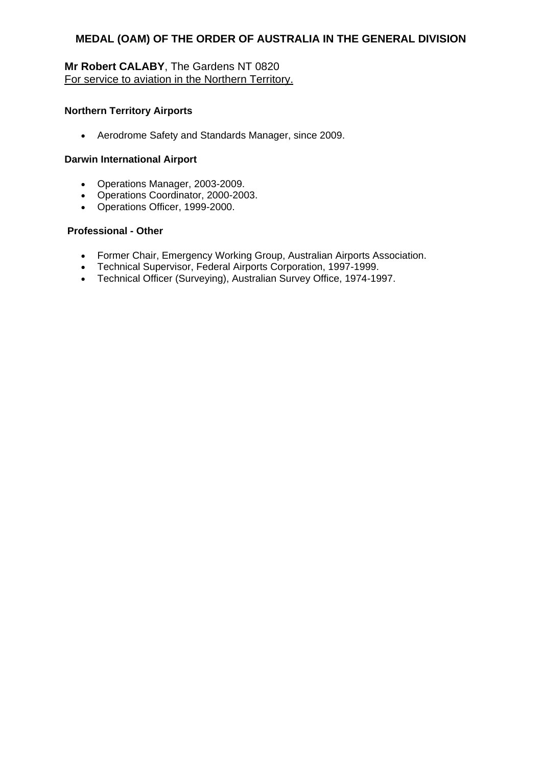# **Mr Robert CALABY**, The Gardens NT 0820 For service to aviation in the Northern Territory.

#### **Northern Territory Airports**

Aerodrome Safety and Standards Manager, since 2009.

#### **Darwin International Airport**

- Operations Manager, 2003-2009.
- Operations Coordinator, 2000-2003.
- Operations Officer, 1999-2000.

#### **Professional - Other**

- Former Chair, Emergency Working Group, Australian Airports Association.
- Technical Supervisor, Federal Airports Corporation, 1997-1999.
- Technical Officer (Surveying), Australian Survey Office, 1974-1997.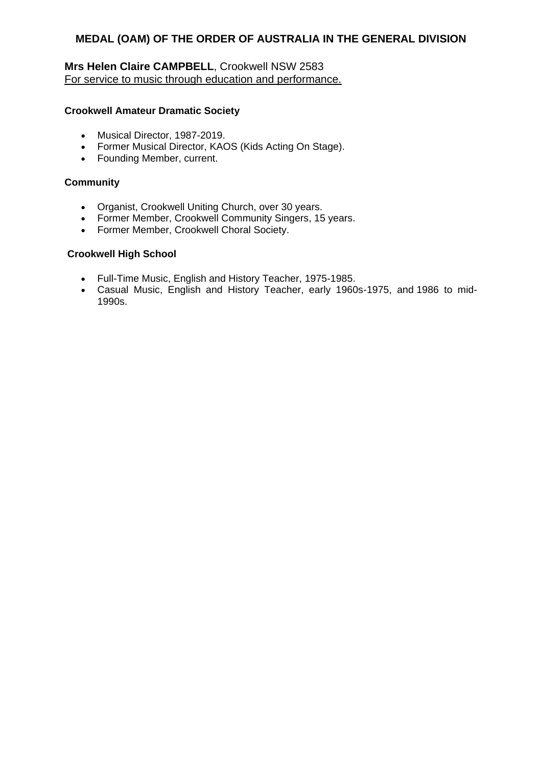## **Mrs Helen Claire CAMPBELL**, Crookwell NSW 2583 For service to music through education and performance.

#### **Crookwell Amateur Dramatic Society**

- Musical Director, 1987-2019.
- Former Musical Director, KAOS (Kids Acting On Stage).
- Founding Member, current.

#### **Community**

- Organist, Crookwell Uniting Church, over 30 years.
- Former Member, Crookwell Community Singers, 15 years.
- Former Member, Crookwell Choral Society.

#### **Crookwell High School**

- Full-Time Music, English and History Teacher, 1975-1985.
- Casual Music, English and History Teacher, early 1960s-1975, and 1986 to mid-1990s.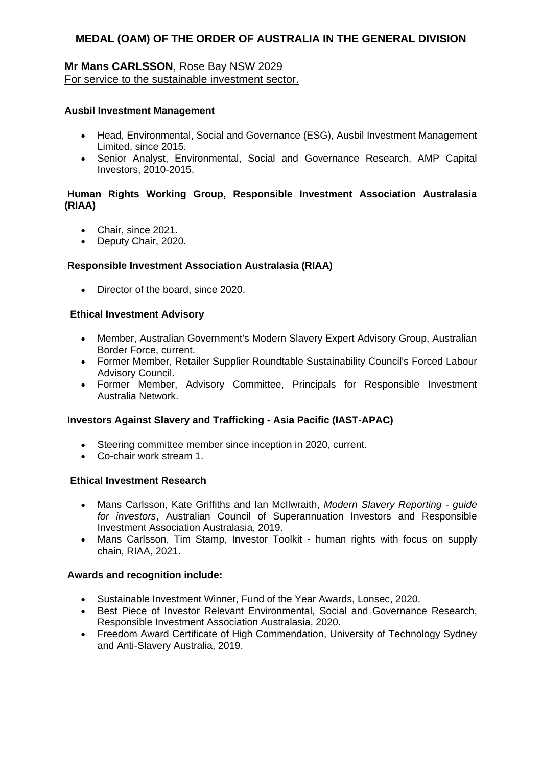### **Mr Mans CARLSSON**, Rose Bay NSW 2029 For service to the sustainable investment sector.

#### **Ausbil Investment Management**

- Head, Environmental, Social and Governance (ESG), Ausbil Investment Management Limited, since 2015.
- Senior Analyst, Environmental, Social and Governance Research, AMP Capital Investors, 2010-2015.

#### **Human Rights Working Group, Responsible Investment Association Australasia (RIAA)**

- Chair, since 2021.
- Deputy Chair, 2020.

#### **Responsible Investment Association Australasia (RIAA)**

• Director of the board, since 2020.

#### **Ethical Investment Advisory**

- Member, Australian Government's Modern Slavery Expert Advisory Group, Australian Border Force, current.
- Former Member, Retailer Supplier Roundtable Sustainability Council's Forced Labour Advisory Council.
- Former Member, Advisory Committee, Principals for Responsible Investment Australia Network.

#### **Investors Against Slavery and Trafficking - Asia Pacific (IAST-APAC)**

- Steering committee member since inception in 2020, current.
- Co-chair work stream 1.

#### **Ethical Investment Research**

- Mans Carlsson, Kate Griffiths and Ian McIlwraith, *Modern Slavery Reporting - guide for investors*, Australian Council of Superannuation Investors and Responsible Investment Association Australasia, 2019.
- Mans Carlsson, Tim Stamp, Investor Toolkit human rights with focus on supply chain, RIAA, 2021.

- Sustainable Investment Winner, Fund of the Year Awards, Lonsec, 2020.
- Best Piece of Investor Relevant Environmental, Social and Governance Research, Responsible Investment Association Australasia, 2020.
- Freedom Award Certificate of High Commendation, University of Technology Sydney and Anti-Slavery Australia, 2019.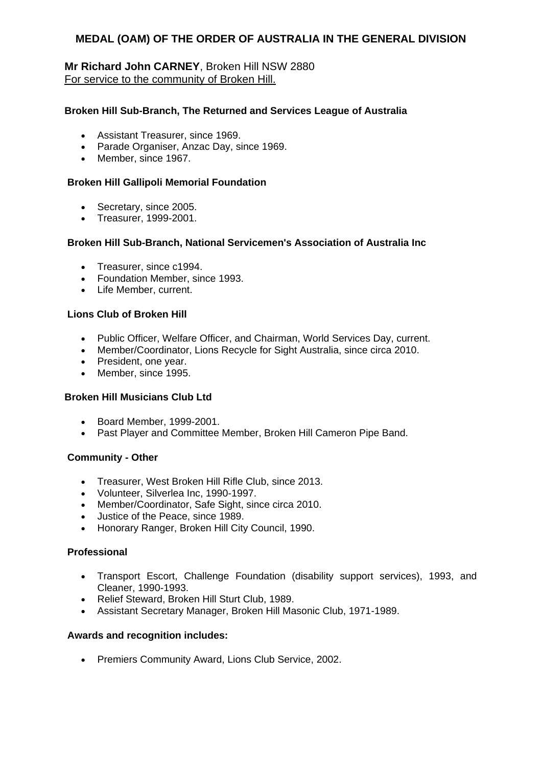### **Mr Richard John CARNEY**, Broken Hill NSW 2880 For service to the community of Broken Hill.

#### **Broken Hill Sub-Branch, The Returned and Services League of Australia**

- Assistant Treasurer, since 1969.
- Parade Organiser, Anzac Day, since 1969.
- Member, since 1967.

#### **Broken Hill Gallipoli Memorial Foundation**

- Secretary, since 2005.
- Treasurer, 1999-2001.

#### **Broken Hill Sub-Branch, National Servicemen's Association of Australia Inc**

- Treasurer, since c1994.
- Foundation Member, since 1993.
- Life Member, current.

#### **Lions Club of Broken Hill**

- Public Officer, Welfare Officer, and Chairman, World Services Day, current.
- Member/Coordinator, Lions Recycle for Sight Australia, since circa 2010.
- President, one year.
- Member, since 1995.

#### **Broken Hill Musicians Club Ltd**

- Board Member, 1999-2001.
- Past Player and Committee Member, Broken Hill Cameron Pipe Band.

#### **Community - Other**

- Treasurer, West Broken Hill Rifle Club, since 2013.
- Volunteer, Silverlea Inc, 1990-1997.
- Member/Coordinator, Safe Sight, since circa 2010.
- Justice of the Peace, since 1989.
- Honorary Ranger, Broken Hill City Council, 1990.

#### **Professional**

- Transport Escort, Challenge Foundation (disability support services), 1993, and Cleaner, 1990-1993.
- Relief Steward, Broken Hill Sturt Club, 1989.
- Assistant Secretary Manager, Broken Hill Masonic Club, 1971-1989.

#### **Awards and recognition includes:**

• Premiers Community Award, Lions Club Service, 2002.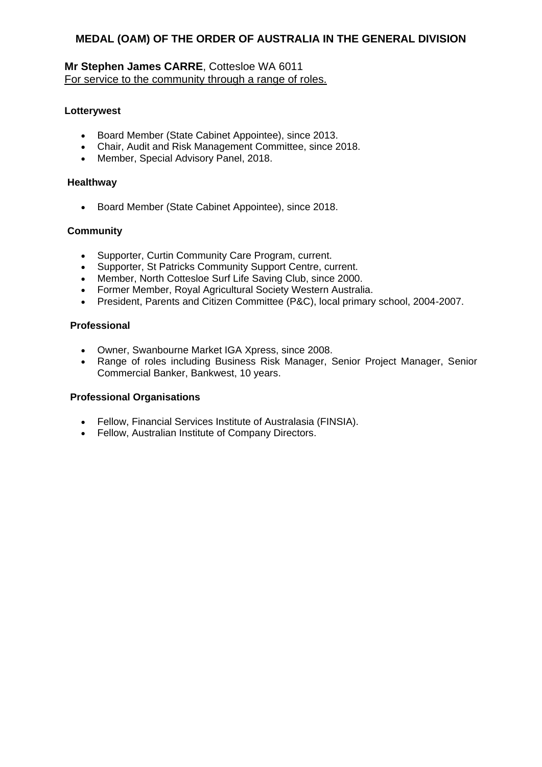### **Mr Stephen James CARRE**, Cottesloe WA 6011 For service to the community through a range of roles.

#### **Lotterywest**

- Board Member (State Cabinet Appointee), since 2013.
- Chair, Audit and Risk Management Committee, since 2018.
- Member, Special Advisory Panel, 2018.

#### **Healthway**

Board Member (State Cabinet Appointee), since 2018.

#### **Community**

- Supporter, Curtin Community Care Program, current.
- Supporter, St Patricks Community Support Centre, current.
- Member, North Cottesloe Surf Life Saving Club, since 2000.
- Former Member, Royal Agricultural Society Western Australia.
- President, Parents and Citizen Committee (P&C), local primary school, 2004-2007.

#### **Professional**

- Owner, Swanbourne Market IGA Xpress, since 2008.
- Range of roles including Business Risk Manager, Senior Project Manager, Senior Commercial Banker, Bankwest, 10 years.

#### **Professional Organisations**

- Fellow, Financial Services Institute of Australasia (FINSIA).
- Fellow, Australian Institute of Company Directors.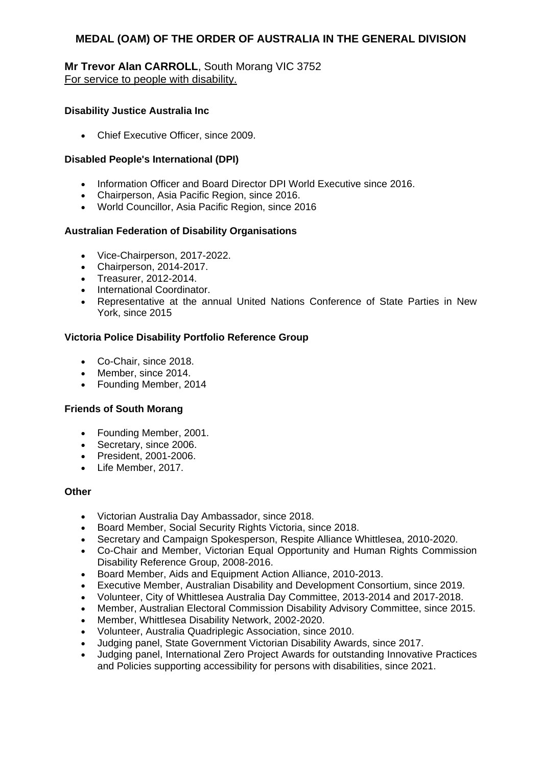### **Mr Trevor Alan CARROLL**, South Morang VIC 3752 For service to people with disability.

#### **Disability Justice Australia Inc**

• Chief Executive Officer, since 2009.

#### **Disabled People's International (DPI)**

- Information Officer and Board Director DPI World Executive since 2016.
- Chairperson, Asia Pacific Region, since 2016.
- World Councillor, Asia Pacific Region, since 2016

### **Australian Federation of Disability Organisations**

- Vice-Chairperson, 2017-2022.
- Chairperson, 2014-2017.
- Treasurer, 2012-2014.
- International Coordinator.
- Representative at the annual United Nations Conference of State Parties in New York, since 2015

### **Victoria Police Disability Portfolio Reference Group**

- Co-Chair, since 2018.
- Member, since 2014.
- Founding Member, 2014

#### **Friends of South Morang**

- Founding Member, 2001.
- Secretary, since 2006.
- President, 2001-2006.
- Life Member, 2017.

#### **Other**

- Victorian Australia Day Ambassador, since 2018.
- Board Member, Social Security Rights Victoria, since 2018.
- Secretary and Campaign Spokesperson, Respite Alliance Whittlesea, 2010-2020.
- Co-Chair and Member, Victorian Equal Opportunity and Human Rights Commission Disability Reference Group, 2008-2016.
- Board Member, Aids and Equipment Action Alliance, 2010-2013.
- Executive Member, Australian Disability and Development Consortium, since 2019.
- Volunteer, City of Whittlesea Australia Day Committee, 2013-2014 and 2017-2018.
- Member, Australian Electoral Commission Disability Advisory Committee, since 2015.
- Member, Whittlesea Disability Network, 2002-2020.
- Volunteer, Australia Quadriplegic Association, since 2010.
- Judging panel, State Government Victorian Disability Awards, since 2017.
- Judging panel, International Zero Project Awards for outstanding Innovative Practices and Policies supporting accessibility for persons with disabilities, since 2021.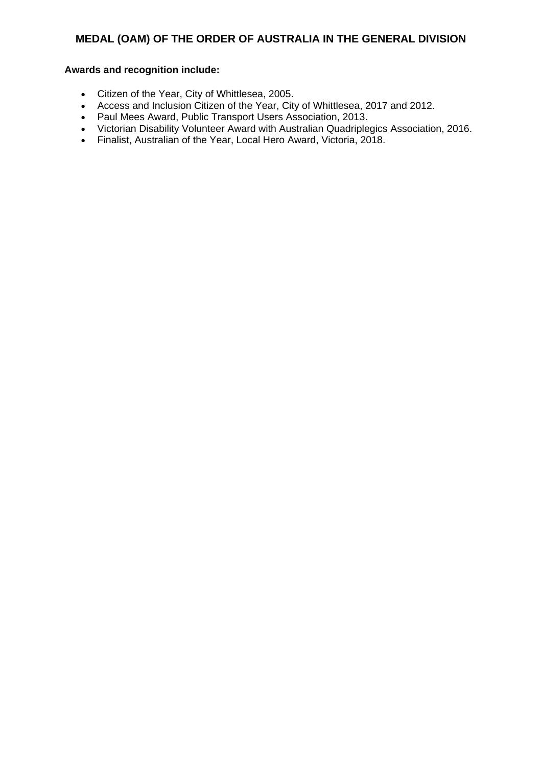- Citizen of the Year, City of Whittlesea, 2005.
- Access and Inclusion Citizen of the Year, City of Whittlesea, 2017 and 2012.
- Paul Mees Award, Public Transport Users Association, 2013.
- Victorian Disability Volunteer Award with Australian Quadriplegics Association, 2016.
- Finalist, Australian of the Year, Local Hero Award, Victoria, 2018.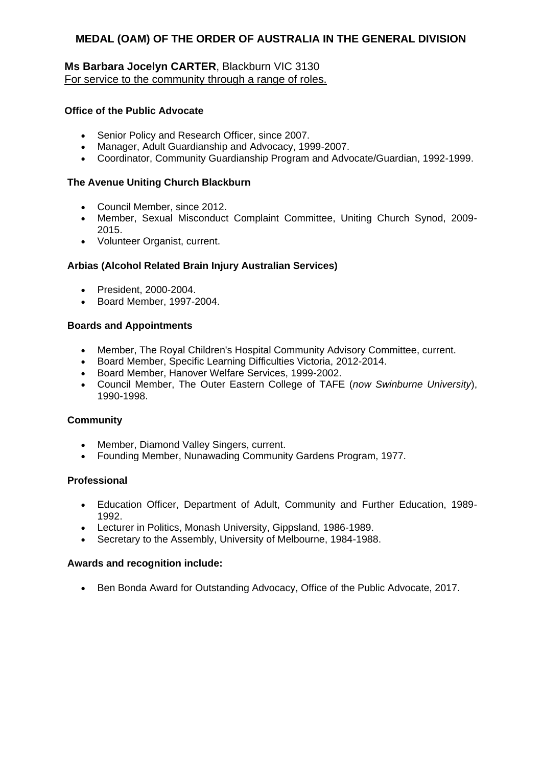### **Ms Barbara Jocelyn CARTER**, Blackburn VIC 3130 For service to the community through a range of roles.

### **Office of the Public Advocate**

- Senior Policy and Research Officer, since 2007.
- Manager, Adult Guardianship and Advocacy, 1999-2007.
- Coordinator, Community Guardianship Program and Advocate/Guardian, 1992-1999.

#### **The Avenue Uniting Church Blackburn**

- Council Member, since 2012.
- Member, Sexual Misconduct Complaint Committee, Uniting Church Synod, 2009- 2015.
- Volunteer Organist, current.

### **Arbias (Alcohol Related Brain Injury Australian Services)**

- President, 2000-2004.
- Board Member, 1997-2004.

#### **Boards and Appointments**

- Member, The Royal Children's Hospital Community Advisory Committee, current.
- Board Member, Specific Learning Difficulties Victoria, 2012-2014.
- Board Member, Hanover Welfare Services, 1999-2002.
- Council Member, The Outer Eastern College of TAFE (*now Swinburne University*), 1990-1998.

### **Community**

- Member, Diamond Valley Singers, current.
- Founding Member, Nunawading Community Gardens Program, 1977.

#### **Professional**

- Education Officer, Department of Adult, Community and Further Education, 1989- 1992.
- Lecturer in Politics, Monash University, Gippsland, 1986-1989.
- Secretary to the Assembly, University of Melbourne, 1984-1988.

### **Awards and recognition include:**

Ben Bonda Award for Outstanding Advocacy, Office of the Public Advocate, 2017.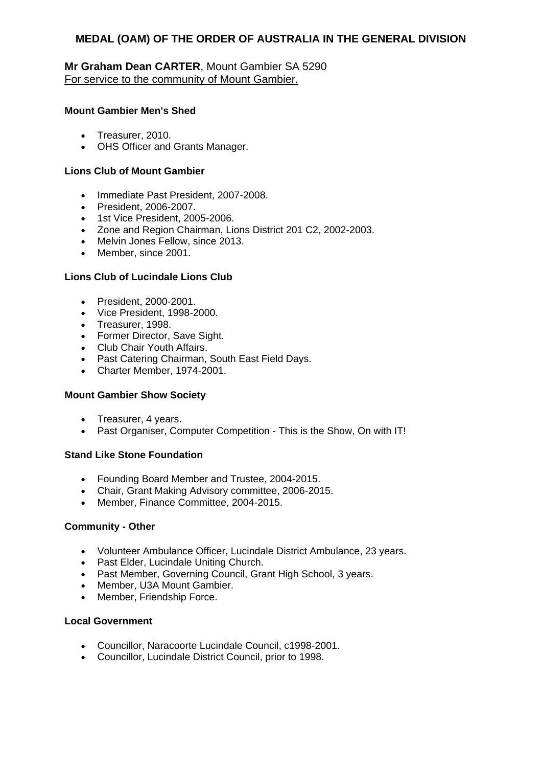### **Mr Graham Dean CARTER**, Mount Gambier SA 5290 For service to the community of Mount Gambier.

### **Mount Gambier Men's Shed**

- Treasurer, 2010.
- OHS Officer and Grants Manager.

#### **Lions Club of Mount Gambier**

- Immediate Past President, 2007-2008.
- President, 2006-2007.
- 1st Vice President, 2005-2006.
- Zone and Region Chairman, Lions District 201 C2, 2002-2003.
- Melvin Jones Fellow, since 2013.
- Member, since 2001.

### **Lions Club of Lucindale Lions Club**

- President, 2000-2001.
- Vice President, 1998-2000.
- Treasurer, 1998.
- Former Director, Save Sight.
- Club Chair Youth Affairs.
- Past Catering Chairman, South East Field Days.
- Charter Member, 1974-2001.

#### **Mount Gambier Show Society**

- Treasurer, 4 years.
- Past Organiser, Computer Competition This is the Show, On with IT!

#### **Stand Like Stone Foundation**

- Founding Board Member and Trustee, 2004-2015.
- Chair, Grant Making Advisory committee, 2006-2015.
- Member, Finance Committee, 2004-2015.

#### **Community - Other**

- Volunteer Ambulance Officer, Lucindale District Ambulance, 23 years.
- Past Elder, Lucindale Uniting Church.
- Past Member, Governing Council, Grant High School, 3 years.
- Member, U3A Mount Gambier.
- Member, Friendship Force.

#### **Local Government**

- Councillor, Naracoorte Lucindale Council, c1998-2001.
- Councillor, Lucindale District Council, prior to 1998.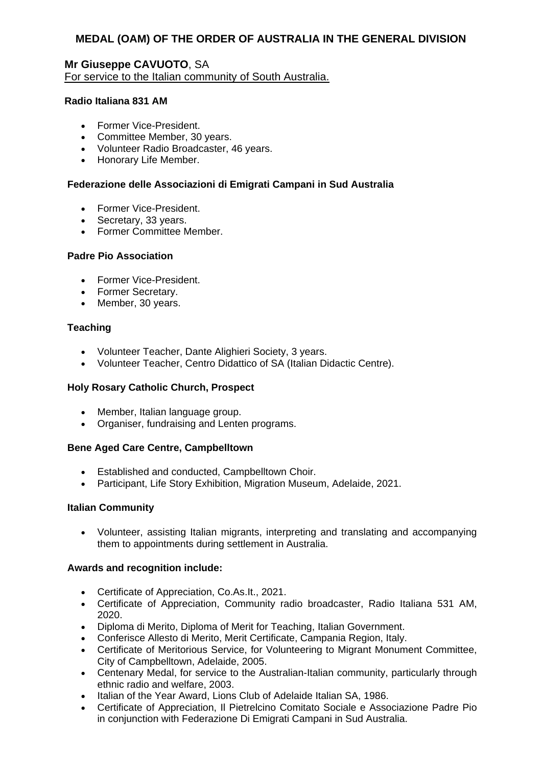## **Mr Giuseppe CAVUOTO**, SA For service to the Italian community of South Australia.

#### **Radio Italiana 831 AM**

- Former Vice-President.
- Committee Member, 30 years.
- Volunteer Radio Broadcaster, 46 years.
- Honorary Life Member.

#### **Federazione delle Associazioni di Emigrati Campani in Sud Australia**

- Former Vice-President.
- Secretary, 33 years.
- Former Committee Member.

### **Padre Pio Association**

- Former Vice-President.
- Former Secretary.
- Member, 30 years.

#### **Teaching**

- Volunteer Teacher, Dante Alighieri Society, 3 years.
- Volunteer Teacher, Centro Didattico of SA (Italian Didactic Centre).

#### **Holy Rosary Catholic Church, Prospect**

- Member, Italian language group.
- Organiser, fundraising and Lenten programs.

#### **Bene Aged Care Centre, Campbelltown**

- Established and conducted, Campbelltown Choir.
- Participant, Life Story Exhibition, Migration Museum, Adelaide, 2021.

#### **Italian Community**

 Volunteer, assisting Italian migrants, interpreting and translating and accompanying them to appointments during settlement in Australia.

- Certificate of Appreciation, Co.As.It., 2021.
- Certificate of Appreciation, Community radio broadcaster, Radio Italiana 531 AM, 2020.
- Diploma di Merito, Diploma of Merit for Teaching, Italian Government.
- Conferisce Allesto di Merito, Merit Certificate, Campania Region, Italy.
- Certificate of Meritorious Service, for Volunteering to Migrant Monument Committee, City of Campbelltown, Adelaide, 2005.
- Centenary Medal, for service to the Australian-Italian community, particularly through ethnic radio and welfare, 2003.
- Italian of the Year Award, Lions Club of Adelaide Italian SA, 1986.
- Certificate of Appreciation, Il Pietrelcino Comitato Sociale e Associazione Padre Pio in conjunction with Federazione Di Emigrati Campani in Sud Australia.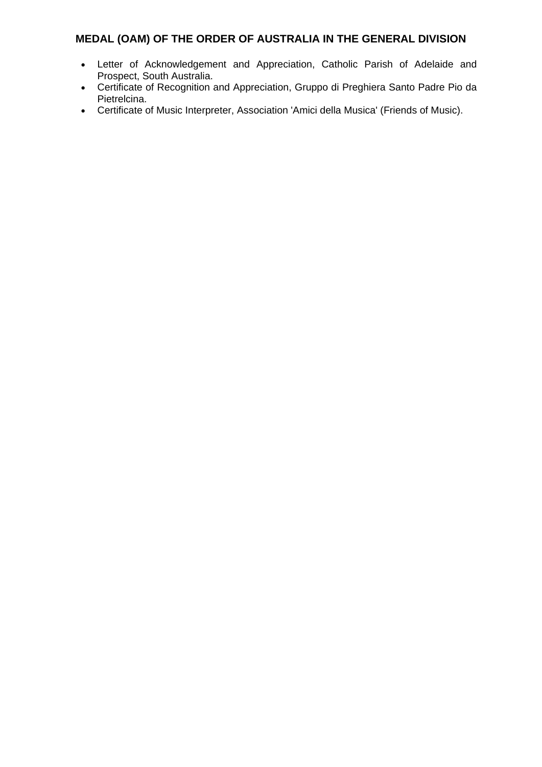- Letter of Acknowledgement and Appreciation, Catholic Parish of Adelaide and Prospect, South Australia.
- Certificate of Recognition and Appreciation, Gruppo di Preghiera Santo Padre Pio da Pietrelcina.
- Certificate of Music Interpreter, Association 'Amici della Musica' (Friends of Music).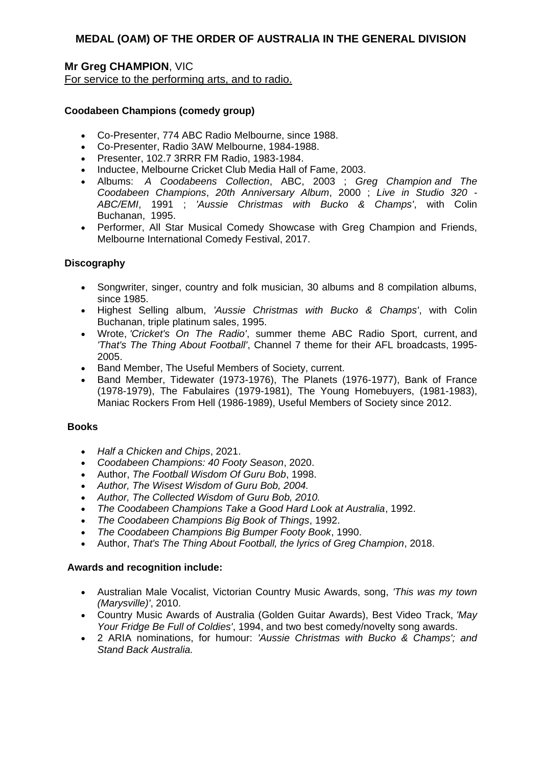# **Mr Greg CHAMPION**, VIC

For service to the performing arts, and to radio.

### **Coodabeen Champions (comedy group)**

- Co-Presenter, 774 ABC Radio Melbourne, since 1988.
- Co-Presenter, Radio 3AW Melbourne, 1984-1988.
- Presenter, 102.7 3RRR FM Radio, 1983-1984.
- Inductee, Melbourne Cricket Club Media Hall of Fame, 2003.
- Albums: *A Coodabeens Collection*, ABC, 2003 ; *Greg Champion and The Coodabeen Champions*, *20th Anniversary Album*, 2000 ; *Live in Studio 320 - ABC/EMI*, 1991 ; *'Aussie Christmas with Bucko & Champs'*, with Colin Buchanan, 1995.
- Performer, All Star Musical Comedy Showcase with Greg Champion and Friends, Melbourne International Comedy Festival, 2017.

### **Discography**

- Songwriter, singer, country and folk musician, 30 albums and 8 compilation albums, since 1985.
- Highest Selling album, *'Aussie Christmas with Bucko & Champs'*, with Colin Buchanan, triple platinum sales, 1995.
- Wrote, *'Cricket's On The Radio'*, summer theme ABC Radio Sport, current, and *'That's The Thing About Football'*, Channel 7 theme for their AFL broadcasts, 1995- 2005.
- Band Member, The Useful Members of Society, current.
- Band Member, Tidewater (1973-1976), The Planets (1976-1977), Bank of France (1978-1979), The Fabulaires (1979-1981), The Young Homebuyers, (1981-1983), Maniac Rockers From Hell (1986-1989), Useful Members of Society since 2012.

### **Books**

- *Half a Chicken and Chips*, 2021.
- *Coodabeen Champions: 40 Footy Season*, 2020.
- Author, *The Football Wisdom Of Guru Bob*, 1998.
- *Author, The Wisest Wisdom of Guru Bob, 2004.*
- *Author, The Collected Wisdom of Guru Bob, 2010.*
- *The Coodabeen Champions Take a Good Hard Look at Australia*, 1992.
- *The Coodabeen Champions Big Book of Things*, 1992.
- *The Coodabeen Champions Big Bumper Footy Book*, 1990.
- Author, *That's The Thing About Football, the lyrics of Greg Champion*, 2018.

- Australian Male Vocalist, Victorian Country Music Awards, song, *'This was my town (Marysville)'*, 2010.
- Country Music Awards of Australia (Golden Guitar Awards), Best Video Track, *'May Your Fridge Be Full of Coldies'*, 1994, and two best comedy/novelty song awards.
- 2 ARIA nominations, for humour: *'Aussie Christmas with Bucko & Champs'; and Stand Back Australia.*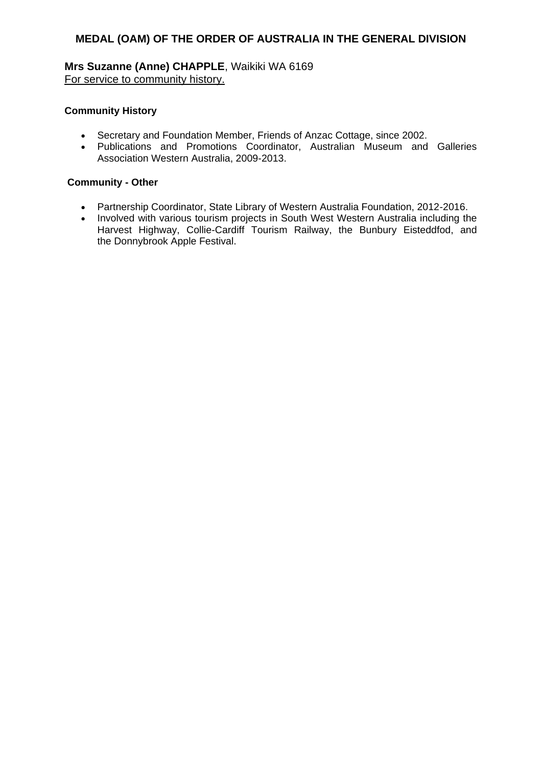**Mrs Suzanne (Anne) CHAPPLE**, Waikiki WA 6169 For service to community history.

### **Community History**

- Secretary and Foundation Member, Friends of Anzac Cottage, since 2002.
- Publications and Promotions Coordinator, Australian Museum and Galleries Association Western Australia, 2009-2013.

### **Community - Other**

- Partnership Coordinator, State Library of Western Australia Foundation, 2012-2016.
- Involved with various tourism projects in South West Western Australia including the Harvest Highway, Collie-Cardiff Tourism Railway, the Bunbury Eisteddfod, and the Donnybrook Apple Festival.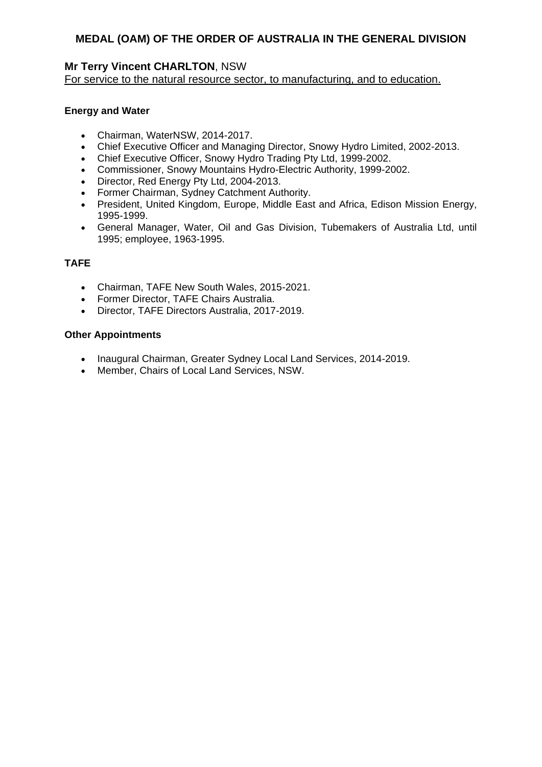# **Mr Terry Vincent CHARLTON**, NSW

For service to the natural resource sector, to manufacturing, and to education.

### **Energy and Water**

- Chairman, WaterNSW, 2014-2017.
- Chief Executive Officer and Managing Director, Snowy Hydro Limited, 2002-2013.
- Chief Executive Officer, Snowy Hydro Trading Pty Ltd, 1999-2002.
- Commissioner, Snowy Mountains Hydro-Electric Authority, 1999-2002.
- Director, Red Energy Pty Ltd, 2004-2013.
- Former Chairman, Sydney Catchment Authority.
- President, United Kingdom, Europe, Middle East and Africa, Edison Mission Energy, 1995-1999.
- General Manager, Water, Oil and Gas Division, Tubemakers of Australia Ltd, until 1995; employee, 1963-1995.

# **TAFE**

- Chairman, TAFE New South Wales, 2015-2021.
- Former Director, TAFE Chairs Australia.
- Director, TAFE Directors Australia, 2017-2019.

### **Other Appointments**

- Inaugural Chairman, Greater Sydney Local Land Services, 2014-2019.
- Member, Chairs of Local Land Services, NSW.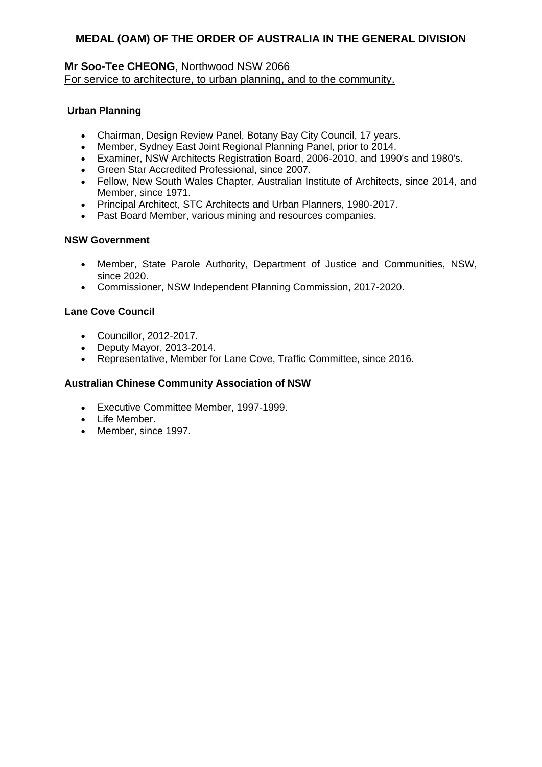# **Mr Soo-Tee CHEONG**, Northwood NSW 2066 For service to architecture, to urban planning, and to the community.

# **Urban Planning**

- Chairman, Design Review Panel, Botany Bay City Council, 17 years.
- Member, Sydney East Joint Regional Planning Panel, prior to 2014.
- Examiner, NSW Architects Registration Board, 2006-2010, and 1990's and 1980's.
- Green Star Accredited Professional, since 2007.
- Fellow, New South Wales Chapter, Australian Institute of Architects, since 2014, and Member, since 1971.
- Principal Architect, STC Architects and Urban Planners, 1980-2017.
- Past Board Member, various mining and resources companies.

### **NSW Government**

- Member, State Parole Authority, Department of Justice and Communities, NSW, since 2020.
- Commissioner, NSW Independent Planning Commission, 2017-2020.

### **Lane Cove Council**

- Councillor, 2012-2017.
- Deputy Mayor, 2013-2014.
- Representative, Member for Lane Cove, Traffic Committee, since 2016.

### **Australian Chinese Community Association of NSW**

- Executive Committee Member, 1997-1999.
- Life Member.
- Member, since 1997.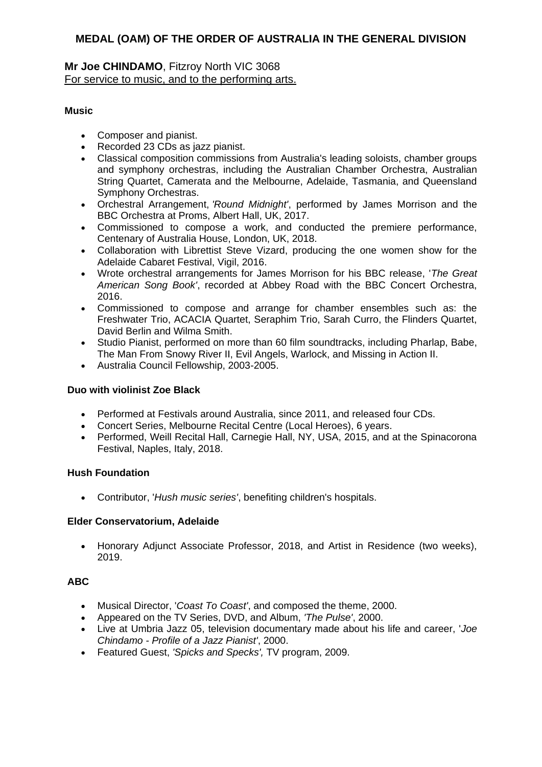# **Mr Joe CHINDAMO**, Fitzroy North VIC 3068 For service to music, and to the performing arts.

# **Music**

- Composer and pianist.
- Recorded 23 CDs as jazz pianist.
- Classical composition commissions from Australia's leading soloists, chamber groups and symphony orchestras, including the Australian Chamber Orchestra, Australian String Quartet, Camerata and the Melbourne, Adelaide, Tasmania, and Queensland Symphony Orchestras.
- Orchestral Arrangement, *'Round Midnight'*, performed by James Morrison and the BBC Orchestra at Proms, Albert Hall, UK, 2017.
- Commissioned to compose a work, and conducted the premiere performance, Centenary of Australia House, London, UK, 2018.
- Collaboration with Librettist Steve Vizard, producing the one women show for the Adelaide Cabaret Festival, Vigil, 2016.
- Wrote orchestral arrangements for James Morrison for his BBC release, '*The Great American Song Book'*, recorded at Abbey Road with the BBC Concert Orchestra, 2016.
- Commissioned to compose and arrange for chamber ensembles such as: the Freshwater Trio, ACACIA Quartet, Seraphim Trio, Sarah Curro, the Flinders Quartet, David Berlin and Wilma Smith.
- Studio Pianist, performed on more than 60 film soundtracks, including Pharlap, Babe, The Man From Snowy River II, Evil Angels, Warlock, and Missing in Action II.
- Australia Council Fellowship, 2003-2005.

### **Duo with violinist Zoe Black**

- Performed at Festivals around Australia, since 2011, and released four CDs.
- Concert Series, Melbourne Recital Centre (Local Heroes), 6 years.
- Performed, Weill Recital Hall, Carnegie Hall, NY, USA, 2015, and at the Spinacorona Festival, Naples, Italy, 2018.

### **Hush Foundation**

Contributor, '*Hush music series'*, benefiting children's hospitals.

### **Elder Conservatorium, Adelaide**

 Honorary Adjunct Associate Professor, 2018, and Artist in Residence (two weeks), 2019.

# **ABC**

- Musical Director, '*Coast To Coast'*, and composed the theme, 2000.
- Appeared on the TV Series, DVD, and Album, *'The Pulse'*, 2000.
- Live at Umbria Jazz 05, television documentary made about his life and career, '*Joe Chindamo - Profile of a Jazz Pianist'*, 2000.
- Featured Guest, *'Spicks and Specks',* TV program, 2009.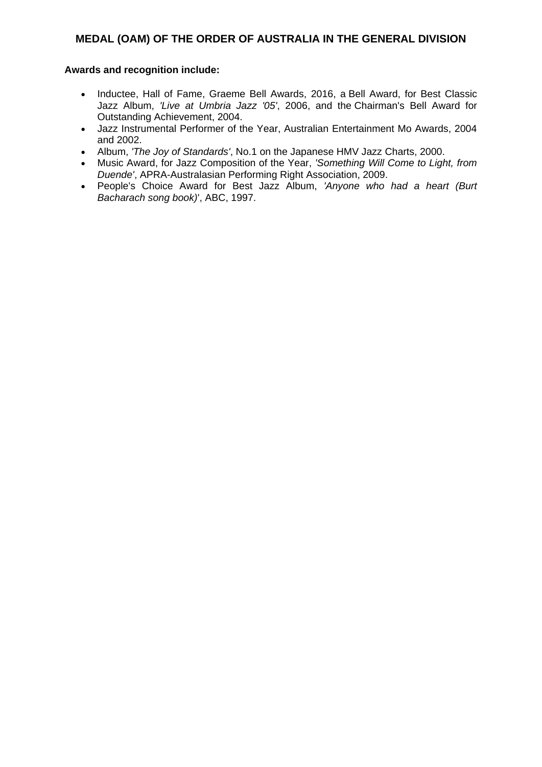- Inductee, Hall of Fame, Graeme Bell Awards, 2016, a Bell Award, for Best Classic Jazz Album, *'Live at Umbria Jazz '05'*, 2006, and the Chairman's Bell Award for Outstanding Achievement, 2004.
- Jazz Instrumental Performer of the Year, Australian Entertainment Mo Awards, 2004 and 2002.
- Album, *'The Joy of Standards'*, No.1 on the Japanese HMV Jazz Charts, 2000.
- Music Award, for Jazz Composition of the Year, *'Something Will Come to Light, from Duende'*, APRA-Australasian Performing Right Association, 2009.
- People's Choice Award for Best Jazz Album, *'Anyone who had a heart (Burt Bacharach song book)*', ABC, 1997.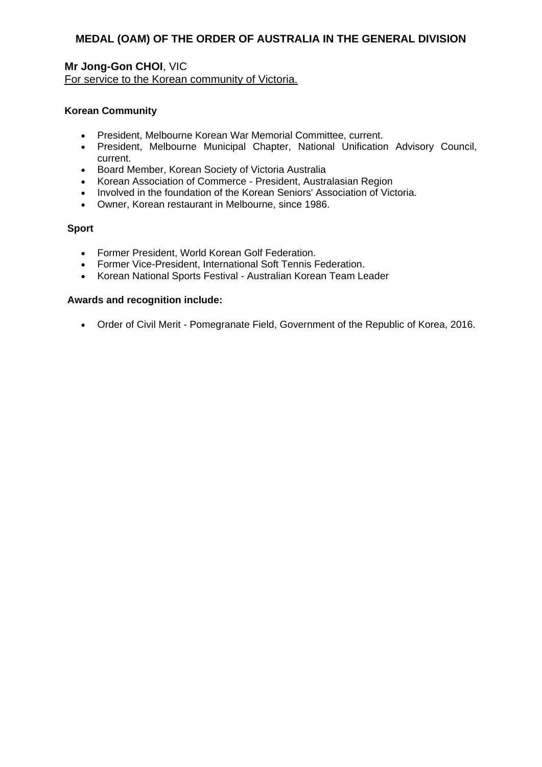### **Mr Jong-Gon CHOI**, VIC For service to the Korean community of Victoria.

### **Korean Community**

- President, Melbourne Korean War Memorial Committee, current.
- President, Melbourne Municipal Chapter, National Unification Advisory Council, current.
- **•** Board Member, Korean Society of Victoria Australia
- Korean Association of Commerce President, Australasian Region
- Involved in the foundation of the Korean Seniors' Association of Victoria.
- Owner, Korean restaurant in Melbourne, since 1986.

### **Sport**

- Former President, World Korean Golf Federation.
- Former Vice-President, International Soft Tennis Federation.
- Korean National Sports Festival Australian Korean Team Leader

#### **Awards and recognition include:**

Order of Civil Merit - Pomegranate Field, Government of the Republic of Korea, 2016.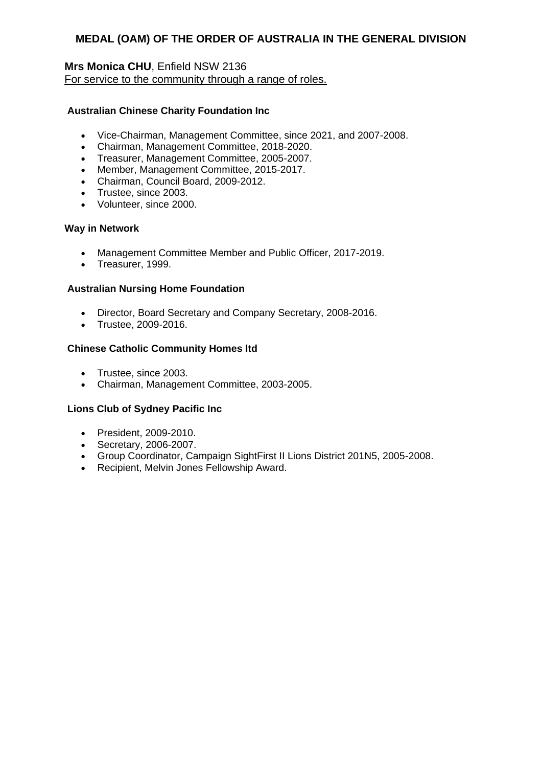# **Mrs Monica CHU**, Enfield NSW 2136 For service to the community through a range of roles.

### **Australian Chinese Charity Foundation Inc**

- Vice-Chairman, Management Committee, since 2021, and 2007-2008.
- Chairman, Management Committee, 2018-2020.
- Treasurer, Management Committee, 2005-2007.
- Member, Management Committee, 2015-2017.
- Chairman, Council Board, 2009-2012.
- Trustee, since 2003.
- Volunteer, since 2000.

#### **Way in Network**

- Management Committee Member and Public Officer, 2017-2019.
- Treasurer, 1999.

#### **Australian Nursing Home Foundation**

- Director, Board Secretary and Company Secretary, 2008-2016.
- Trustee, 2009-2016.

#### **Chinese Catholic Community Homes ltd**

- Trustee, since 2003.
- Chairman, Management Committee, 2003-2005.

### **Lions Club of Sydney Pacific Inc**

- President, 2009-2010.
- Secretary, 2006-2007.
- Group Coordinator, Campaign SightFirst II Lions District 201N5, 2005-2008.
- Recipient, Melvin Jones Fellowship Award.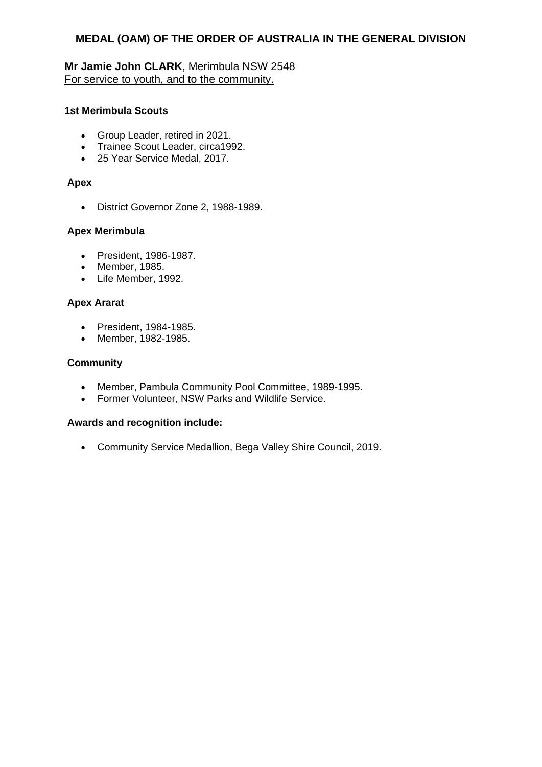# **Mr Jamie John CLARK**, Merimbula NSW 2548 For service to youth, and to the community.

### **1st Merimbula Scouts**

- Group Leader, retired in 2021.
- Trainee Scout Leader, circa1992.
- 25 Year Service Medal, 2017.

### **Apex**

District Governor Zone 2, 1988-1989.

### **Apex Merimbula**

- President, 1986-1987.
- Member, 1985.
- Life Member, 1992.

### **Apex Ararat**

- President, 1984-1985.
- Member, 1982-1985.

### **Community**

- Member, Pambula Community Pool Committee, 1989-1995.
- Former Volunteer, NSW Parks and Wildlife Service.

### **Awards and recognition include:**

Community Service Medallion, Bega Valley Shire Council, 2019.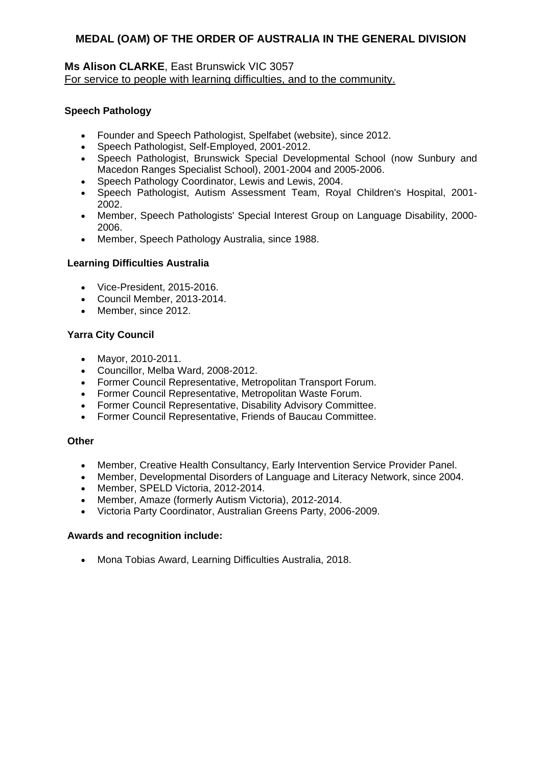### **Ms Alison CLARKE**, East Brunswick VIC 3057 For service to people with learning difficulties, and to the community.

### **Speech Pathology**

- Founder and Speech Pathologist, Spelfabet (website), since 2012.
- Speech Pathologist, Self-Employed, 2001-2012.
- Speech Pathologist, Brunswick Special Developmental School (now Sunbury and Macedon Ranges Specialist School), 2001-2004 and 2005-2006.
- Speech Pathology Coordinator, Lewis and Lewis, 2004.
- Speech Pathologist, Autism Assessment Team, Royal Children's Hospital, 2001- 2002.
- Member, Speech Pathologists' Special Interest Group on Language Disability, 2000- 2006.
- Member, Speech Pathology Australia, since 1988.

### **Learning Difficulties Australia**

- Vice-President, 2015-2016.
- Council Member, 2013-2014.
- Member, since 2012.

### **Yarra City Council**

- Mayor, 2010-2011.
- Councillor, Melba Ward, 2008-2012.
- Former Council Representative, Metropolitan Transport Forum.
- Former Council Representative, Metropolitan Waste Forum.
- Former Council Representative, Disability Advisory Committee.
- Former Council Representative, Friends of Baucau Committee.

### **Other**

- Member, Creative Health Consultancy, Early Intervention Service Provider Panel.
- Member, Developmental Disorders of Language and Literacy Network, since 2004.
- Member, SPELD Victoria, 2012-2014.
- Member, Amaze (formerly Autism Victoria), 2012-2014.
- Victoria Party Coordinator, Australian Greens Party, 2006-2009.

### **Awards and recognition include:**

Mona Tobias Award, Learning Difficulties Australia, 2018.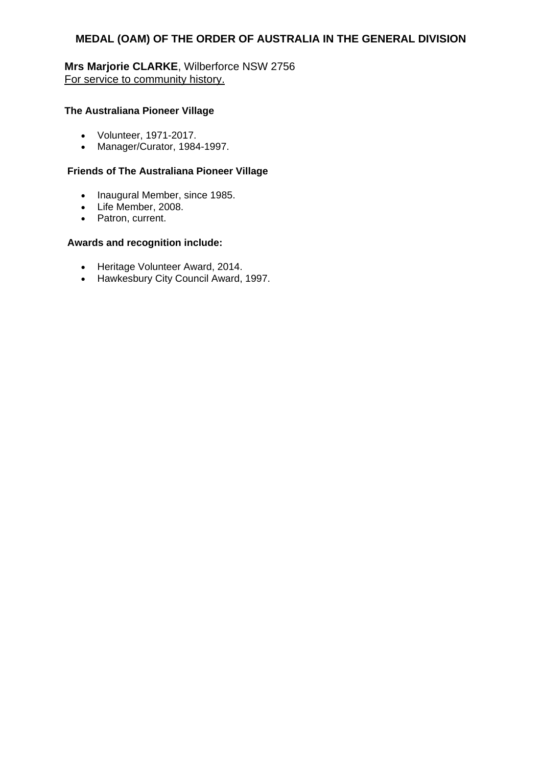**Mrs Marjorie CLARKE**, Wilberforce NSW 2756 For service to community history.

#### **The Australiana Pioneer Village**

- Volunteer, 1971-2017.
- Manager/Curator, 1984-1997.

### **Friends of The Australiana Pioneer Village**

- Inaugural Member, since 1985.
- Life Member, 2008.
- Patron, current.

- Heritage Volunteer Award, 2014.
- Hawkesbury City Council Award, 1997.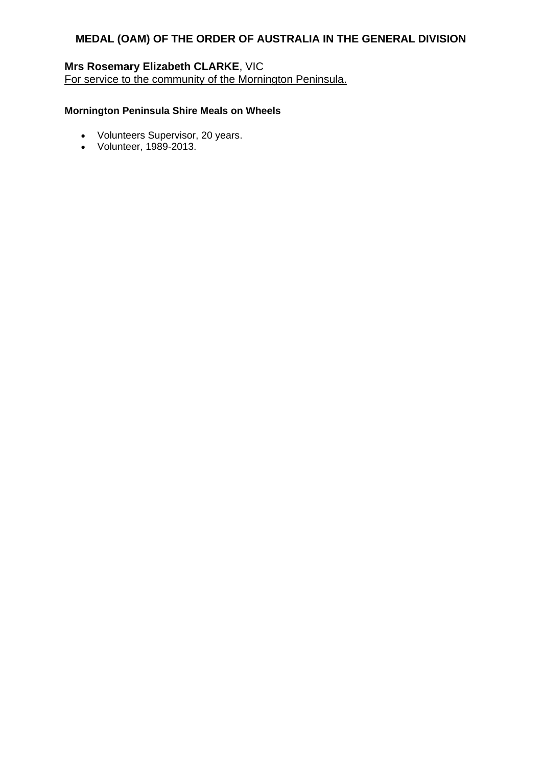# **Mrs Rosemary Elizabeth CLARKE**, VIC

For service to the community of the Mornington Peninsula.

# **Mornington Peninsula Shire Meals on Wheels**

- Volunteers Supervisor, 20 years.
- Volunteer, 1989-2013.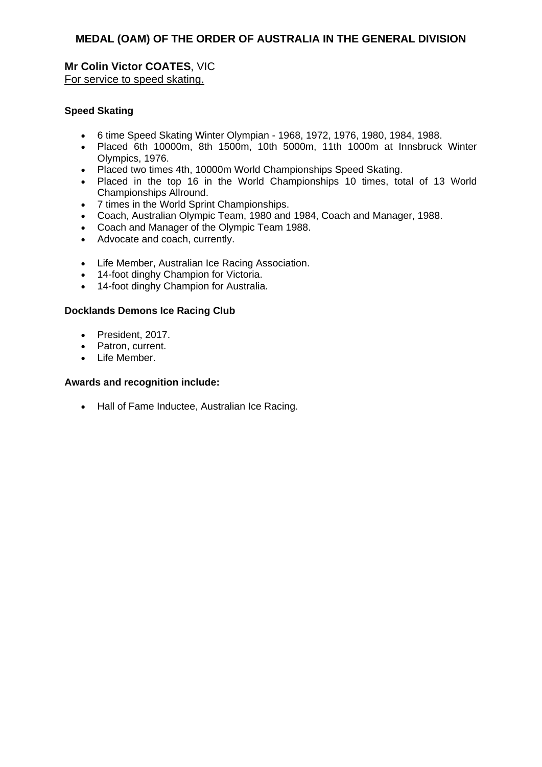# **Mr Colin Victor COATES**, VIC For service to speed skating.

### **Speed Skating**

- 6 time Speed Skating Winter Olympian 1968, 1972, 1976, 1980, 1984, 1988.
- Placed 6th 10000m, 8th 1500m, 10th 5000m, 11th 1000m at Innsbruck Winter Olympics, 1976.
- Placed two times 4th, 10000m World Championships Speed Skating.
- Placed in the top 16 in the World Championships 10 times, total of 13 World Championships Allround.
- 7 times in the World Sprint Championships.
- Coach, Australian Olympic Team, 1980 and 1984, Coach and Manager, 1988.
- Coach and Manager of the Olympic Team 1988.
- Advocate and coach, currently.
- Life Member, Australian Ice Racing Association.
- 14-foot dinghy Champion for Victoria.
- 14-foot dinghy Champion for Australia.

### **Docklands Demons Ice Racing Club**

- President, 2017.
- Patron, current.
- Life Member.

#### **Awards and recognition include:**

• Hall of Fame Inductee, Australian Ice Racing.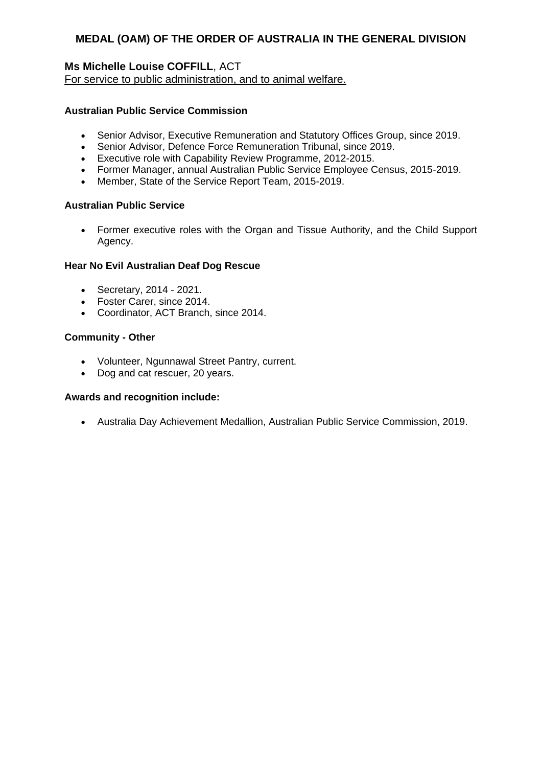# **Ms Michelle Louise COFFILL**, ACT

For service to public administration, and to animal welfare.

# **Australian Public Service Commission**

- Senior Advisor, Executive Remuneration and Statutory Offices Group, since 2019.
- Senior Advisor, Defence Force Remuneration Tribunal, since 2019.
- Executive role with Capability Review Programme, 2012-2015.
- Former Manager, annual Australian Public Service Employee Census, 2015-2019.
- Member, State of the Service Report Team, 2015-2019.

### **Australian Public Service**

 Former executive roles with the Organ and Tissue Authority, and the Child Support Agency.

### **Hear No Evil Australian Deaf Dog Rescue**

- Secretary, 2014 2021.
- Foster Carer, since 2014.
- Coordinator, ACT Branch, since 2014.

### **Community - Other**

- Volunteer, Ngunnawal Street Pantry, current.
- Dog and cat rescuer, 20 years.

### **Awards and recognition include:**

Australia Day Achievement Medallion, Australian Public Service Commission, 2019.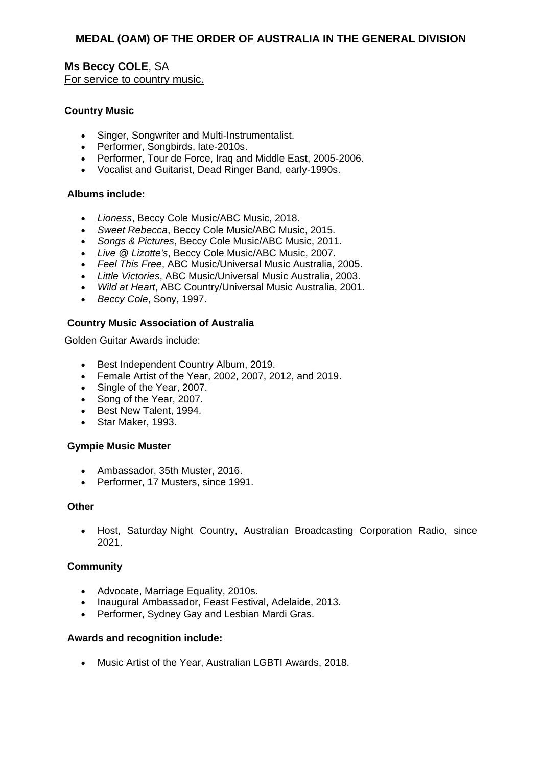**Ms Beccy COLE**, SA For service to country music.

### **Country Music**

- Singer, Songwriter and Multi-Instrumentalist.
- Performer, Songbirds, late-2010s.
- Performer, Tour de Force, Iraq and Middle East, 2005-2006.
- Vocalist and Guitarist, Dead Ringer Band, early-1990s.

#### **Albums include:**

- *Lioness*, Beccy Cole Music/ABC Music, 2018.
- *Sweet Rebecca*, Beccy Cole Music/ABC Music, 2015.
- *Songs & Pictures*, Beccy Cole Music/ABC Music, 2011.
- *Live @ Lizotte's*, Beccy Cole Music/ABC Music, 2007.
- *Feel This Free*, ABC Music/Universal Music Australia, 2005.
- *Little Victories*, ABC Music/Universal Music Australia, 2003.
- *Wild at Heart*, ABC Country/Universal Music Australia, 2001.
- *Beccy Cole*, Sony, 1997.

#### **Country Music Association of Australia**

Golden Guitar Awards include:

- **Best Independent Country Album, 2019.**
- Female Artist of the Year, 2002, 2007, 2012, and 2019.
- Single of the Year, 2007.
- Song of the Year, 2007.
- Best New Talent, 1994.
- Star Maker, 1993.

#### **Gympie Music Muster**

- Ambassador, 35th Muster, 2016.
- Performer, 17 Musters, since 1991.

#### **Other**

• Host, Saturday Night Country, Australian Broadcasting Corporation Radio, since 2021.

### **Community**

- Advocate, Marriage Equality, 2010s.
- Inaugural Ambassador, Feast Festival, Adelaide, 2013.
- Performer, Sydney Gay and Lesbian Mardi Gras.

#### **Awards and recognition include:**

Music Artist of the Year, Australian LGBTI Awards, 2018.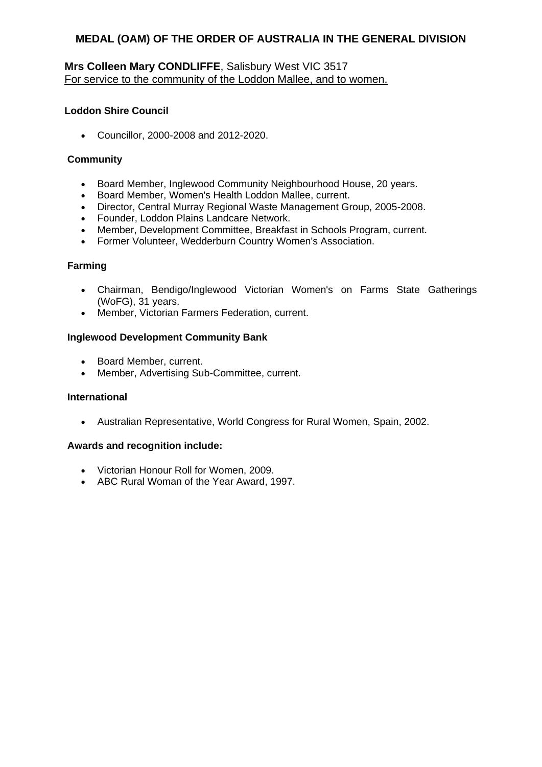# **Mrs Colleen Mary CONDLIFFE**, Salisbury West VIC 3517 For service to the community of the Loddon Mallee, and to women.

### **Loddon Shire Council**

Councillor, 2000-2008 and 2012-2020.

### **Community**

- Board Member, Inglewood Community Neighbourhood House, 20 years.
- Board Member, Women's Health Loddon Mallee, current.
- Director, Central Murray Regional Waste Management Group, 2005-2008.
- Founder, Loddon Plains Landcare Network.
- Member, Development Committee, Breakfast in Schools Program, current.
- Former Volunteer, Wedderburn Country Women's Association.

### **Farming**

- Chairman, Bendigo/Inglewood Victorian Women's on Farms State Gatherings (WoFG), 31 years.
- Member, Victorian Farmers Federation, current.

### **Inglewood Development Community Bank**

- Board Member, current.
- Member, Advertising Sub-Committee, current.

### **International**

Australian Representative, World Congress for Rural Women, Spain, 2002.

- Victorian Honour Roll for Women, 2009.
- ABC Rural Woman of the Year Award, 1997.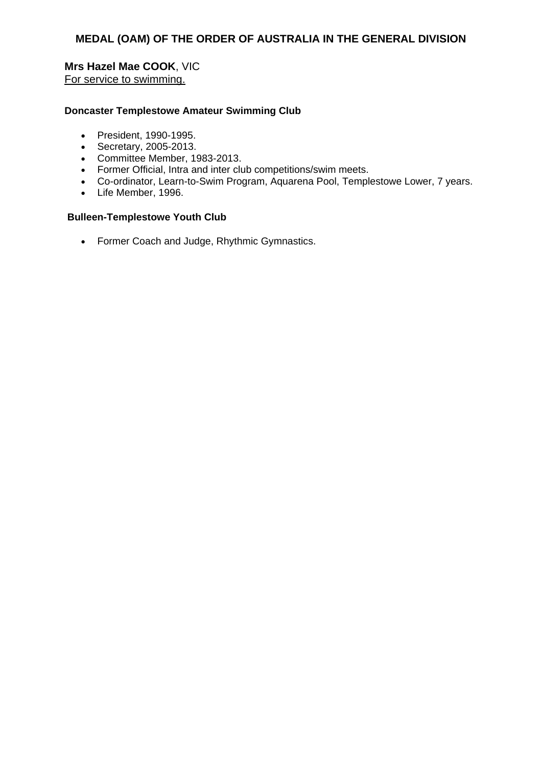# **Mrs Hazel Mae COOK**, VIC

For service to swimming.

### **Doncaster Templestowe Amateur Swimming Club**

- President, 1990-1995.
- Secretary, 2005-2013.
- Committee Member, 1983-2013.
- Former Official, Intra and inter club competitions/swim meets.
- Co-ordinator, Learn-to-Swim Program, Aquarena Pool, Templestowe Lower, 7 years.
- Life Member, 1996.

### **Bulleen-Templestowe Youth Club**

Former Coach and Judge, Rhythmic Gymnastics.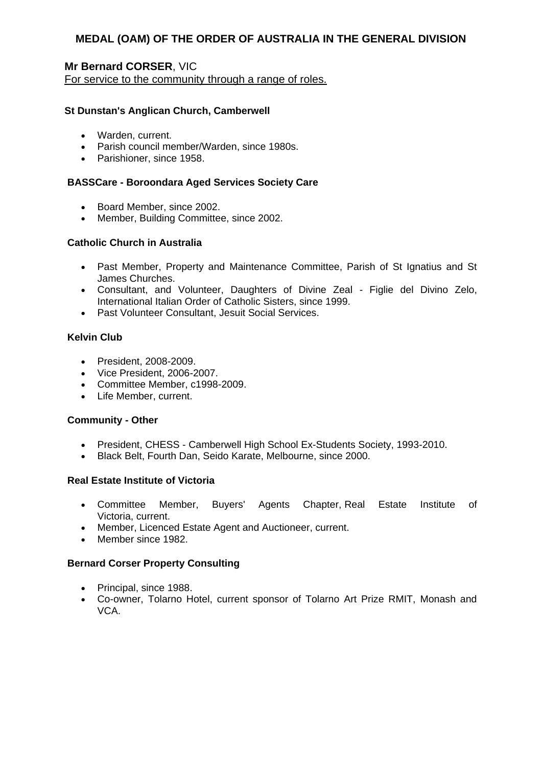## **Mr Bernard CORSER**, VIC For service to the community through a range of roles.

### **St Dunstan's Anglican Church, Camberwell**

- Warden, current.
- Parish council member/Warden, since 1980s.
- Parishioner, since 1958.

#### **BASSCare - Boroondara Aged Services Society Care**

- Board Member, since 2002.
- Member, Building Committee, since 2002.

#### **Catholic Church in Australia**

- Past Member, Property and Maintenance Committee, Parish of St Ignatius and St James Churches.
- Consultant, and Volunteer, Daughters of Divine Zeal Figlie del Divino Zelo, International Italian Order of Catholic Sisters, since 1999.
- Past Volunteer Consultant, Jesuit Social Services.

#### **Kelvin Club**

- President, 2008-2009.
- Vice President, 2006-2007.
- Committee Member, c1998-2009.
- Life Member, current.

#### **Community - Other**

- President, CHESS Camberwell High School Ex-Students Society, 1993-2010.
- Black Belt, Fourth Dan, Seido Karate, Melbourne, since 2000.

#### **Real Estate Institute of Victoria**

- Committee Member, Buyers' Agents Chapter, Real Estate Institute of Victoria, current.
- Member, Licenced Estate Agent and Auctioneer, current.
- Member since 1982.

### **Bernard Corser Property Consulting**

- Principal, since 1988.
- Co-owner, Tolarno Hotel, current sponsor of Tolarno Art Prize RMIT, Monash and VCA.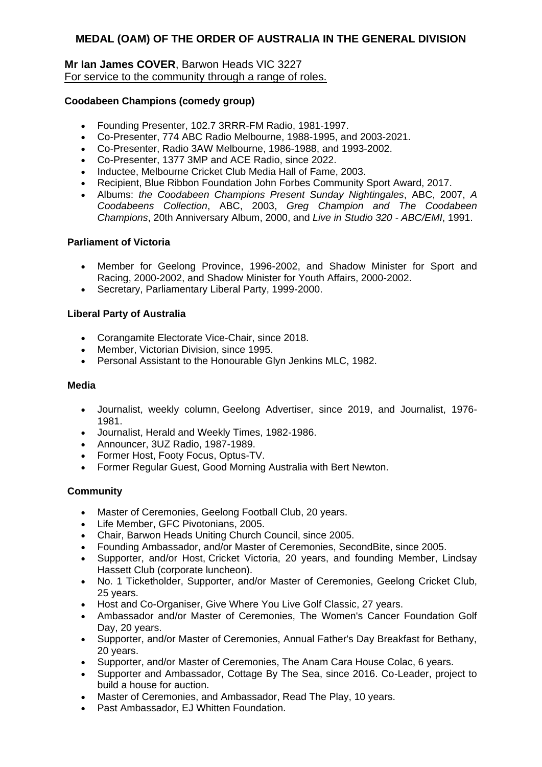### **Mr Ian James COVER**, Barwon Heads VIC 3227 For service to the community through a range of roles.

### **Coodabeen Champions (comedy group)**

- Founding Presenter, 102.7 3RRR-FM Radio, 1981-1997.
- Co-Presenter, 774 ABC Radio Melbourne, 1988-1995, and 2003-2021.
- Co-Presenter, Radio 3AW Melbourne, 1986-1988, and 1993-2002.
- Co-Presenter, 1377 3MP and ACE Radio, since 2022.
- Inductee, Melbourne Cricket Club Media Hall of Fame, 2003.
- Recipient, Blue Ribbon Foundation John Forbes Community Sport Award, 2017.
- Albums: *the Coodabeen Champions Present Sunday Nightingales*, ABC, 2007, *A Coodabeens Collection*, ABC, 2003, *Greg Champion and The Coodabeen Champions*, 20th Anniversary Album, 2000, and *Live in Studio 320 - ABC/EMI*, 1991.

### **Parliament of Victoria**

- Member for Geelong Province, 1996-2002, and Shadow Minister for Sport and Racing, 2000-2002, and Shadow Minister for Youth Affairs, 2000-2002.
- Secretary, Parliamentary Liberal Party, 1999-2000.

### **Liberal Party of Australia**

- Corangamite Electorate Vice-Chair, since 2018.
- Member, Victorian Division, since 1995.
- Personal Assistant to the Honourable Glyn Jenkins MLC, 1982.

### **Media**

- Journalist, weekly column, Geelong Advertiser, since 2019, and Journalist, 1976- 1981.
- Journalist, Herald and Weekly Times, 1982-1986.
- Announcer, 3UZ Radio, 1987-1989.
- Former Host, Footy Focus, Optus-TV.
- Former Regular Guest, Good Morning Australia with Bert Newton.

### **Community**

- Master of Ceremonies, Geelong Football Club, 20 years.
- Life Member, GFC Pivotonians, 2005.
- Chair, Barwon Heads Uniting Church Council, since 2005.
- Founding Ambassador, and/or Master of Ceremonies, SecondBite, since 2005.
- Supporter, and/or Host, Cricket Victoria, 20 years, and founding Member, Lindsay Hassett Club (corporate luncheon).
- No. 1 Ticketholder, Supporter, and/or Master of Ceremonies, Geelong Cricket Club, 25 years.
- Host and Co-Organiser, Give Where You Live Golf Classic, 27 years.
- Ambassador and/or Master of Ceremonies, The Women's Cancer Foundation Golf Day, 20 years.
- Supporter, and/or Master of Ceremonies, Annual Father's Day Breakfast for Bethany, 20 years.
- Supporter, and/or Master of Ceremonies, The Anam Cara House Colac, 6 years.
- Supporter and Ambassador, Cottage By The Sea, since 2016. Co-Leader, project to build a house for auction.
- Master of Ceremonies, and Ambassador, Read The Play, 10 years.
- Past Ambassador, EJ Whitten Foundation.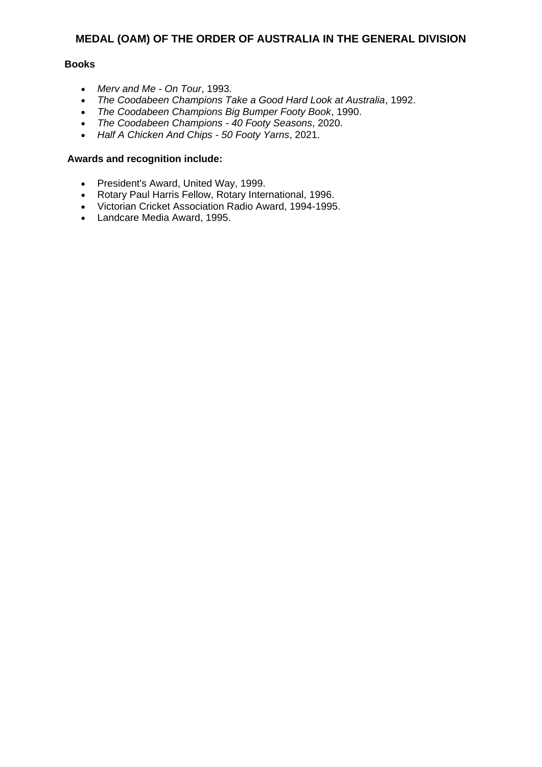### **Books**

- *Merv and Me - On Tour*, 1993.
- *The Coodabeen Champions Take a Good Hard Look at Australia*, 1992.
- *The Coodabeen Champions Big Bumper Footy Book*, 1990.
- *The Coodabeen Champions - 40 Footy Seasons*, 2020.
- *Half A Chicken And Chips - 50 Footy Yarns*, 2021.

- President's Award, United Way, 1999.
- Rotary Paul Harris Fellow, Rotary International, 1996.
- Victorian Cricket Association Radio Award, 1994-1995.
- Landcare Media Award, 1995.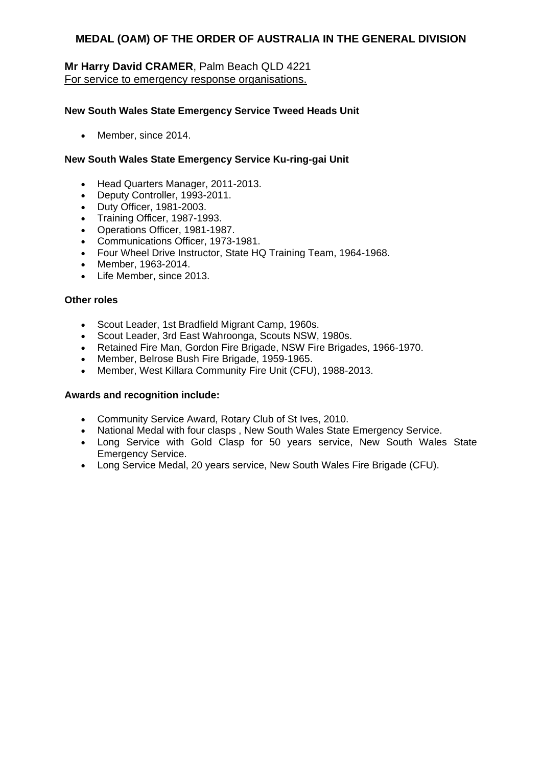# **Mr Harry David CRAMER**, Palm Beach QLD 4221 For service to emergency response organisations.

### **New South Wales State Emergency Service Tweed Heads Unit**

• Member, since 2014.

### **New South Wales State Emergency Service Ku-ring-gai Unit**

- Head Quarters Manager, 2011-2013.
- Deputy Controller, 1993-2011.
- Duty Officer, 1981-2003.
- Training Officer, 1987-1993.
- Operations Officer, 1981-1987.
- Communications Officer, 1973-1981.
- Four Wheel Drive Instructor, State HQ Training Team, 1964-1968.
- Member, 1963-2014.
- Life Member, since 2013.

### **Other roles**

- Scout Leader, 1st Bradfield Migrant Camp, 1960s.
- Scout Leader, 3rd East Wahroonga, Scouts NSW, 1980s.
- Retained Fire Man, Gordon Fire Brigade, NSW Fire Brigades, 1966-1970.
- Member, Belrose Bush Fire Brigade, 1959-1965.
- Member, West Killara Community Fire Unit (CFU), 1988-2013.

- Community Service Award, Rotary Club of St Ives, 2010.
- National Medal with four clasps , New South Wales State Emergency Service.
- Long Service with Gold Clasp for 50 years service, New South Wales State Emergency Service.
- Long Service Medal, 20 years service, New South Wales Fire Brigade (CFU).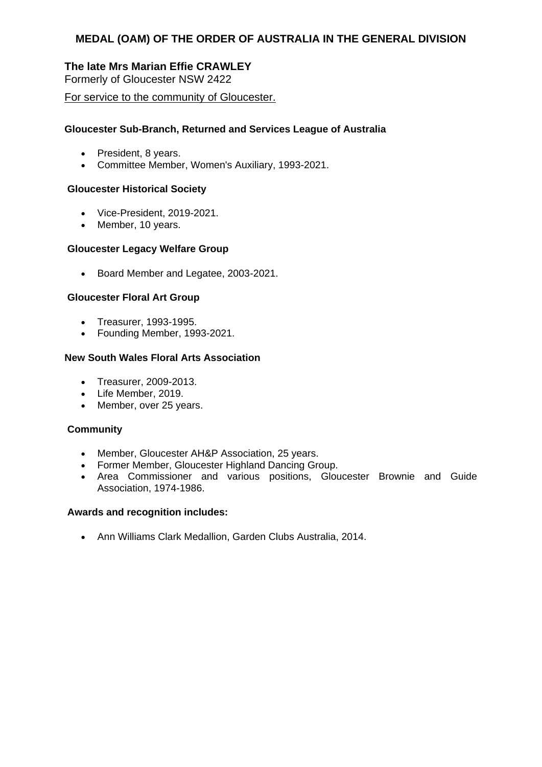# **The late Mrs Marian Effie CRAWLEY**

Formerly of Gloucester NSW 2422

### For service to the community of Gloucester.

### **Gloucester Sub-Branch, Returned and Services League of Australia**

- President, 8 years.
- Committee Member, Women's Auxiliary, 1993-2021.

#### **Gloucester Historical Society**

- Vice-President, 2019-2021.
- Member, 10 years.

#### **Gloucester Legacy Welfare Group**

Board Member and Legatee, 2003-2021.

### **Gloucester Floral Art Group**

- Treasurer, 1993-1995.
- Founding Member, 1993-2021.

# **New South Wales Floral Arts Association**

- Treasurer, 2009-2013.
- Life Member, 2019.
- Member, over 25 years.

### **Community**

- Member, Gloucester AH&P Association, 25 years.
- Former Member, Gloucester Highland Dancing Group.
- Area Commissioner and various positions, Gloucester Brownie and Guide Association, 1974-1986.

#### **Awards and recognition includes:**

Ann Williams Clark Medallion, Garden Clubs Australia, 2014.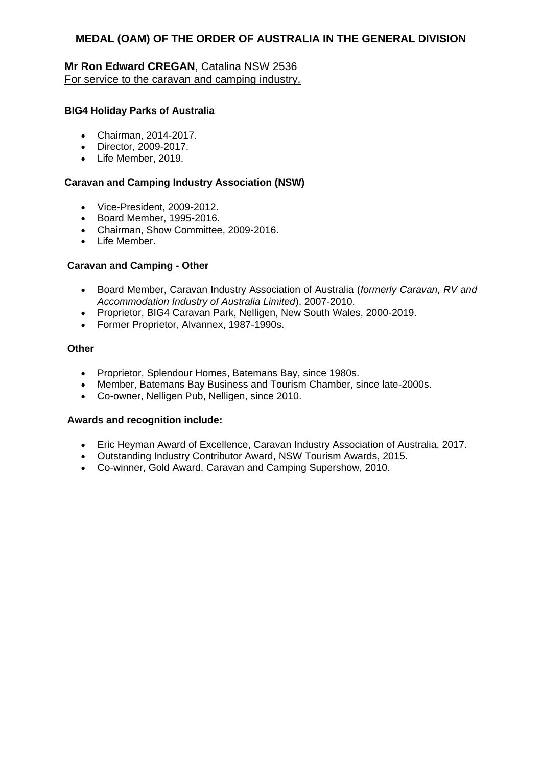# **Mr Ron Edward CREGAN**, Catalina NSW 2536 For service to the caravan and camping industry.

### **BIG4 Holiday Parks of Australia**

- Chairman, 2014-2017.
- Director, 2009-2017.
- Life Member, 2019.

### **Caravan and Camping Industry Association (NSW)**

- Vice-President, 2009-2012.
- Board Member, 1995-2016.
- Chairman, Show Committee, 2009-2016.
- Life Member.

#### **Caravan and Camping - Other**

- Board Member, Caravan Industry Association of Australia (*formerly Caravan, RV and Accommodation Industry of Australia Limited*), 2007-2010.
- Proprietor, BIG4 Caravan Park, Nelligen, New South Wales, 2000-2019.
- Former Proprietor, Alvannex, 1987-1990s.

#### **Other**

- Proprietor, Splendour Homes, Batemans Bay, since 1980s.
- Member, Batemans Bay Business and Tourism Chamber, since late-2000s.
- Co-owner, Nelligen Pub, Nelligen, since 2010.

- Eric Heyman Award of Excellence, Caravan Industry Association of Australia, 2017.
- Outstanding Industry Contributor Award, NSW Tourism Awards, 2015.
- Co-winner, Gold Award, Caravan and Camping Supershow, 2010.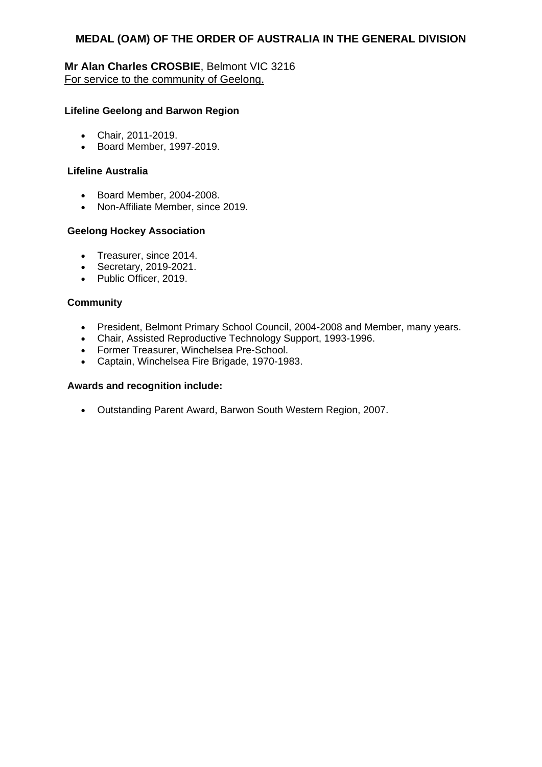**Mr Alan Charles CROSBIE**, Belmont VIC 3216 For service to the community of Geelong.

### **Lifeline Geelong and Barwon Region**

- Chair, 2011-2019.
- Board Member, 1997-2019.

#### **Lifeline Australia**

- Board Member, 2004-2008.
- Non-Affiliate Member, since 2019.

#### **Geelong Hockey Association**

- Treasurer, since 2014.
- Secretary, 2019-2021.
- Public Officer, 2019.

### **Community**

- President, Belmont Primary School Council, 2004-2008 and Member, many years.
- Chair, Assisted Reproductive Technology Support, 1993-1996.
- Former Treasurer, Winchelsea Pre-School.
- Captain, Winchelsea Fire Brigade, 1970-1983.

#### **Awards and recognition include:**

Outstanding Parent Award, Barwon South Western Region, 2007.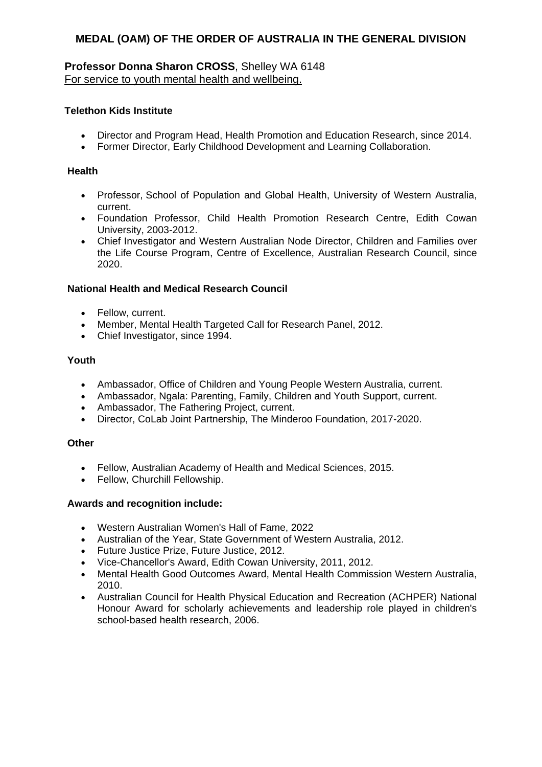# **Professor Donna Sharon CROSS**, Shelley WA 6148 For service to youth mental health and wellbeing.

### **Telethon Kids Institute**

- Director and Program Head, Health Promotion and Education Research, since 2014.
- Former Director, Early Childhood Development and Learning Collaboration.

### **Health**

- Professor, School of Population and Global Health, University of Western Australia, current.
- Foundation Professor, Child Health Promotion Research Centre, Edith Cowan University, 2003-2012.
- Chief Investigator and Western Australian Node Director, Children and Families over the Life Course Program, Centre of Excellence, Australian Research Council, since 2020.

### **National Health and Medical Research Council**

- Fellow, current.
- Member, Mental Health Targeted Call for Research Panel, 2012.
- Chief Investigator, since 1994.

### **Youth**

- Ambassador, Office of Children and Young People Western Australia, current.
- Ambassador, Ngala: Parenting, Family, Children and Youth Support, current.
- Ambassador, The Fathering Project, current.
- Director, CoLab Joint Partnership, The Minderoo Foundation, 2017-2020.

### **Other**

- Fellow, Australian Academy of Health and Medical Sciences, 2015.
- Fellow, Churchill Fellowship.

- Western Australian Women's Hall of Fame, 2022
- Australian of the Year, State Government of Western Australia, 2012.
- Future Justice Prize, Future Justice, 2012.
- Vice-Chancellor's Award, Edith Cowan University, 2011, 2012.
- Mental Health Good Outcomes Award, Mental Health Commission Western Australia, 2010.
- Australian Council for Health Physical Education and Recreation (ACHPER) National Honour Award for scholarly achievements and leadership role played in children's school-based health research, 2006.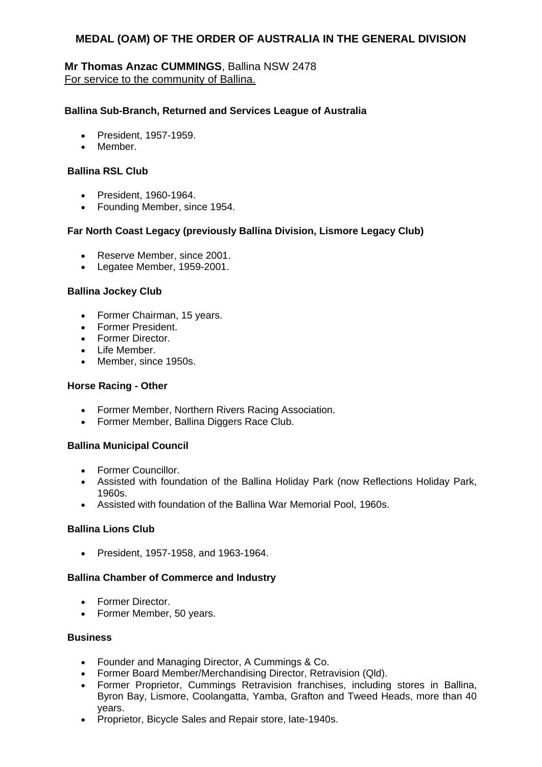# **Mr Thomas Anzac CUMMINGS**, Ballina NSW 2478 For service to the community of Ballina.

#### **Ballina Sub-Branch, Returned and Services League of Australia**

- President, 1957-1959.
- Member.

#### **Ballina RSL Club**

- President, 1960-1964.
- Founding Member, since 1954.

#### **Far North Coast Legacy (previously Ballina Division, Lismore Legacy Club)**

- Reserve Member, since 2001.
- Legatee Member, 1959-2001.

#### **Ballina Jockey Club**

- Former Chairman, 15 years.
- Former President.
- Former Director.
- Life Member.
- Member, since 1950s.

#### **Horse Racing - Other**

- Former Member, Northern Rivers Racing Association.
- Former Member, Ballina Diggers Race Club.

#### **Ballina Municipal Council**

- Former Councillor.
- Assisted with foundation of the Ballina Holiday Park (now Reflections Holiday Park, 1960s.
- Assisted with foundation of the Ballina War Memorial Pool, 1960s.

### **Ballina Lions Club**

President, 1957-1958, and 1963-1964.

#### **Ballina Chamber of Commerce and Industry**

- Former Director.
- Former Member, 50 years.

### **Business**

- Founder and Managing Director, A Cummings & Co.
- Former Board Member/Merchandising Director, Retravision (Qld).
- Former Proprietor, Cummings Retravision franchises, including stores in Ballina, Byron Bay, Lismore, Coolangatta, Yamba, Grafton and Tweed Heads, more than 40 years.
- Proprietor, Bicycle Sales and Repair store, late-1940s.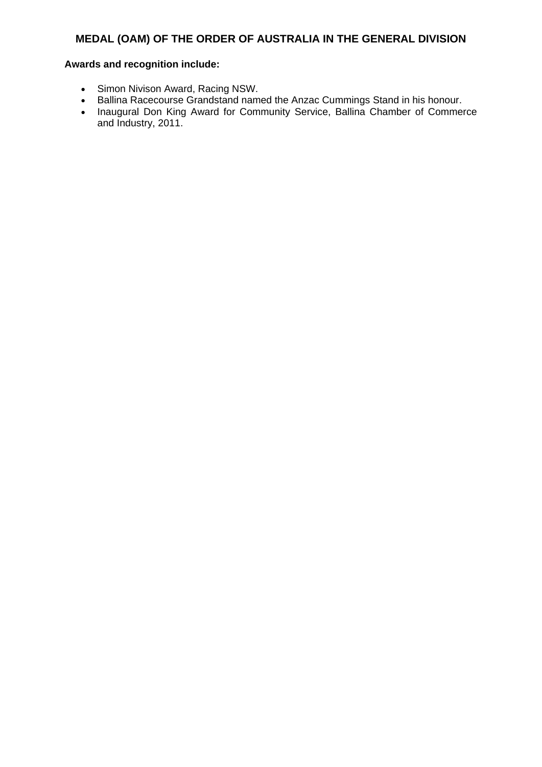- Simon Nivison Award, Racing NSW.
- Ballina Racecourse Grandstand named the Anzac Cummings Stand in his honour.
- Inaugural Don King Award for Community Service, Ballina Chamber of Commerce and Industry, 2011.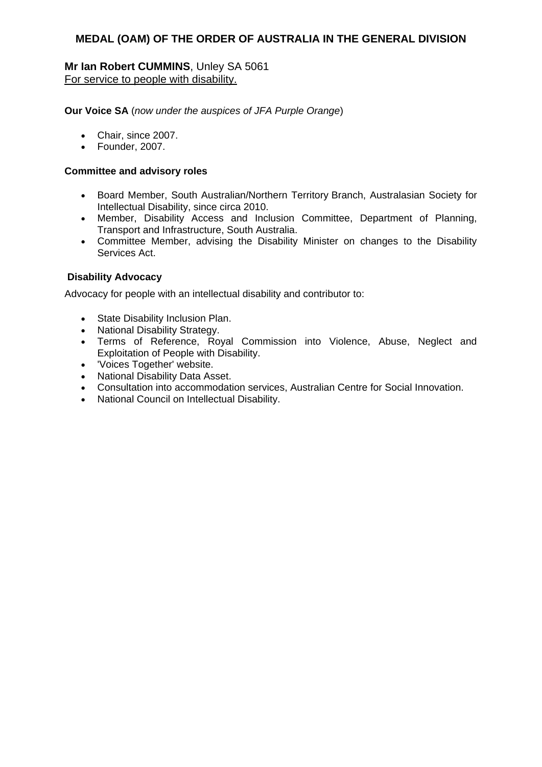### **Mr Ian Robert CUMMINS**, Unley SA 5061 For service to people with disability.

**Our Voice SA** (*now under the auspices of JFA Purple Orange*)

- Chair, since 2007.
- Founder, 2007.

#### **Committee and advisory roles**

- Board Member, South Australian/Northern Territory Branch, Australasian Society for Intellectual Disability, since circa 2010.
- Member, Disability Access and Inclusion Committee, Department of Planning, Transport and Infrastructure, South Australia.
- Committee Member, advising the Disability Minister on changes to the Disability Services Act.

### **Disability Advocacy**

Advocacy for people with an intellectual disability and contributor to:

- State Disability Inclusion Plan.
- National Disability Strategy.
- Terms of Reference, Royal Commission into Violence, Abuse, Neglect and Exploitation of People with Disability.
- 'Voices Together' website.
- National Disability Data Asset.
- Consultation into accommodation services, Australian Centre for Social Innovation.
- National Council on Intellectual Disability.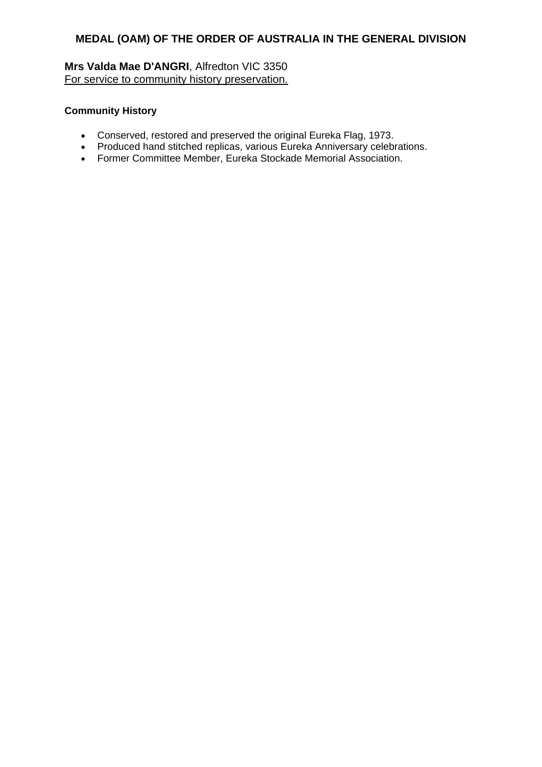**Mrs Valda Mae D'ANGRI**, Alfredton VIC 3350 For service to community history preservation.

### **Community History**

- Conserved, restored and preserved the original Eureka Flag, 1973.
- Produced hand stitched replicas, various Eureka Anniversary celebrations.
- Former Committee Member, Eureka Stockade Memorial Association.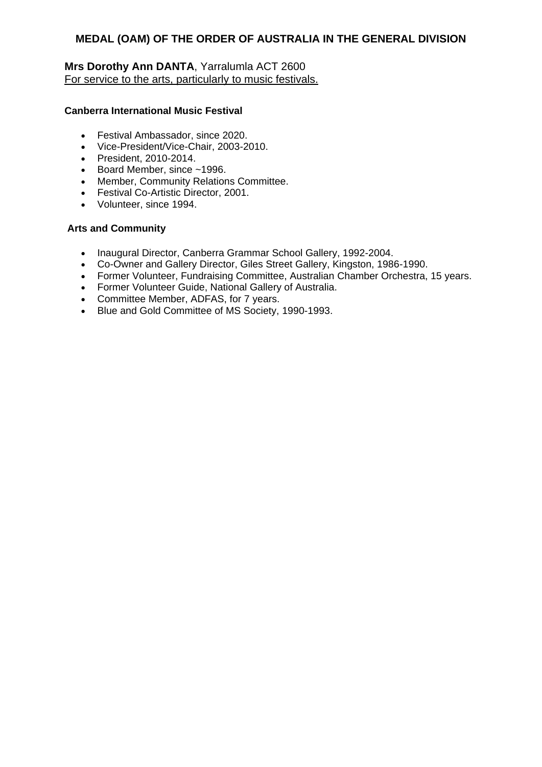# **Mrs Dorothy Ann DANTA**, Yarralumla ACT 2600 For service to the arts, particularly to music festivals.

### **Canberra International Music Festival**

- Festival Ambassador, since 2020.
- Vice-President/Vice-Chair, 2003-2010.
- President, 2010-2014.
- Board Member, since ~1996.
- Member, Community Relations Committee.
- **•** Festival Co-Artistic Director, 2001.
- Volunteer, since 1994.

#### **Arts and Community**

- Inaugural Director, Canberra Grammar School Gallery, 1992-2004.
- Co-Owner and Gallery Director, Giles Street Gallery, Kingston, 1986-1990.
- Former Volunteer, Fundraising Committee, Australian Chamber Orchestra, 15 years.
- Former Volunteer Guide, National Gallery of Australia.
- Committee Member, ADFAS, for 7 years.
- Blue and Gold Committee of MS Society, 1990-1993.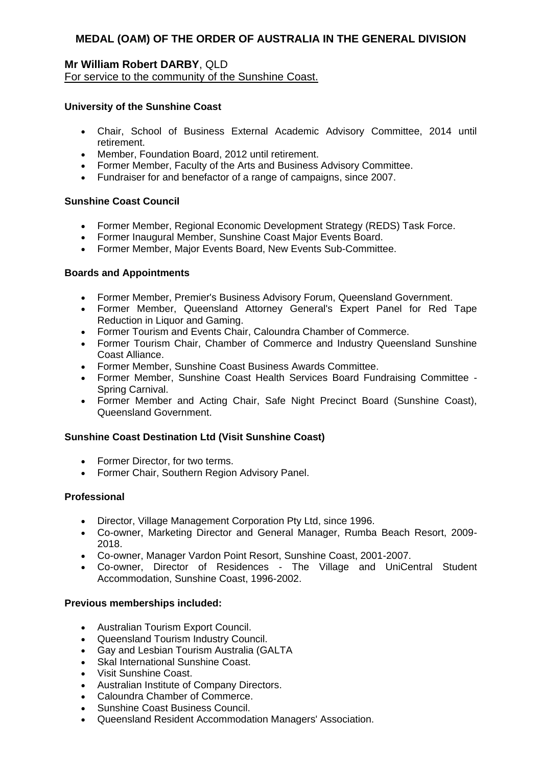### **Mr William Robert DARBY**, QLD For service to the community of the Sunshine Coast.

### **University of the Sunshine Coast**

- Chair, School of Business External Academic Advisory Committee, 2014 until retirement.
- Member, Foundation Board, 2012 until retirement.
- Former Member, Faculty of the Arts and Business Advisory Committee.
- Fundraiser for and benefactor of a range of campaigns, since 2007.

### **Sunshine Coast Council**

- Former Member, Regional Economic Development Strategy (REDS) Task Force.
- Former Inaugural Member, Sunshine Coast Major Events Board.
- Former Member, Major Events Board, New Events Sub-Committee.

### **Boards and Appointments**

- Former Member, Premier's Business Advisory Forum, Queensland Government.
- Former Member, Queensland Attorney General's Expert Panel for Red Tape Reduction in Liquor and Gaming.
- Former Tourism and Events Chair, Caloundra Chamber of Commerce.
- Former Tourism Chair, Chamber of Commerce and Industry Queensland Sunshine Coast Alliance.
- Former Member, Sunshine Coast Business Awards Committee.
- Former Member, Sunshine Coast Health Services Board Fundraising Committee Spring Carnival.
- Former Member and Acting Chair, Safe Night Precinct Board (Sunshine Coast), Queensland Government.

### **Sunshine Coast Destination Ltd (Visit Sunshine Coast)**

- Former Director, for two terms.
- Former Chair, Southern Region Advisory Panel.

### **Professional**

- Director, Village Management Corporation Pty Ltd, since 1996.
- Co-owner, Marketing Director and General Manager, Rumba Beach Resort, 2009- 2018.
- Co-owner, Manager Vardon Point Resort, Sunshine Coast, 2001-2007.
- Co-owner, Director of Residences The Village and UniCentral Student Accommodation, Sunshine Coast, 1996-2002.

### **Previous memberships included:**

- Australian Tourism Export Council.
- Queensland Tourism Industry Council.
- Gay and Lesbian Tourism Australia (GALTA
- Skal International Sunshine Coast.
- Visit Sunshine Coast.
- Australian Institute of Company Directors.
- Caloundra Chamber of Commerce.
- Sunshine Coast Business Council.
- Queensland Resident Accommodation Managers' Association.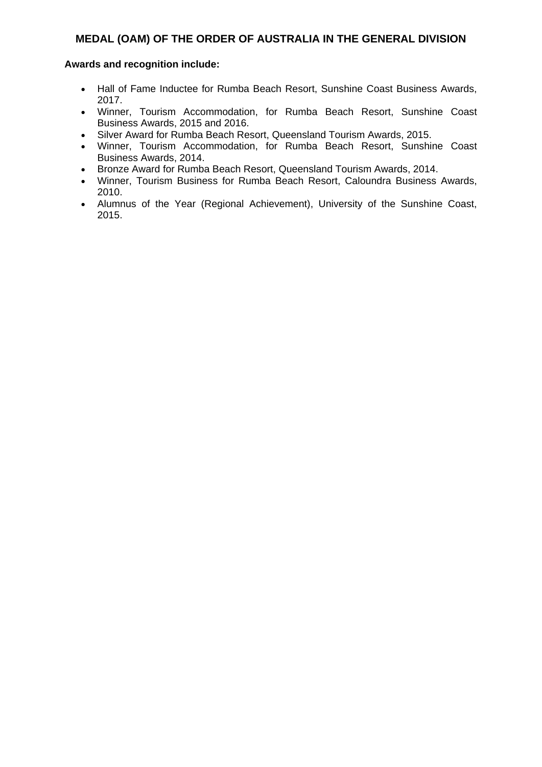- Hall of Fame Inductee for Rumba Beach Resort, Sunshine Coast Business Awards, 2017.
- Winner, Tourism Accommodation, for Rumba Beach Resort, Sunshine Coast Business Awards, 2015 and 2016.
- Silver Award for Rumba Beach Resort, Queensland Tourism Awards, 2015.
- Winner, Tourism Accommodation, for Rumba Beach Resort, Sunshine Coast Business Awards, 2014.
- Bronze Award for Rumba Beach Resort, Queensland Tourism Awards, 2014.
- Winner, Tourism Business for Rumba Beach Resort, Caloundra Business Awards, 2010.
- Alumnus of the Year (Regional Achievement), University of the Sunshine Coast, 2015.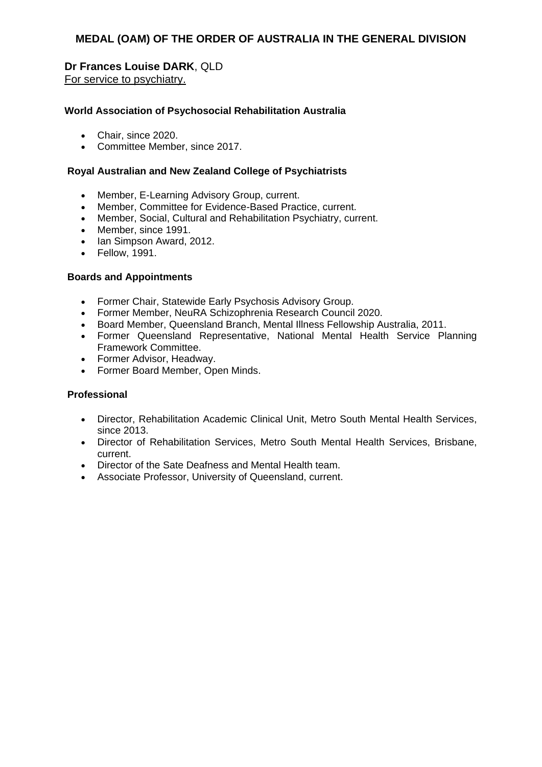# **Dr Frances Louise DARK**, QLD

For service to psychiatry.

### **World Association of Psychosocial Rehabilitation Australia**

- Chair, since 2020.
- Committee Member, since 2017.

### **Royal Australian and New Zealand College of Psychiatrists**

- Member, E-Learning Advisory Group, current.
- Member, Committee for Evidence-Based Practice, current.
- Member, Social, Cultural and Rehabilitation Psychiatry, current.
- Member, since 1991.
- Ian Simpson Award, 2012.
- Fellow, 1991.

### **Boards and Appointments**

- Former Chair, Statewide Early Psychosis Advisory Group.
- Former Member, NeuRA Schizophrenia Research Council 2020.
- Board Member, Queensland Branch, Mental Illness Fellowship Australia, 2011.
- Former Queensland Representative, National Mental Health Service Planning Framework Committee.
- Former Advisor, Headway.
- Former Board Member, Open Minds.

### **Professional**

- Director, Rehabilitation Academic Clinical Unit, Metro South Mental Health Services, since 2013.
- Director of Rehabilitation Services, Metro South Mental Health Services, Brisbane, current.
- Director of the Sate Deafness and Mental Health team.
- Associate Professor, University of Queensland, current.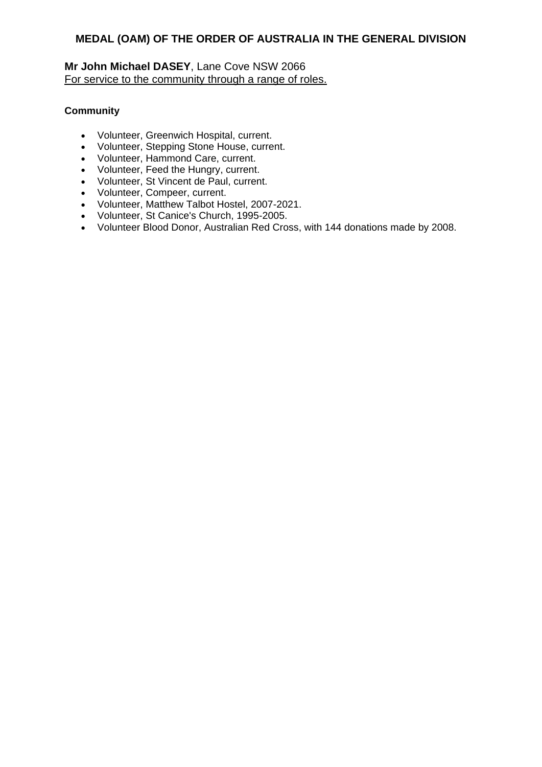# **Mr John Michael DASEY**, Lane Cove NSW 2066 For service to the community through a range of roles.

# **Community**

- Volunteer, Greenwich Hospital, current.
- Volunteer, Stepping Stone House, current.
- Volunteer, Hammond Care, current.
- Volunteer, Feed the Hungry, current.
- Volunteer, St Vincent de Paul, current.
- Volunteer, Compeer, current.
- Volunteer, Matthew Talbot Hostel, 2007-2021.
- Volunteer, St Canice's Church, 1995-2005.
- Volunteer Blood Donor, Australian Red Cross, with 144 donations made by 2008.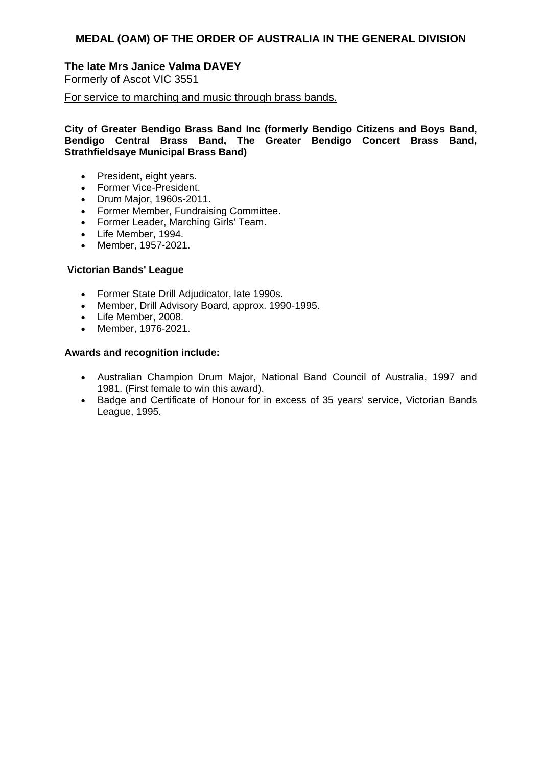# **The late Mrs Janice Valma DAVEY**

Formerly of Ascot VIC 3551

For service to marching and music through brass bands.

**City of Greater Bendigo Brass Band Inc (formerly Bendigo Citizens and Boys Band, Bendigo Central Brass Band, The Greater Bendigo Concert Brass Band, Strathfieldsaye Municipal Brass Band)**

- President, eight years.
- Former Vice-President.
- Drum Major, 1960s-2011.
- Former Member, Fundraising Committee.
- Former Leader, Marching Girls' Team.
- Life Member, 1994.
- Member, 1957-2021.

### **Victorian Bands' League**

- Former State Drill Adjudicator, late 1990s.
- Member, Drill Advisory Board, approx. 1990-1995.
- Life Member, 2008.
- Member, 1976-2021.

- Australian Champion Drum Major, National Band Council of Australia, 1997 and 1981. (First female to win this award).
- Badge and Certificate of Honour for in excess of 35 years' service, Victorian Bands League, 1995.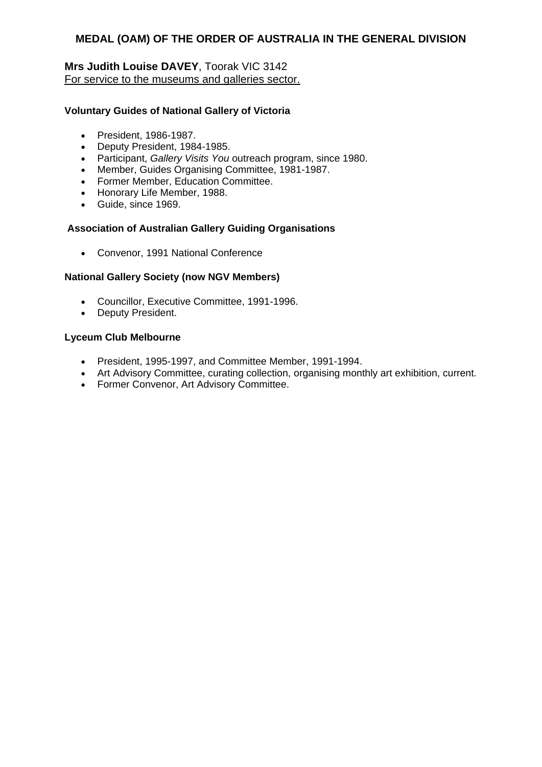# **Mrs Judith Louise DAVEY**, Toorak VIC 3142 For service to the museums and galleries sector.

### **Voluntary Guides of National Gallery of Victoria**

- President, 1986-1987.
- Deputy President, 1984-1985.
- Participant, *Gallery Visits You* outreach program, since 1980.
- Member, Guides Organising Committee, 1981-1987.
- Former Member, Education Committee.
- Honorary Life Member, 1988.
- Guide, since 1969.

### **Association of Australian Gallery Guiding Organisations**

Convenor, 1991 National Conference

### **National Gallery Society (now NGV Members)**

- Councillor, Executive Committee, 1991-1996.
- Deputy President.

#### **Lyceum Club Melbourne**

- President, 1995-1997, and Committee Member, 1991-1994.
- Art Advisory Committee, curating collection, organising monthly art exhibition, current.
- Former Convenor, Art Advisory Committee.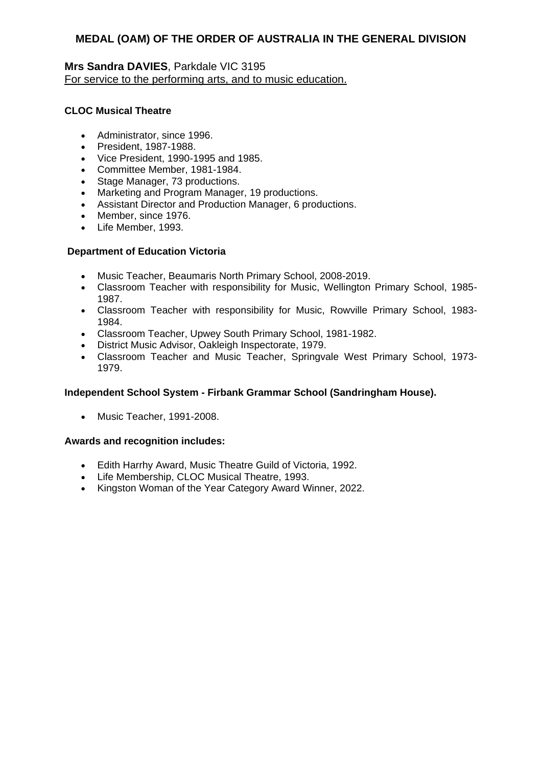# **Mrs Sandra DAVIES**, Parkdale VIC 3195 For service to the performing arts, and to music education.

# **CLOC Musical Theatre**

- Administrator, since 1996.
- President, 1987-1988.
- Vice President, 1990-1995 and 1985.
- Committee Member, 1981-1984.
- Stage Manager, 73 productions.
- Marketing and Program Manager, 19 productions.
- Assistant Director and Production Manager, 6 productions.
- Member, since 1976.
- Life Member, 1993.

# **Department of Education Victoria**

- Music Teacher, Beaumaris North Primary School, 2008-2019.
- Classroom Teacher with responsibility for Music, Wellington Primary School, 1985- 1987.
- Classroom Teacher with responsibility for Music, Rowville Primary School, 1983- 1984.
- Classroom Teacher, Upwey South Primary School, 1981-1982.
- District Music Advisor, Oakleigh Inspectorate, 1979.
- Classroom Teacher and Music Teacher, Springvale West Primary School, 1973- 1979.

### **Independent School System - Firbank Grammar School (Sandringham House).**

• Music Teacher, 1991-2008.

### **Awards and recognition includes:**

- Edith Harrhy Award, Music Theatre Guild of Victoria, 1992.
- Life Membership, CLOC Musical Theatre, 1993.
- Kingston Woman of the Year Category Award Winner, 2022.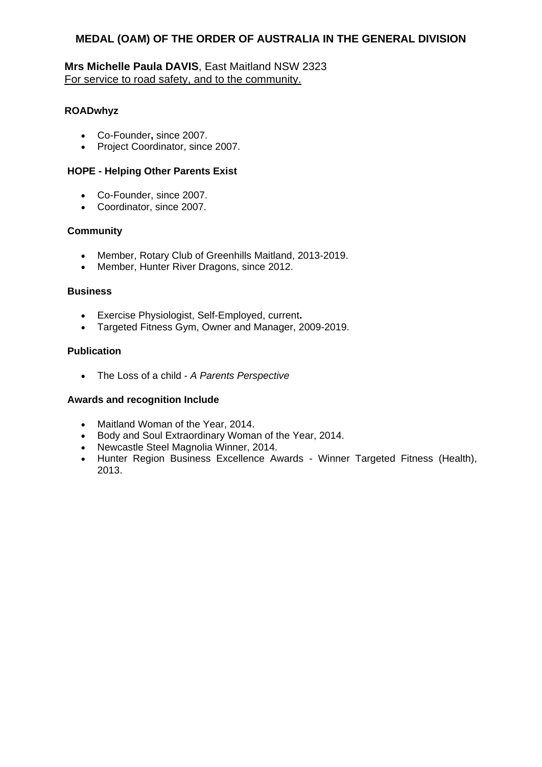# **Mrs Michelle Paula DAVIS**, East Maitland NSW 2323 For service to road safety, and to the community.

# **ROADwhyz**

- Co-Founder**,** since 2007.
- Project Coordinator, since 2007.

### **HOPE - Helping Other Parents Exist**

- Co-Founder, since 2007.
- Coordinator, since 2007.

### **Community**

- Member, Rotary Club of Greenhills Maitland, 2013-2019.
- Member, Hunter River Dragons, since 2012.

### **Business**

- Exercise Physiologist, Self-Employed, current**.**
- Targeted Fitness Gym, Owner and Manager, 2009-2019.

### **Publication**

The Loss of a child - *A Parents Perspective*

### **Awards and recognition Include**

- Maitland Woman of the Year, 2014.
- Body and Soul Extraordinary Woman of the Year, 2014.
- Newcastle Steel Magnolia Winner, 2014.
- Hunter Region Business Excellence Awards Winner Targeted Fitness (Health), 2013.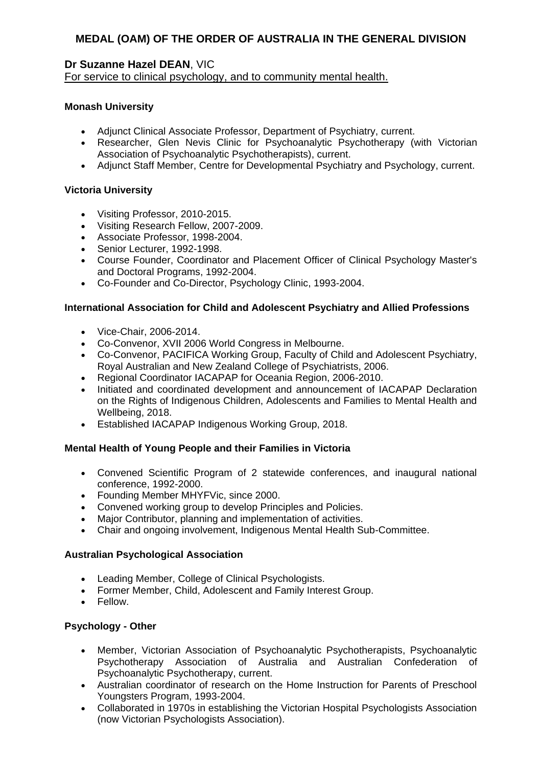# **Dr Suzanne Hazel DEAN**, VIC

For service to clinical psychology, and to community mental health.

# **Monash University**

- Adjunct Clinical Associate Professor, Department of Psychiatry, current.
- Researcher, Glen Nevis Clinic for Psychoanalytic Psychotherapy (with Victorian Association of Psychoanalytic Psychotherapists), current.
- Adjunct Staff Member, Centre for Developmental Psychiatry and Psychology, current.

# **Victoria University**

- Visiting Professor, 2010-2015.
- Visiting Research Fellow, 2007-2009.
- Associate Professor, 1998-2004.
- Senior Lecturer, 1992-1998.
- Course Founder, Coordinator and Placement Officer of Clinical Psychology Master's and Doctoral Programs, 1992-2004.
- Co-Founder and Co-Director, Psychology Clinic, 1993-2004.

# **International Association for Child and Adolescent Psychiatry and Allied Professions**

- Vice-Chair, 2006-2014.
- Co-Convenor, XVII 2006 World Congress in Melbourne.
- Co-Convenor, PACIFICA Working Group, Faculty of Child and Adolescent Psychiatry, Royal Australian and New Zealand College of Psychiatrists, 2006.
- Regional Coordinator IACAPAP for Oceania Region, 2006-2010.
- Initiated and coordinated development and announcement of IACAPAP Declaration on the Rights of Indigenous Children, Adolescents and Families to Mental Health and Wellbeing, 2018.
- Established IACAPAP Indigenous Working Group, 2018.

### **Mental Health of Young People and their Families in Victoria**

- Convened Scientific Program of 2 statewide conferences, and inaugural national conference, 1992-2000.
- Founding Member MHYFVic, since 2000.
- Convened working group to develop Principles and Policies.
- Major Contributor, planning and implementation of activities.
- Chair and ongoing involvement, Indigenous Mental Health Sub-Committee.

# **Australian Psychological Association**

- Leading Member, College of Clinical Psychologists.
- Former Member, Child, Adolescent and Family Interest Group.
- Fellow.

# **Psychology - Other**

- Member, Victorian Association of Psychoanalytic Psychotherapists, Psychoanalytic Psychotherapy Association of Australia and Australian Confederation of Psychoanalytic Psychotherapy, current.
- Australian coordinator of research on the Home Instruction for Parents of Preschool Youngsters Program, 1993-2004.
- Collaborated in 1970s in establishing the Victorian Hospital Psychologists Association (now Victorian Psychologists Association).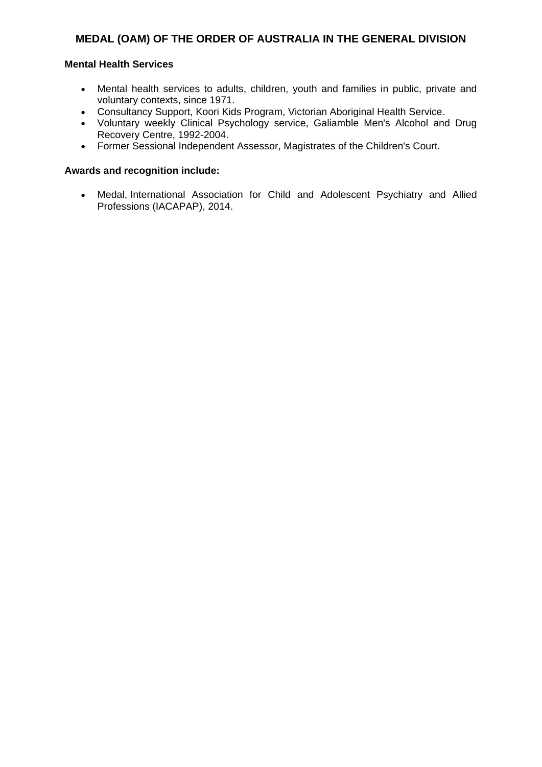# **Mental Health Services**

- Mental health services to adults, children, youth and families in public, private and voluntary contexts, since 1971.
- Consultancy Support, Koori Kids Program, Victorian Aboriginal Health Service.
- Voluntary weekly Clinical Psychology service, Galiamble Men's Alcohol and Drug Recovery Centre, 1992-2004.
- Former Sessional Independent Assessor, Magistrates of the Children's Court.

### **Awards and recognition include:**

 Medal, International Association for Child and Adolescent Psychiatry and Allied Professions (IACAPAP), 2014.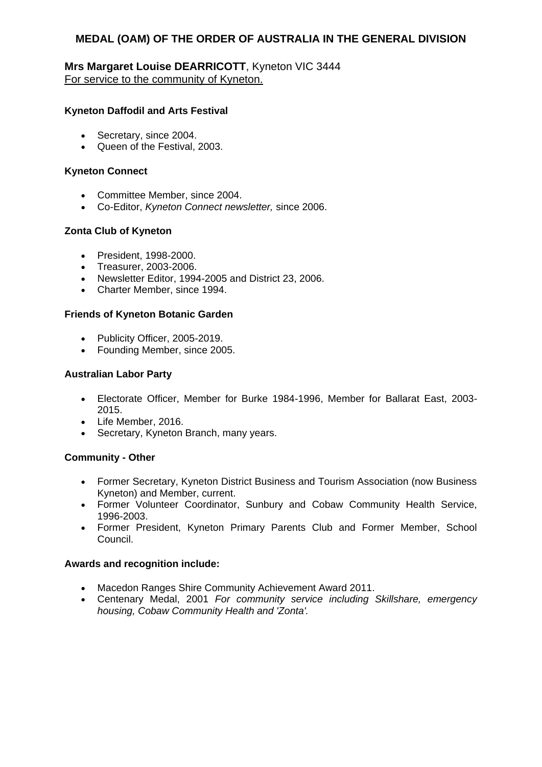# **Mrs Margaret Louise DEARRICOTT**, Kyneton VIC 3444 For service to the community of Kyneton.

### **Kyneton Daffodil and Arts Festival**

- Secretary, since 2004.
- Queen of the Festival, 2003.

### **Kyneton Connect**

- Committee Member, since 2004.
- Co-Editor, *Kyneton Connect newsletter,* since 2006.

# **Zonta Club of Kyneton**

- President, 1998-2000.
- Treasurer, 2003-2006.
- Newsletter Editor, 1994-2005 and District 23, 2006.
- Charter Member, since 1994.

### **Friends of Kyneton Botanic Garden**

- Publicity Officer, 2005-2019.
- Founding Member, since 2005.

### **Australian Labor Party**

- Electorate Officer, Member for Burke 1984-1996, Member for Ballarat East, 2003- 2015.
- Life Member, 2016.
- Secretary, Kyneton Branch, many years.

### **Community - Other**

- Former Secretary, Kyneton District Business and Tourism Association (now Business Kyneton) and Member, current.
- Former Volunteer Coordinator, Sunbury and Cobaw Community Health Service, 1996-2003.
- Former President, Kyneton Primary Parents Club and Former Member, School Council.

# **Awards and recognition include:**

- Macedon Ranges Shire Community Achievement Award 2011.
- Centenary Medal, 2001 *For community service including Skillshare, emergency housing, Cobaw Community Health and 'Zonta'.*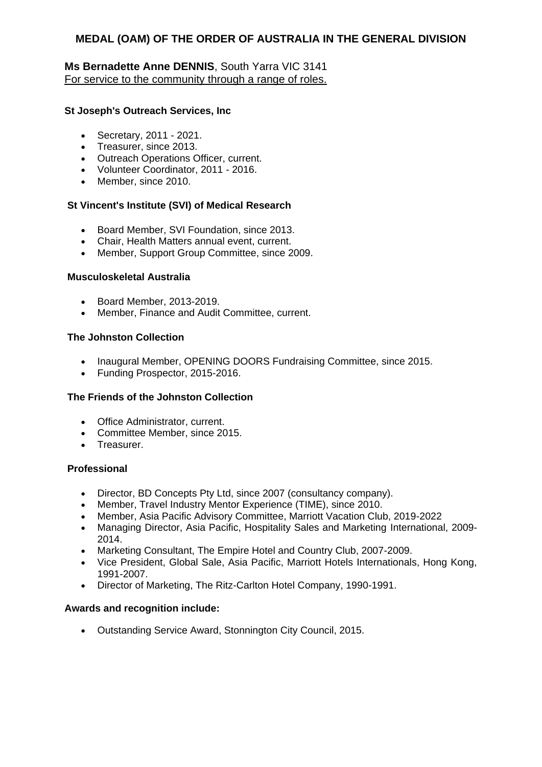# **Ms Bernadette Anne DENNIS**, South Yarra VIC 3141 For service to the community through a range of roles.

# **St Joseph's Outreach Services, Inc**

- Secretary, 2011 2021.
- Treasurer, since 2013.
- Outreach Operations Officer, current.
- Volunteer Coordinator, 2011 2016.
- Member, since 2010.

# **St Vincent's Institute (SVI) of Medical Research**

- Board Member, SVI Foundation, since 2013.
- Chair, Health Matters annual event, current.
- Member, Support Group Committee, since 2009.

### **Musculoskeletal Australia**

- Board Member, 2013-2019.
- Member, Finance and Audit Committee, current.

### **The Johnston Collection**

- Inaugural Member, OPENING DOORS Fundraising Committee, since 2015.
- Funding Prospector, 2015-2016.

### **The Friends of the Johnston Collection**

- Office Administrator, current.
- Committee Member, since 2015.
- Treasurer.

### **Professional**

- Director, BD Concepts Pty Ltd, since 2007 (consultancy company).
- Member, Travel Industry Mentor Experience (TIME), since 2010.
- Member, Asia Pacific Advisory Committee, Marriott Vacation Club, 2019-2022
- Managing Director, Asia Pacific, Hospitality Sales and Marketing International, 2009- 2014.
- Marketing Consultant, The Empire Hotel and Country Club, 2007-2009.
- Vice President, Global Sale, Asia Pacific, Marriott Hotels Internationals, Hong Kong, 1991-2007.
- Director of Marketing, The Ritz-Carlton Hotel Company, 1990-1991.

### **Awards and recognition include:**

Outstanding Service Award, Stonnington City Council, 2015.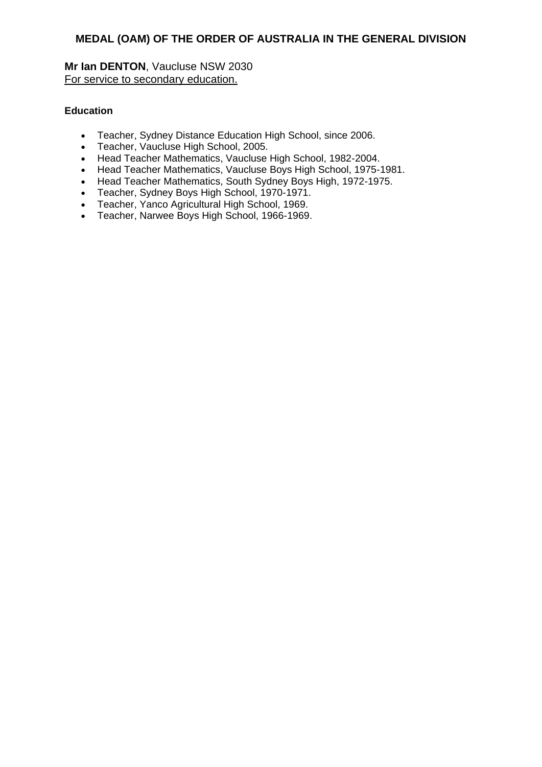**Mr Ian DENTON**, Vaucluse NSW 2030 For service to secondary education.

# **Education**

- Teacher, Sydney Distance Education High School, since 2006.
- Teacher, Vaucluse High School, 2005.
- Head Teacher Mathematics, Vaucluse High School, 1982-2004.
- Head Teacher Mathematics, Vaucluse Boys High School, 1975-1981.
- Head Teacher Mathematics, South Sydney Boys High, 1972-1975.
- Teacher, Sydney Boys High School, 1970-1971.
- Teacher, Yanco Agricultural High School, 1969.
- Teacher, Narwee Boys High School, 1966-1969.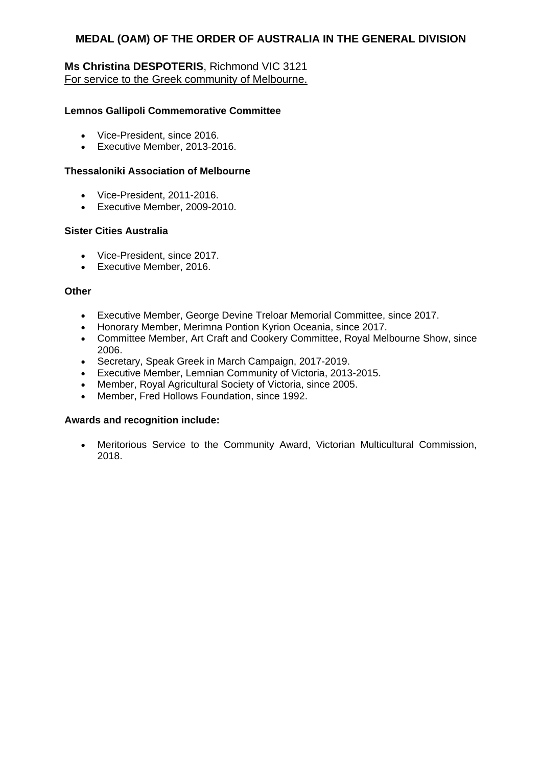# **Ms Christina DESPOTERIS**, Richmond VIC 3121 For service to the Greek community of Melbourne.

# **Lemnos Gallipoli Commemorative Committee**

- Vice-President, since 2016.
- Executive Member, 2013-2016.

### **Thessaloniki Association of Melbourne**

- Vice-President, 2011-2016.
- Executive Member, 2009-2010.

#### **Sister Cities Australia**

- Vice-President, since 2017.
- **Executive Member, 2016.**

#### **Other**

- Executive Member, George Devine Treloar Memorial Committee, since 2017.
- Honorary Member, Merimna Pontion Kyrion Oceania, since 2017.
- Committee Member, Art Craft and Cookery Committee, Royal Melbourne Show, since 2006.
- Secretary, Speak Greek in March Campaign, 2017-2019.
- Executive Member, Lemnian Community of Victoria, 2013-2015.
- Member, Royal Agricultural Society of Victoria, since 2005.
- Member, Fred Hollows Foundation, since 1992.

### **Awards and recognition include:**

 Meritorious Service to the Community Award, Victorian Multicultural Commission, 2018.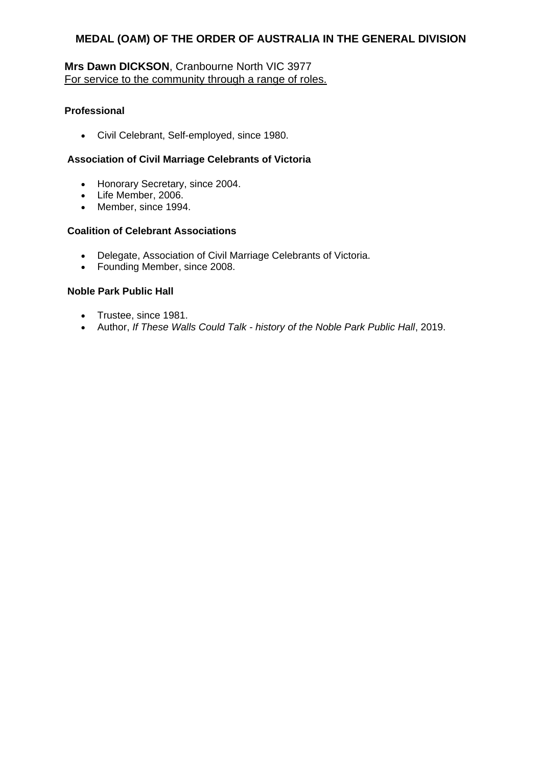# **Mrs Dawn DICKSON**, Cranbourne North VIC 3977 For service to the community through a range of roles.

# **Professional**

Civil Celebrant, Self-employed, since 1980.

### **Association of Civil Marriage Celebrants of Victoria**

- Honorary Secretary, since 2004.
- Life Member, 2006.
- Member, since 1994.

### **Coalition of Celebrant Associations**

- Delegate, Association of Civil Marriage Celebrants of Victoria.
- Founding Member, since 2008.

# **Noble Park Public Hall**

- Trustee, since 1981.
- Author, *If These Walls Could Talk - history of the Noble Park Public Hall*, 2019.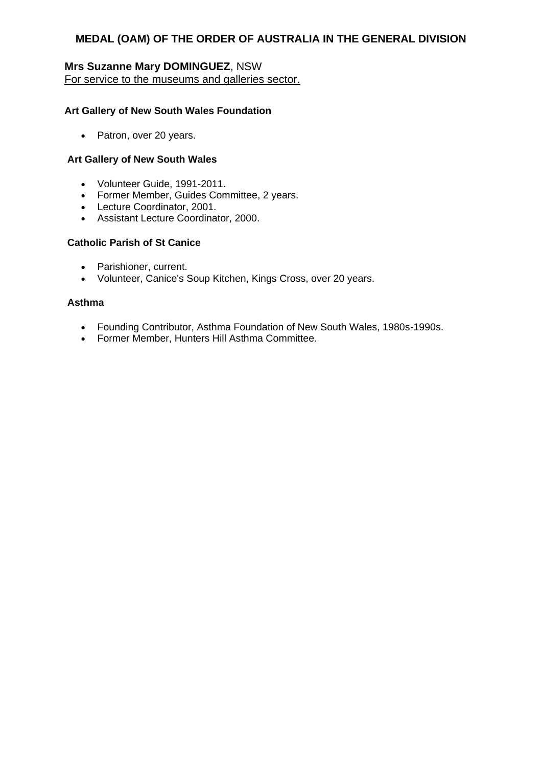# **Mrs Suzanne Mary DOMINGUEZ**, NSW For service to the museums and galleries sector.

### **Art Gallery of New South Wales Foundation**

• Patron, over 20 years.

### **Art Gallery of New South Wales**

- Volunteer Guide, 1991-2011.
- Former Member, Guides Committee, 2 years.
- Lecture Coordinator, 2001.
- Assistant Lecture Coordinator, 2000.

### **Catholic Parish of St Canice**

- Parishioner, current.
- Volunteer, Canice's Soup Kitchen, Kings Cross, over 20 years.

#### **Asthma**

- Founding Contributor, Asthma Foundation of New South Wales, 1980s-1990s.
- Former Member, Hunters Hill Asthma Committee.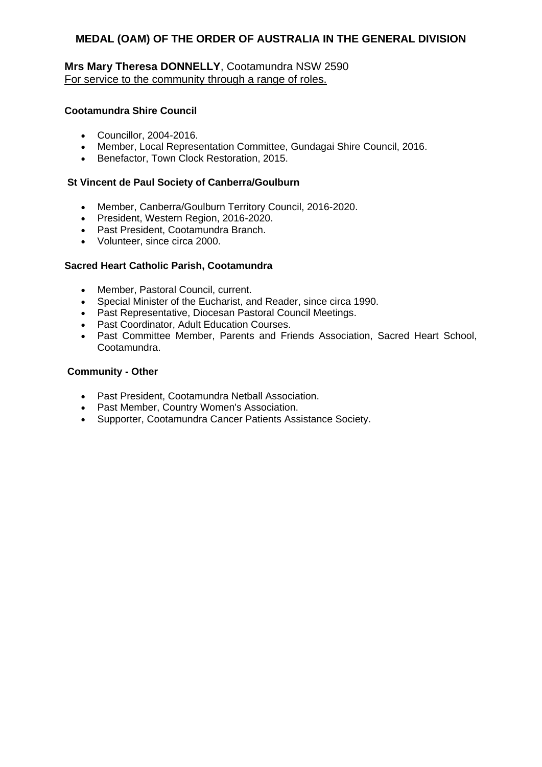# **Mrs Mary Theresa DONNELLY**, Cootamundra NSW 2590 For service to the community through a range of roles.

# **Cootamundra Shire Council**

- Councillor, 2004-2016.
- Member, Local Representation Committee, Gundagai Shire Council, 2016.
- **Benefactor, Town Clock Restoration, 2015.**

### **St Vincent de Paul Society of Canberra/Goulburn**

- Member, Canberra/Goulburn Territory Council, 2016-2020.
- President, Western Region, 2016-2020.
- Past President, Cootamundra Branch.
- Volunteer, since circa 2000.

# **Sacred Heart Catholic Parish, Cootamundra**

- Member, Pastoral Council, current.
- Special Minister of the Eucharist, and Reader, since circa 1990.
- Past Representative, Diocesan Pastoral Council Meetings.
- Past Coordinator, Adult Education Courses.
- Past Committee Member, Parents and Friends Association, Sacred Heart School, Cootamundra.

### **Community - Other**

- Past President, Cootamundra Netball Association.
- Past Member, Country Women's Association.
- Supporter, Cootamundra Cancer Patients Assistance Society.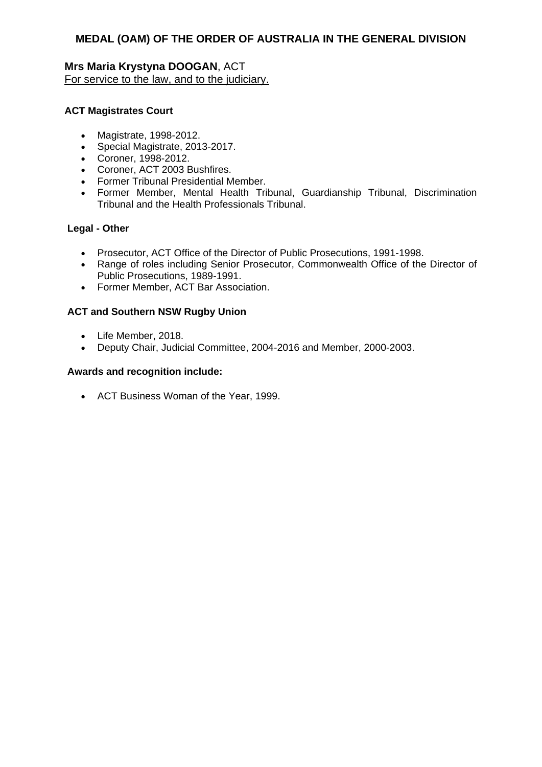# **Mrs Maria Krystyna DOOGAN**, ACT For service to the law, and to the judiciary.

# **ACT Magistrates Court**

- Magistrate, 1998-2012.
- Special Magistrate, 2013-2017.
- Coroner, 1998-2012.
- Coroner, ACT 2003 Bushfires.
- Former Tribunal Presidential Member.
- Former Member, Mental Health Tribunal, Guardianship Tribunal, Discrimination Tribunal and the Health Professionals Tribunal.

### **Legal - Other**

- Prosecutor, ACT Office of the Director of Public Prosecutions, 1991-1998.
- Range of roles including Senior Prosecutor, Commonwealth Office of the Director of Public Prosecutions, 1989-1991.
- Former Member, ACT Bar Association.

### **ACT and Southern NSW Rugby Union**

- Life Member, 2018.
- Deputy Chair, Judicial Committee, 2004-2016 and Member, 2000-2003.

### **Awards and recognition include:**

ACT Business Woman of the Year, 1999.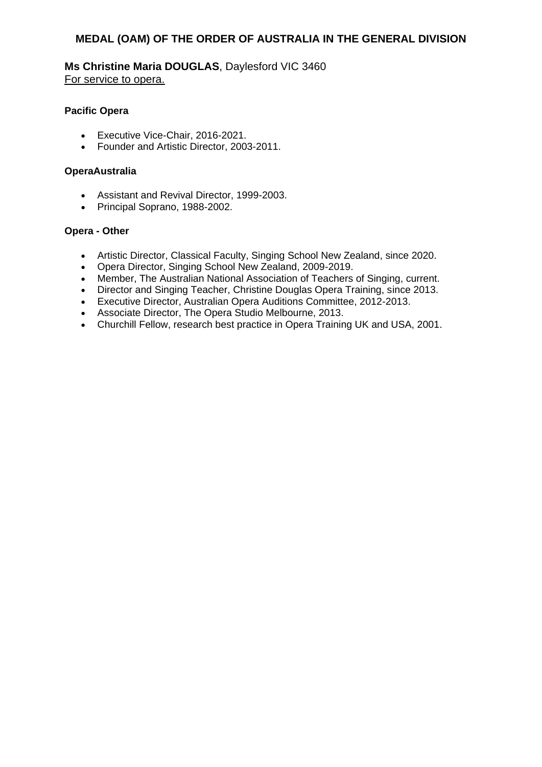**Ms Christine Maria DOUGLAS**, Daylesford VIC 3460 For service to opera.

### **Pacific Opera**

- Executive Vice-Chair, 2016-2021.
- Founder and Artistic Director, 2003-2011.

#### **OperaAustralia**

- Assistant and Revival Director, 1999-2003.
- Principal Soprano, 1988-2002.

#### **Opera - Other**

- Artistic Director, Classical Faculty, Singing School New Zealand, since 2020.
- Opera Director, Singing School New Zealand, 2009-2019.
- Member, The Australian National Association of Teachers of Singing, current.
- Director and Singing Teacher, Christine Douglas Opera Training, since 2013.
- Executive Director, Australian Opera Auditions Committee, 2012-2013.
- Associate Director, The Opera Studio Melbourne, 2013.
- Churchill Fellow, research best practice in Opera Training UK and USA, 2001.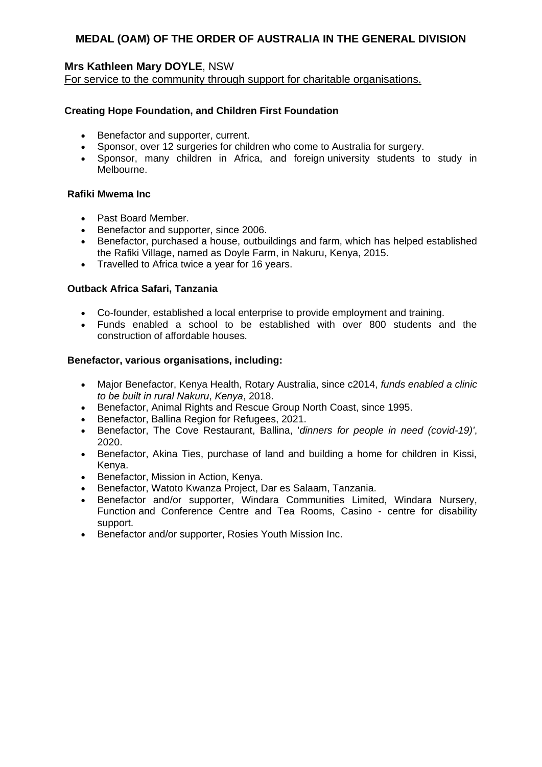# **Mrs Kathleen Mary DOYLE**, NSW

For service to the community through support for charitable organisations.

# **Creating Hope Foundation, and Children First Foundation**

- Benefactor and supporter, current.
- Sponsor, over 12 surgeries for children who come to Australia for surgery.
- Sponsor, many children in Africa, and foreign university students to study in Melbourne.

### **Rafiki Mwema Inc**

- Past Board Member.
- **Benefactor and supporter, since 2006.**
- Benefactor, purchased a house, outbuildings and farm, which has helped established the Rafiki Village, named as Doyle Farm, in Nakuru, Kenya, 2015.
- Travelled to Africa twice a vear for 16 years.

# **Outback Africa Safari, Tanzania**

- Co-founder, established a local enterprise to provide employment and training.
- Funds enabled a school to be established with over 800 students and the construction of affordable houses*.*

# **Benefactor, various organisations, including:**

- Major Benefactor, Kenya Health, Rotary Australia, since c2014, *funds enabled a clinic to be built in rural Nakuru*, *Kenya*, 2018.
- Benefactor, Animal Rights and Rescue Group North Coast, since 1995.
- **Benefactor, Ballina Region for Refugees, 2021.**
- Benefactor, The Cove Restaurant, Ballina, '*dinners for people in need (covid-19)'*, 2020.
- Benefactor, Akina Ties, purchase of land and building a home for children in Kissi, Kenya.
- Benefactor, Mission in Action, Kenya.
- Benefactor, Watoto Kwanza Project, Dar es Salaam, Tanzania.
- Benefactor and/or supporter, Windara Communities Limited, Windara Nursery, Function and Conference Centre and Tea Rooms, Casino - centre for disability support.
- Benefactor and/or supporter, Rosies Youth Mission Inc.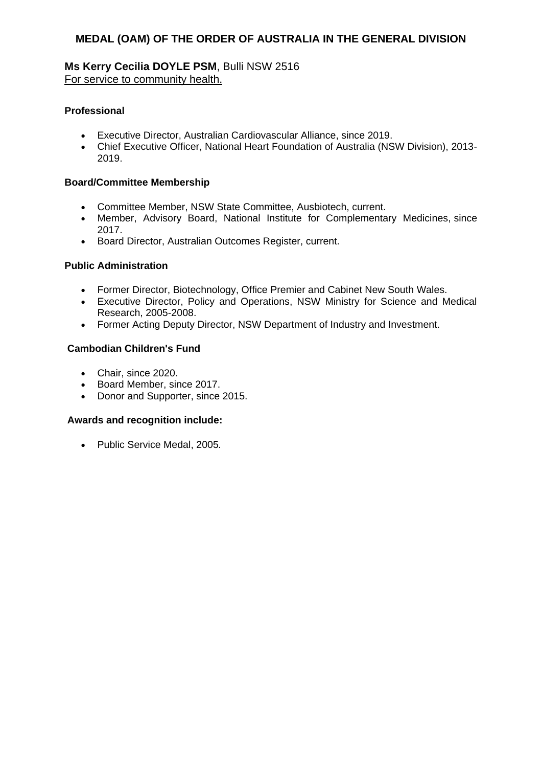# **Ms Kerry Cecilia DOYLE PSM**, Bulli NSW 2516 For service to community health.

# **Professional**

- Executive Director, Australian Cardiovascular Alliance, since 2019.
- Chief Executive Officer, National Heart Foundation of Australia (NSW Division), 2013- 2019.

### **Board/Committee Membership**

- Committee Member, NSW State Committee, Ausbiotech, current.
- Member, Advisory Board, National Institute for Complementary Medicines, since 2017.
- **Board Director, Australian Outcomes Register, current.**

# **Public Administration**

- Former Director, Biotechnology, Office Premier and Cabinet New South Wales.
- Executive Director, Policy and Operations, NSW Ministry for Science and Medical Research, 2005-2008.
- Former Acting Deputy Director, NSW Department of Industry and Investment.

# **Cambodian Children's Fund**

- Chair, since 2020.
- Board Member, since 2017.
- Donor and Supporter, since 2015.

### **Awards and recognition include:**

Public Service Medal, 2005*.*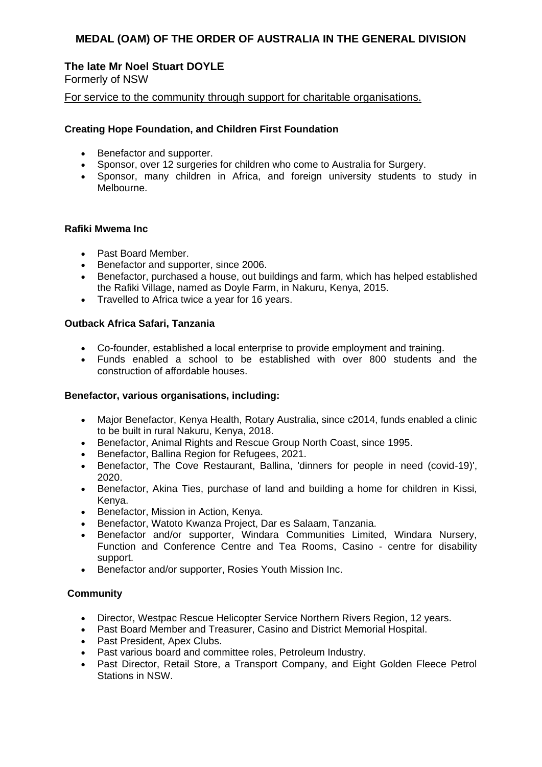# **The late Mr Noel Stuart DOYLE**

Formerly of NSW

### For service to the community through support for charitable organisations.

### **Creating Hope Foundation, and Children First Foundation**

- Benefactor and supporter.
- Sponsor, over 12 surgeries for children who come to Australia for Surgery.
- Sponsor, many children in Africa, and foreign university students to study in Melbourne.

### **Rafiki Mwema Inc**

- Past Board Member.
- Benefactor and supporter, since 2006.
- Benefactor, purchased a house, out buildings and farm, which has helped established the Rafiki Village, named as Doyle Farm, in Nakuru, Kenya, 2015.
- Travelled to Africa twice a year for 16 years.

# **Outback Africa Safari, Tanzania**

- Co-founder, established a local enterprise to provide employment and training.
- Funds enabled a school to be established with over 800 students and the construction of affordable houses.

### **Benefactor, various organisations, including:**

- Major Benefactor, Kenya Health, Rotary Australia, since c2014, funds enabled a clinic to be built in rural Nakuru, Kenya, 2018.
- Benefactor, Animal Rights and Rescue Group North Coast, since 1995.
- Benefactor, Ballina Region for Refugees, 2021.
- Benefactor, The Cove Restaurant, Ballina, 'dinners for people in need (covid-19)', 2020.
- Benefactor, Akina Ties, purchase of land and building a home for children in Kissi, Kenya.
- **•** Benefactor, Mission in Action, Kenya.
- Benefactor, Watoto Kwanza Project, Dar es Salaam, Tanzania.
- Benefactor and/or supporter, Windara Communities Limited, Windara Nursery, Function and Conference Centre and Tea Rooms, Casino - centre for disability support.
- Benefactor and/or supporter, Rosies Youth Mission Inc.

# **Community**

- Director, Westpac Rescue Helicopter Service Northern Rivers Region, 12 years.
- Past Board Member and Treasurer, Casino and District Memorial Hospital.
- Past President, Apex Clubs.
- Past various board and committee roles, Petroleum Industry.
- Past Director, Retail Store, a Transport Company, and Eight Golden Fleece Petrol Stations in NSW.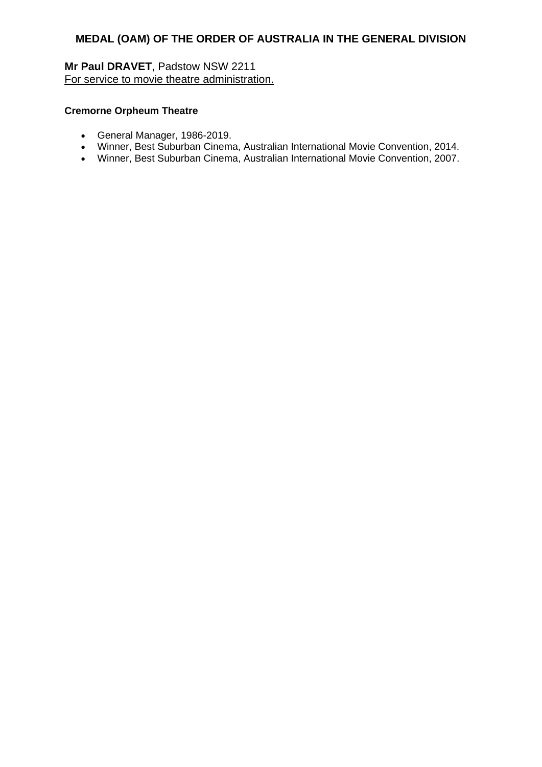**Mr Paul DRAVET**, Padstow NSW 2211 For service to movie theatre administration.

### **Cremorne Orpheum Theatre**

- General Manager, 1986-2019.
- Winner, Best Suburban Cinema, Australian International Movie Convention, 2014.
- Winner, Best Suburban Cinema, Australian International Movie Convention, 2007.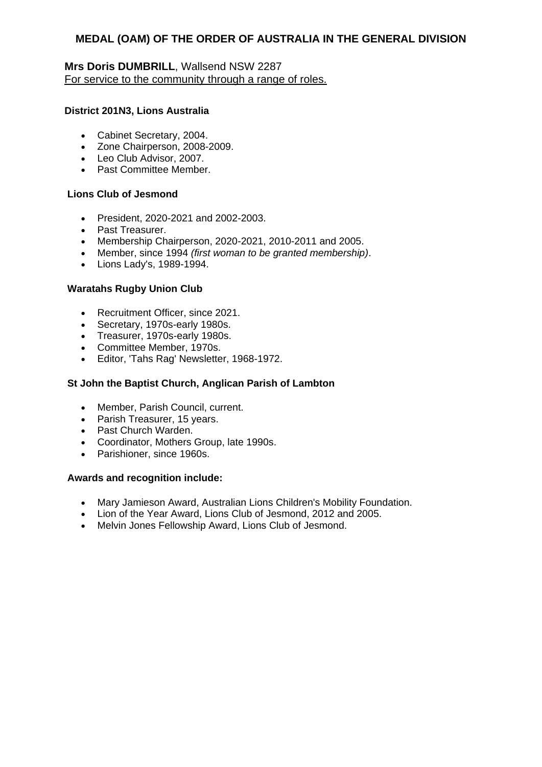# **Mrs Doris DUMBRILL**, Wallsend NSW 2287 For service to the community through a range of roles.

### **District 201N3, Lions Australia**

- Cabinet Secretary, 2004.
- Zone Chairperson, 2008-2009.
- Leo Club Advisor, 2007.
- Past Committee Member.

### **Lions Club of Jesmond**

- President, 2020-2021 and 2002-2003.
- Past Treasurer.
- Membership Chairperson, 2020-2021, 2010-2011 and 2005.
- Member, since 1994 *(first woman to be granted membership)*.
- Lions Lady's, 1989-1994.

### **Waratahs Rugby Union Club**

- Recruitment Officer, since 2021.
- Secretary, 1970s-early 1980s.
- Treasurer, 1970s-early 1980s.
- Committee Member, 1970s.
- Editor, 'Tahs Rag' Newsletter, 1968-1972.

### **St John the Baptist Church, Anglican Parish of Lambton**

- Member, Parish Council, current.
- Parish Treasurer, 15 years.
- Past Church Warden.
- Coordinator, Mothers Group, late 1990s.
- Parishioner, since 1960s.

### **Awards and recognition include:**

- Mary Jamieson Award, Australian Lions Children's Mobility Foundation.
- Lion of the Year Award, Lions Club of Jesmond, 2012 and 2005.
- Melvin Jones Fellowship Award, Lions Club of Jesmond.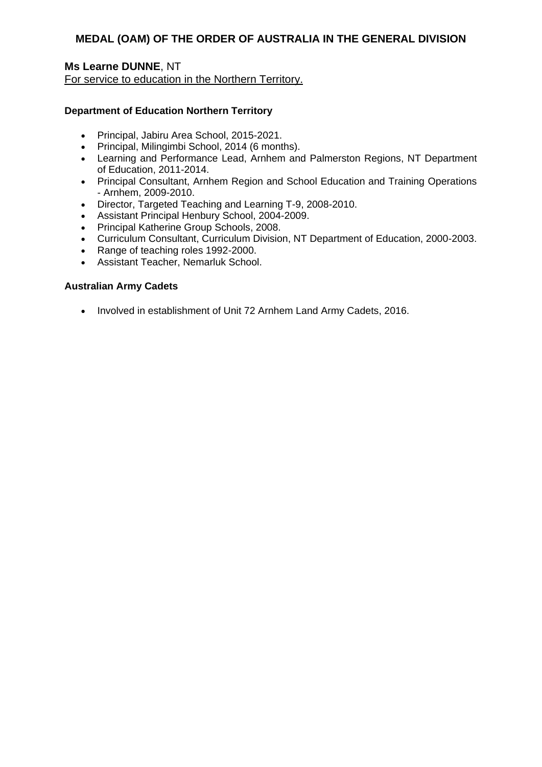# **Ms Learne DUNNE**, NT For service to education in the Northern Territory.

# **Department of Education Northern Territory**

- Principal, Jabiru Area School, 2015-2021.
- Principal, Milingimbi School, 2014 (6 months).
- Learning and Performance Lead, Arnhem and Palmerston Regions, NT Department of Education, 2011-2014.
- Principal Consultant, Arnhem Region and School Education and Training Operations - Arnhem, 2009-2010.
- Director, Targeted Teaching and Learning T-9, 2008-2010.
- Assistant Principal Henbury School, 2004-2009.
- Principal Katherine Group Schools, 2008.
- Curriculum Consultant, Curriculum Division, NT Department of Education, 2000-2003.
- Range of teaching roles 1992-2000.
- Assistant Teacher, Nemarluk School.

### **Australian Army Cadets**

• Involved in establishment of Unit 72 Arnhem Land Army Cadets, 2016.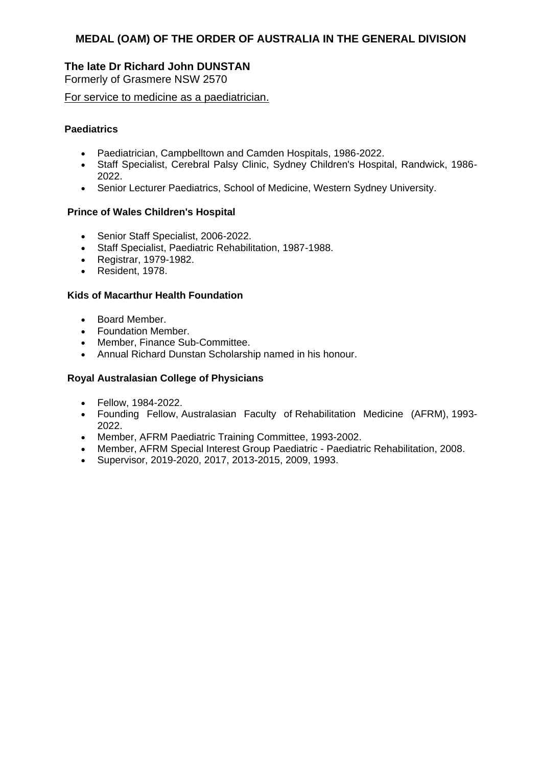# **The late Dr Richard John DUNSTAN**

Formerly of Grasmere NSW 2570

For service to medicine as a paediatrician.

# **Paediatrics**

- Paediatrician, Campbelltown and Camden Hospitals, 1986-2022.
- Staff Specialist, Cerebral Palsy Clinic, Sydney Children's Hospital, Randwick, 1986- 2022.
- Senior Lecturer Paediatrics, School of Medicine, Western Sydney University.

# **Prince of Wales Children's Hospital**

- Senior Staff Specialist, 2006-2022.
- Staff Specialist, Paediatric Rehabilitation, 1987-1988.
- Registrar, 1979-1982.
- Resident, 1978.

# **Kids of Macarthur Health Foundation**

- Board Member.
- Foundation Member.
- Member, Finance Sub-Committee.
- Annual Richard Dunstan Scholarship named in his honour.

### **Royal Australasian College of Physicians**

- Fellow, 1984-2022.
- Founding Fellow, Australasian Faculty of Rehabilitation Medicine (AFRM), 1993- 2022.
- Member, AFRM Paediatric Training Committee, 1993-2002.
- Member, AFRM Special Interest Group Paediatric Paediatric Rehabilitation, 2008.
- Supervisor, 2019-2020, 2017, 2013-2015, 2009, 1993.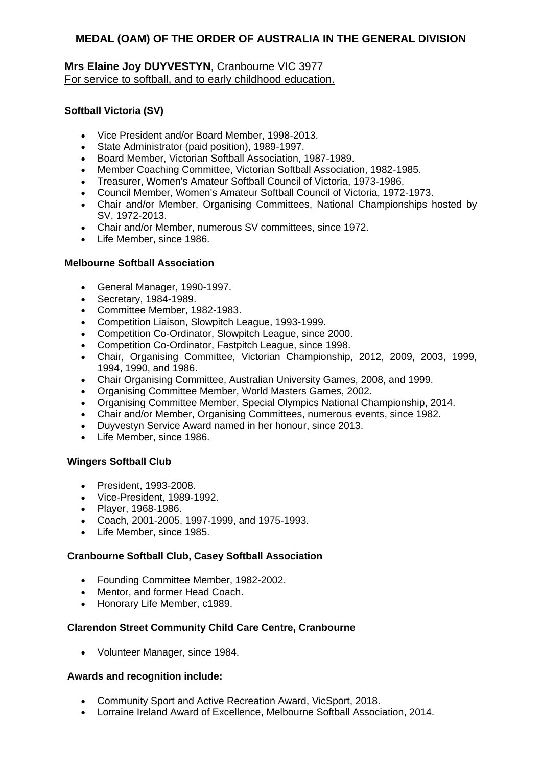# **Mrs Elaine Joy DUYVESTYN**, Cranbourne VIC 3977 For service to softball, and to early childhood education.

# **Softball Victoria (SV)**

- Vice President and/or Board Member, 1998-2013.
- State Administrator (paid position), 1989-1997.
- Board Member, Victorian Softball Association, 1987-1989.
- Member Coaching Committee, Victorian Softball Association, 1982-1985.
- Treasurer, Women's Amateur Softball Council of Victoria, 1973-1986.
- Council Member, Women's Amateur Softball Council of Victoria, 1972-1973.
- Chair and/or Member, Organising Committees, National Championships hosted by SV, 1972-2013.
- Chair and/or Member, numerous SV committees, since 1972.
- Life Member, since 1986.

### **Melbourne Softball Association**

- General Manager, 1990-1997.
- Secretary, 1984-1989.
- Committee Member, 1982-1983.
- Competition Liaison, Slowpitch League, 1993-1999.
- Competition Co-Ordinator, Slowpitch League, since 2000.
- Competition Co-Ordinator, Fastpitch League, since 1998.
- Chair, Organising Committee, Victorian Championship, 2012, 2009, 2003, 1999, 1994, 1990, and 1986.
- Chair Organising Committee, Australian University Games, 2008, and 1999.
- Organising Committee Member, World Masters Games, 2002.
- Organising Committee Member, Special Olympics National Championship, 2014.
- Chair and/or Member, Organising Committees, numerous events, since 1982.
- Duyvestyn Service Award named in her honour, since 2013.
- Life Member, since 1986.

### **Wingers Softball Club**

- President, 1993-2008.
- Vice-President, 1989-1992.
- Player, 1968-1986.
- Coach, 2001-2005, 1997-1999, and 1975-1993.
- Life Member, since 1985.

### **Cranbourne Softball Club, Casey Softball Association**

- Founding Committee Member, 1982-2002.
- Mentor, and former Head Coach.
- Honorary Life Member, c1989.

### **Clarendon Street Community Child Care Centre, Cranbourne**

Volunteer Manager, since 1984.

### **Awards and recognition include:**

- Community Sport and Active Recreation Award, VicSport, 2018.
- Lorraine Ireland Award of Excellence, Melbourne Softball Association, 2014.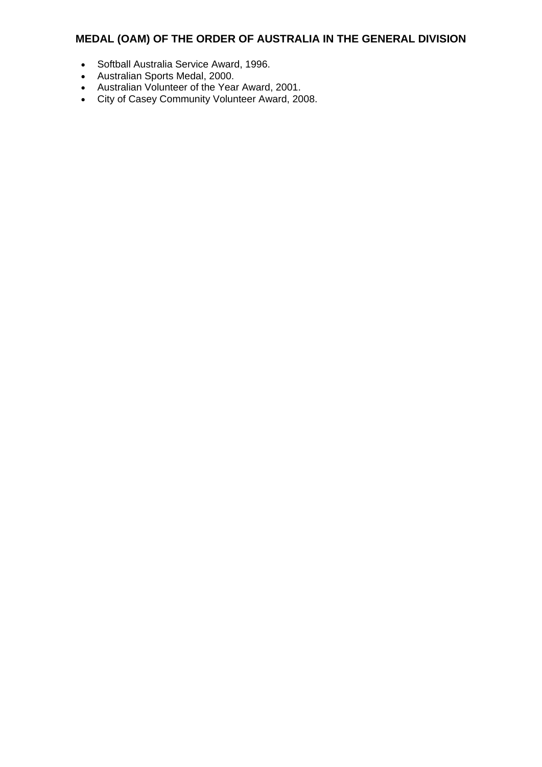- Softball Australia Service Award, 1996.
- Australian Sports Medal, 2000.
- Australian Volunteer of the Year Award, 2001.
- City of Casey Community Volunteer Award, 2008.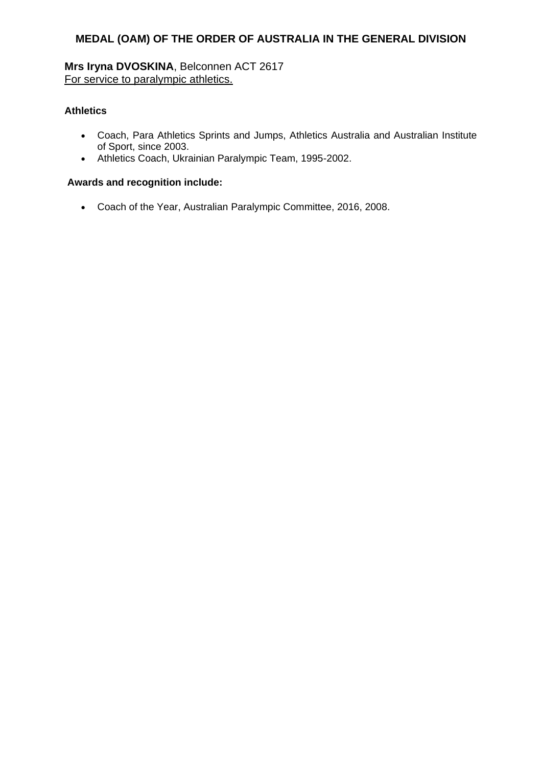**Mrs Iryna DVOSKINA**, Belconnen ACT 2617 For service to paralympic athletics.

# **Athletics**

- Coach, Para Athletics Sprints and Jumps, Athletics Australia and Australian Institute of Sport, since 2003.
- Athletics Coach, Ukrainian Paralympic Team, 1995-2002.

# **Awards and recognition include:**

Coach of the Year, Australian Paralympic Committee, 2016, 2008.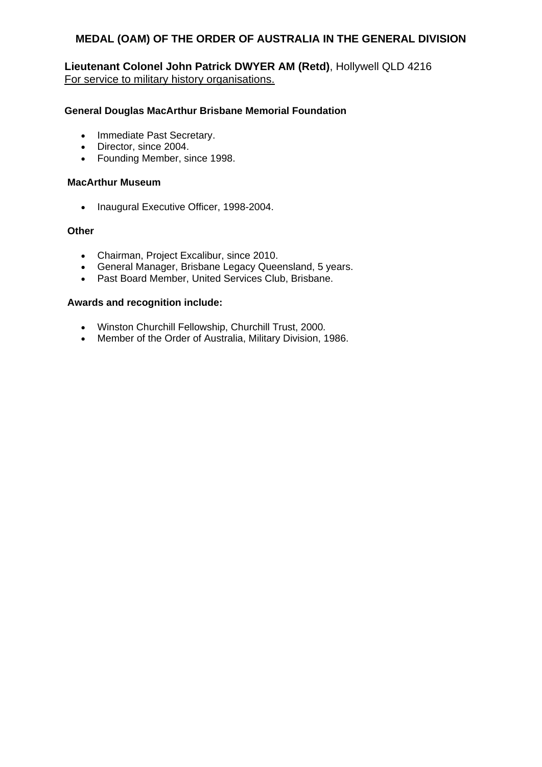**Lieutenant Colonel John Patrick DWYER AM (Retd)**, Hollywell QLD 4216 For service to military history organisations.

### **General Douglas MacArthur Brisbane Memorial Foundation**

- Immediate Past Secretary.
- Director, since 2004.
- Founding Member, since 1998.

### **MacArthur Museum**

• Inaugural Executive Officer, 1998-2004.

### **Other**

- Chairman, Project Excalibur, since 2010.
- General Manager, Brisbane Legacy Queensland, 5 years.
- Past Board Member, United Services Club, Brisbane.

#### **Awards and recognition include:**

- Winston Churchill Fellowship, Churchill Trust, 2000*.*
- Member of the Order of Australia, Military Division, 1986.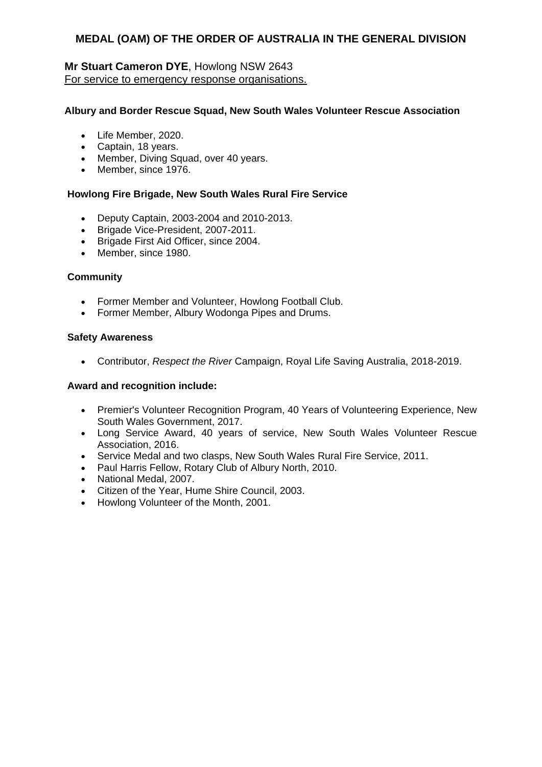# **Mr Stuart Cameron DYE**, Howlong NSW 2643 For service to emergency response organisations.

### **Albury and Border Rescue Squad, New South Wales Volunteer Rescue Association**

- Life Member, 2020.
- Captain, 18 years.
- Member, Diving Squad, over 40 years.
- Member, since 1976.

### **Howlong Fire Brigade, New South Wales Rural Fire Service**

- Deputy Captain, 2003-2004 and 2010-2013.
- Brigade Vice-President, 2007-2011.
- Brigade First Aid Officer, since 2004.
- Member, since 1980.

#### **Community**

- Former Member and Volunteer, Howlong Football Club.
- Former Member, Albury Wodonga Pipes and Drums.

#### **Safety Awareness**

Contributor, *Respect the River* Campaign, Royal Life Saving Australia, 2018-2019.

#### **Award and recognition include:**

- Premier's Volunteer Recognition Program, 40 Years of Volunteering Experience, New South Wales Government, 2017.
- Long Service Award, 40 years of service, New South Wales Volunteer Rescue Association, 2016.
- Service Medal and two clasps, New South Wales Rural Fire Service, 2011.
- Paul Harris Fellow, Rotary Club of Albury North, 2010.
- National Medal, 2007.
- Citizen of the Year, Hume Shire Council, 2003.
- Howlong Volunteer of the Month, 2001.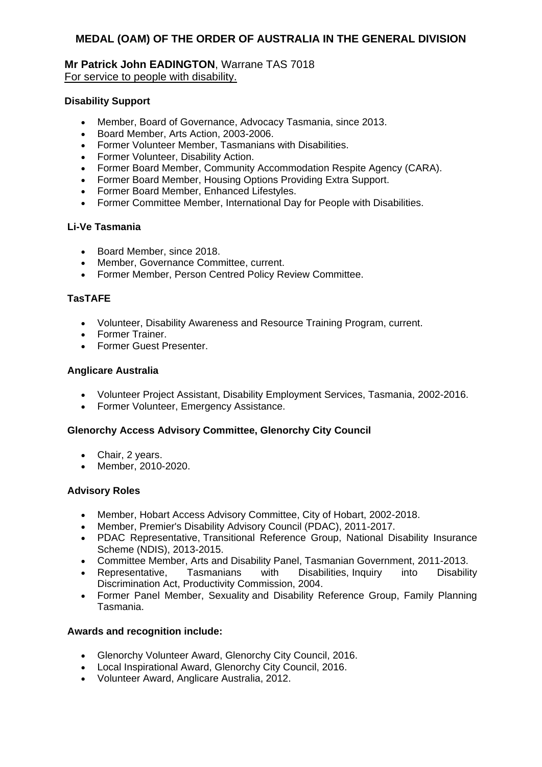### **Mr Patrick John EADINGTON**, Warrane TAS 7018 For service to people with disability.

### **Disability Support**

- Member, Board of Governance, Advocacy Tasmania, since 2013.
- Board Member, Arts Action, 2003-2006.
- Former Volunteer Member, Tasmanians with Disabilities.
- Former Volunteer, Disability Action.
- Former Board Member, Community Accommodation Respite Agency (CARA).
- Former Board Member, Housing Options Providing Extra Support.
- Former Board Member, Enhanced Lifestyles.
- Former Committee Member, International Day for People with Disabilities.

### **Li-Ve Tasmania**

- Board Member, since 2018.
- Member, Governance Committee, current.
- Former Member, Person Centred Policy Review Committee.

# **TasTAFE**

- Volunteer, Disability Awareness and Resource Training Program, current.
- Former Trainer.
- **•** Former Guest Presenter

### **Anglicare Australia**

- Volunteer Project Assistant, Disability Employment Services, Tasmania, 2002-2016.
- Former Volunteer, Emergency Assistance.

### **Glenorchy Access Advisory Committee, Glenorchy City Council**

- Chair, 2 years.
- Member, 2010-2020.

### **Advisory Roles**

- Member, Hobart Access Advisory Committee, City of Hobart, 2002-2018.
- Member, Premier's Disability Advisory Council (PDAC), 2011-2017.
- PDAC Representative, Transitional Reference Group, National Disability Insurance Scheme (NDIS), 2013-2015.
- Committee Member, Arts and Disability Panel, Tasmanian Government, 2011-2013.
- Representative, Tasmanians with Disabilities, Inquiry into Disability Discrimination Act, Productivity Commission, 2004.
- Former Panel Member, Sexuality and Disability Reference Group, Family Planning Tasmania.

### **Awards and recognition include:**

- Glenorchy Volunteer Award, Glenorchy City Council, 2016.
- Local Inspirational Award, Glenorchy City Council, 2016.
- Volunteer Award, Anglicare Australia, 2012.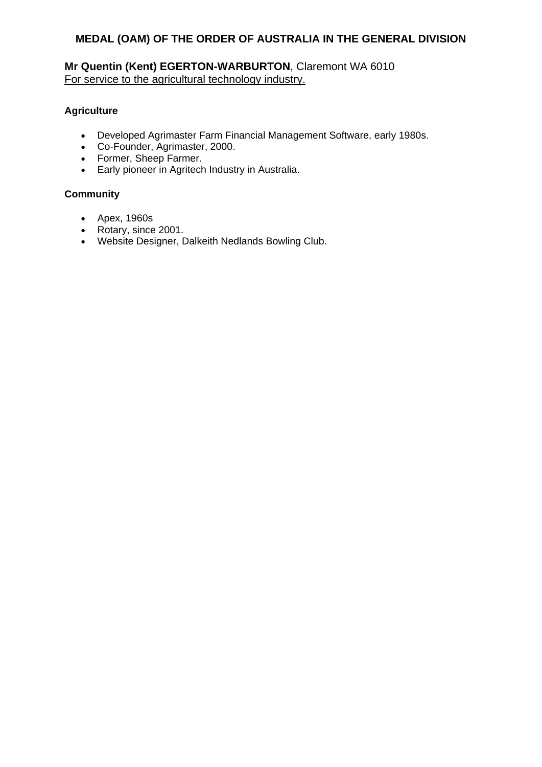# **Mr Quentin (Kent) EGERTON-WARBURTON**, Claremont WA 6010 For service to the agricultural technology industry.

# **Agriculture**

- Developed Agrimaster Farm Financial Management Software, early 1980s.
- Co-Founder, Agrimaster, 2000.
- Former, Sheep Farmer.
- Early pioneer in Agritech Industry in Australia.

# **Community**

- Apex, 1960s
- Rotary, since 2001.
- Website Designer, Dalkeith Nedlands Bowling Club.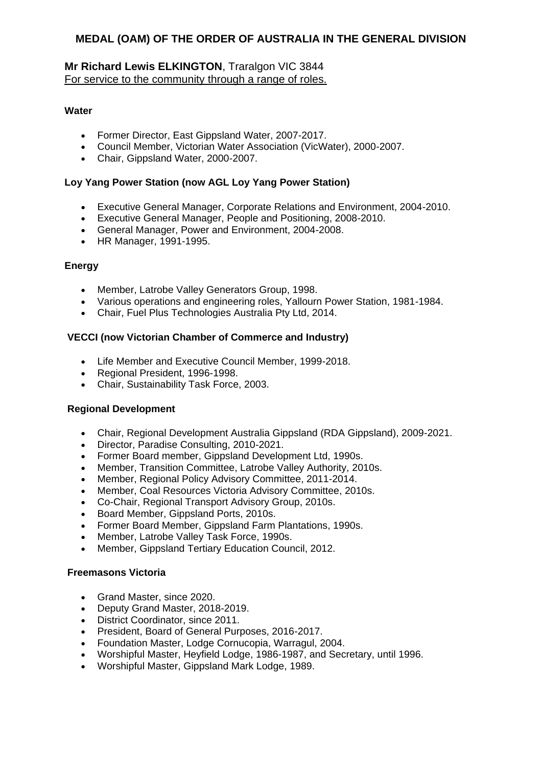# **Mr Richard Lewis ELKINGTON**, Traralgon VIC 3844 For service to the community through a range of roles.

# **Water**

- Former Director, East Gippsland Water, 2007-2017.
- Council Member, Victorian Water Association (VicWater), 2000-2007.
- Chair, Gippsland Water, 2000-2007.

# **Loy Yang Power Station (now AGL Loy Yang Power Station)**

- Executive General Manager, Corporate Relations and Environment, 2004-2010.
- Executive General Manager, People and Positioning, 2008-2010.
- General Manager, Power and Environment, 2004-2008.
- HR Manager, 1991-1995.

### **Energy**

- Member, Latrobe Valley Generators Group, 1998.
- Various operations and engineering roles, Yallourn Power Station, 1981-1984.
- Chair, Fuel Plus Technologies Australia Pty Ltd, 2014.

# **VECCI (now Victorian Chamber of Commerce and Industry)**

- Life Member and Executive Council Member, 1999-2018.
- Regional President, 1996-1998.
- Chair, Sustainability Task Force, 2003.

### **Regional Development**

- Chair, Regional Development Australia Gippsland (RDA Gippsland), 2009-2021.
- Director, Paradise Consulting, 2010-2021.
- Former Board member, Gippsland Development Ltd, 1990s.
- Member, Transition Committee, Latrobe Valley Authority, 2010s.
- Member, Regional Policy Advisory Committee, 2011-2014.
- Member, Coal Resources Victoria Advisory Committee, 2010s.
- Co-Chair, Regional Transport Advisory Group, 2010s.
- Board Member, Gippsland Ports, 2010s.
- Former Board Member, Gippsland Farm Plantations, 1990s.
- Member, Latrobe Valley Task Force, 1990s.
- Member, Gippsland Tertiary Education Council, 2012.

### **Freemasons Victoria**

- Grand Master, since 2020.
- Deputy Grand Master, 2018-2019.
- District Coordinator, since 2011.
- President, Board of General Purposes, 2016-2017.
- Foundation Master, Lodge Cornucopia, Warragul, 2004.
- Worshipful Master, Heyfield Lodge, 1986-1987, and Secretary, until 1996.
- Worshipful Master, Gippsland Mark Lodge, 1989.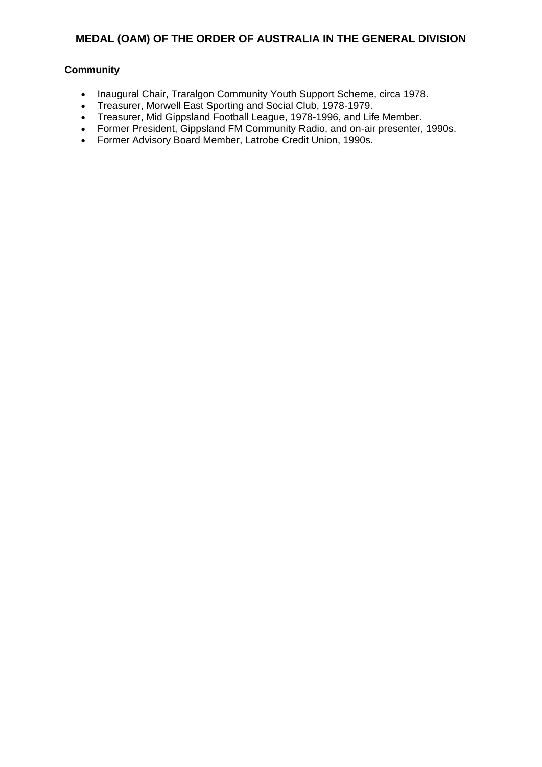# **Community**

- Inaugural Chair, Traralgon Community Youth Support Scheme, circa 1978.
- Treasurer, Morwell East Sporting and Social Club, 1978-1979.
- Treasurer, Mid Gippsland Football League, 1978-1996, and Life Member.
- Former President, Gippsland FM Community Radio, and on-air presenter, 1990s.
- Former Advisory Board Member, Latrobe Credit Union, 1990s.